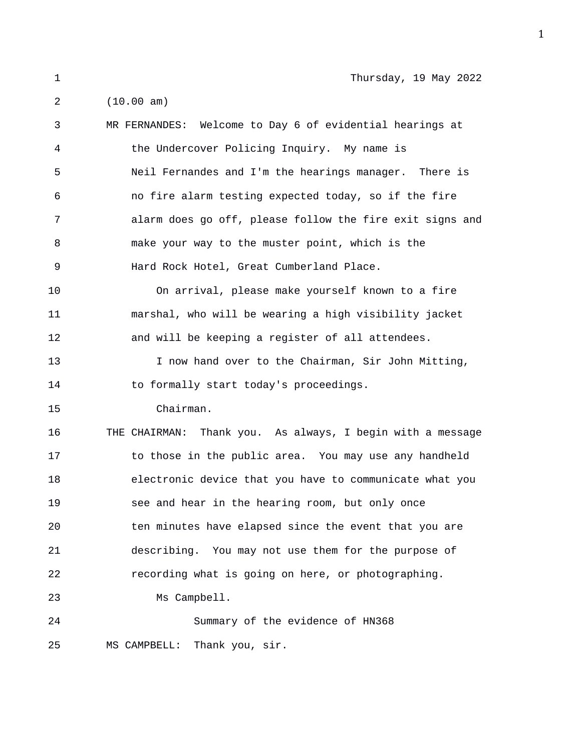1 Thursday, 19 May 2022

2 (10.00 am) 3 MR FERNANDES: Welcome to Day 6 of evidential hearings at 4 the Undercover Policing Inquiry. My name is 5 Neil Fernandes and I'm the hearings manager. There is 6 no fire alarm testing expected today, so if the fire 7 alarm does go off, please follow the fire exit signs and 8 make your way to the muster point, which is the 9 Hard Rock Hotel, Great Cumberland Place. 10 On arrival, please make yourself known to a fire 11 marshal, who will be wearing a high visibility jacket 12 and will be keeping a register of all attendees. 13 I now hand over to the Chairman, Sir John Mitting, 14 to formally start today's proceedings. 15 Chairman. 16 THE CHAIRMAN: Thank you. As always, I begin with a message 17 to those in the public area. You may use any handheld 18 electronic device that you have to communicate what you 19 see and hear in the hearing room, but only once 20 ten minutes have elapsed since the event that you are 21 describing. You may not use them for the purpose of 22 recording what is going on here, or photographing. 23 Ms Campbell. 24 Summary of the evidence of HN368 25 MS CAMPBELL: Thank you, sir.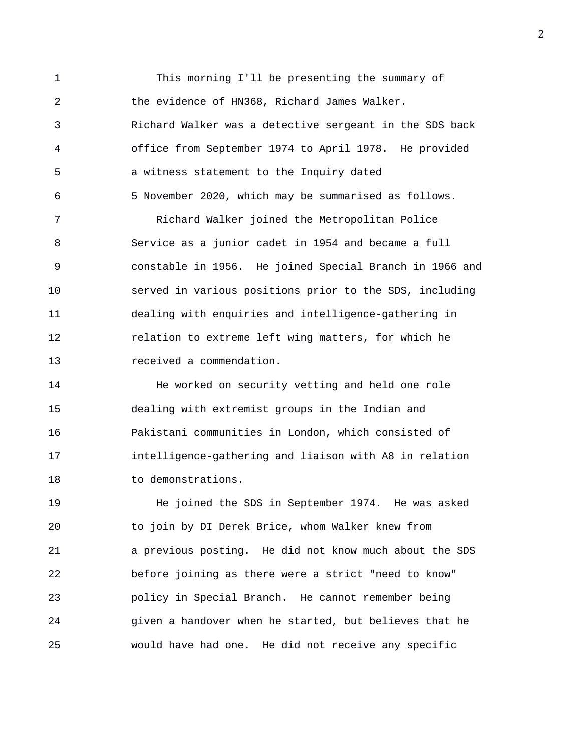1 This morning I'll be presenting the summary of 2 the evidence of HN368, Richard James Walker. 3 Richard Walker was a detective sergeant in the SDS back 4 office from September 1974 to April 1978. He provided 5 a witness statement to the Inquiry dated 6 5 November 2020, which may be summarised as follows. 7 Richard Walker joined the Metropolitan Police 8 Service as a junior cadet in 1954 and became a full 9 constable in 1956. He joined Special Branch in 1966 and 10 served in various positions prior to the SDS, including 11 dealing with enquiries and intelligence-gathering in 12 relation to extreme left wing matters, for which he 13 received a commendation.

14 He worked on security vetting and held one role 15 dealing with extremist groups in the Indian and 16 Pakistani communities in London, which consisted of 17 intelligence-gathering and liaison with A8 in relation 18 to demonstrations.

19 He joined the SDS in September 1974. He was asked 20 to join by DI Derek Brice, whom Walker knew from 21 a previous posting. He did not know much about the SDS 22 before joining as there were a strict "need to know" 23 policy in Special Branch. He cannot remember being 24 given a handover when he started, but believes that he 25 would have had one. He did not receive any specific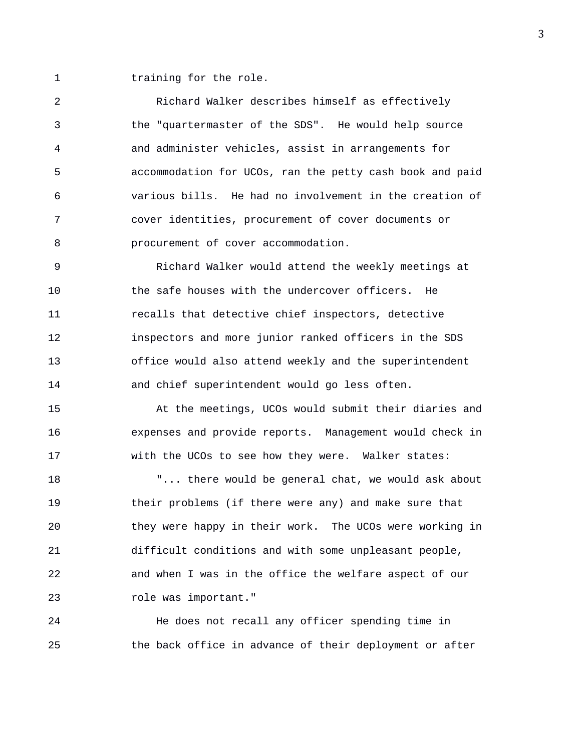1 training for the role.

2 Richard Walker describes himself as effectively 3 the "quartermaster of the SDS". He would help source 4 and administer vehicles, assist in arrangements for 5 accommodation for UCOs, ran the petty cash book and paid 6 various bills. He had no involvement in the creation of 7 cover identities, procurement of cover documents or 8 **belog procurement** of cover accommodation.

9 Richard Walker would attend the weekly meetings at 10 the safe houses with the undercover officers. He 11 recalls that detective chief inspectors, detective 12 inspectors and more junior ranked officers in the SDS 13 office would also attend weekly and the superintendent 14 and chief superintendent would go less often.

15 At the meetings, UCOs would submit their diaries and 16 expenses and provide reports. Management would check in 17 with the UCOs to see how they were. Walker states:

18 "... there would be general chat, we would ask about 19 their problems (if there were any) and make sure that 20 they were happy in their work. The UCOs were working in 21 difficult conditions and with some unpleasant people, 22 and when I was in the office the welfare aspect of our 23 role was important."

24 He does not recall any officer spending time in 25 the back office in advance of their deployment or after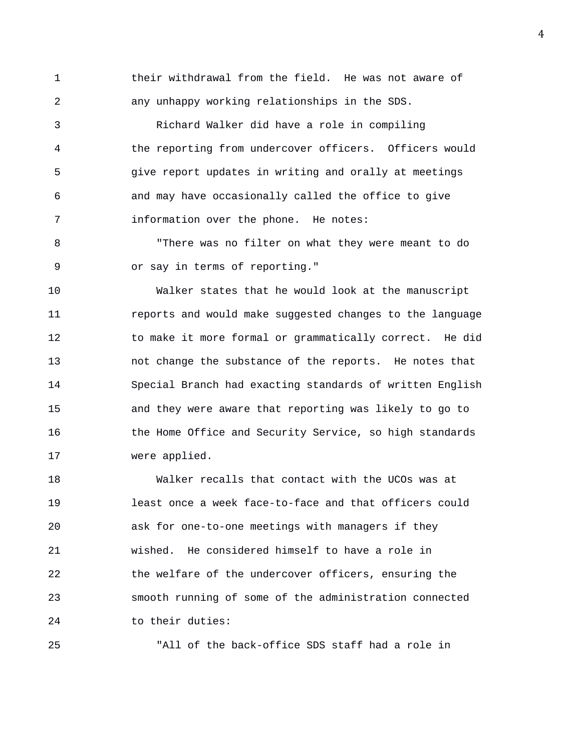1 their withdrawal from the field. He was not aware of 2 any unhappy working relationships in the SDS.

3 Richard Walker did have a role in compiling 4 the reporting from undercover officers. Officers would 5 give report updates in writing and orally at meetings 6 and may have occasionally called the office to give 7 information over the phone. He notes:

8 "There was no filter on what they were meant to do 9 or say in terms of reporting."

10 Walker states that he would look at the manuscript 11 reports and would make suggested changes to the language 12 to make it more formal or grammatically correct. He did 13 not change the substance of the reports. He notes that 14 Special Branch had exacting standards of written English 15 and they were aware that reporting was likely to go to 16 the Home Office and Security Service, so high standards 17 were applied.

18 Walker recalls that contact with the UCOs was at 19 least once a week face-to-face and that officers could 20 ask for one-to-one meetings with managers if they 21 wished. He considered himself to have a role in 22 the welfare of the undercover officers, ensuring the 23 smooth running of some of the administration connected 24 to their duties:

25 "All of the back-office SDS staff had a role in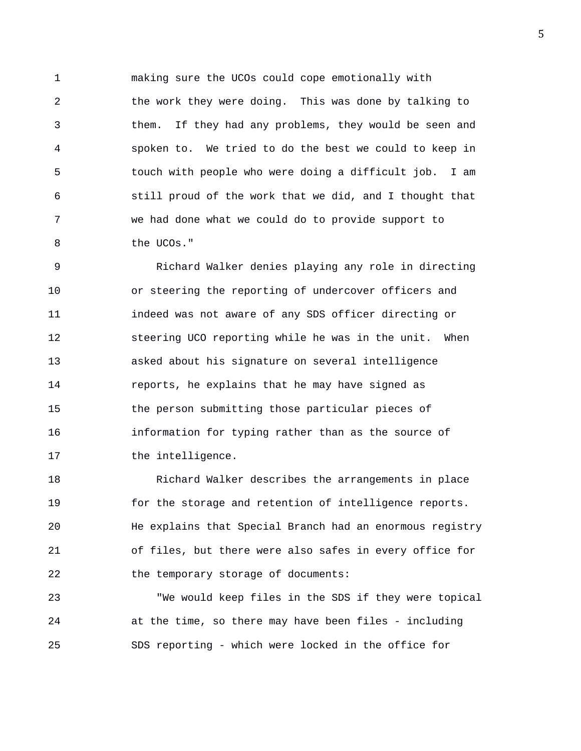1 making sure the UCOs could cope emotionally with 2 the work they were doing. This was done by talking to 3 them. If they had any problems, they would be seen and 4 spoken to. We tried to do the best we could to keep in 5 touch with people who were doing a difficult job. I am 6 still proud of the work that we did, and I thought that 7 we had done what we could do to provide support to 8 the UCOs."

9 Richard Walker denies playing any role in directing 10 or steering the reporting of undercover officers and 11 indeed was not aware of any SDS officer directing or 12 steering UCO reporting while he was in the unit. When 13 asked about his signature on several intelligence 14 reports, he explains that he may have signed as 15 the person submitting those particular pieces of 16 information for typing rather than as the source of 17 the intelligence.

18 Richard Walker describes the arrangements in place 19 for the storage and retention of intelligence reports. 20 He explains that Special Branch had an enormous registry 21 of files, but there were also safes in every office for 22 the temporary storage of documents:

23 "We would keep files in the SDS if they were topical 24 at the time, so there may have been files - including 25 SDS reporting - which were locked in the office for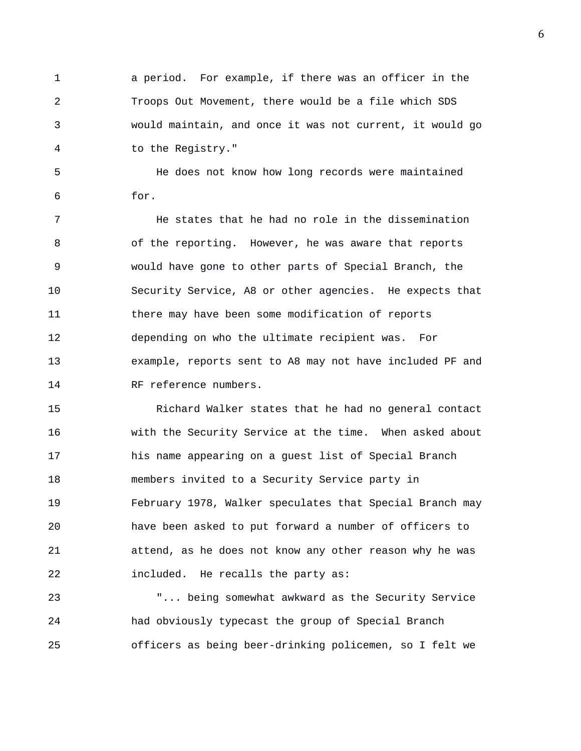1 a period. For example, if there was an officer in the 2 Troops Out Movement, there would be a file which SDS 3 would maintain, and once it was not current, it would go 4 to the Registry."

5 He does not know how long records were maintained 6 for.

7 He states that he had no role in the dissemination 8 of the reporting. However, he was aware that reports 9 would have gone to other parts of Special Branch, the 10 Security Service, A8 or other agencies. He expects that 11 there may have been some modification of reports 12 depending on who the ultimate recipient was. For 13 example, reports sent to A8 may not have included PF and 14 RF reference numbers.

15 Richard Walker states that he had no general contact 16 with the Security Service at the time. When asked about 17 his name appearing on a guest list of Special Branch 18 members invited to a Security Service party in 19 February 1978, Walker speculates that Special Branch may 20 have been asked to put forward a number of officers to 21 attend, as he does not know any other reason why he was 22 included. He recalls the party as:

23 "... being somewhat awkward as the Security Service 24 had obviously typecast the group of Special Branch 25 officers as being beer-drinking policemen, so I felt we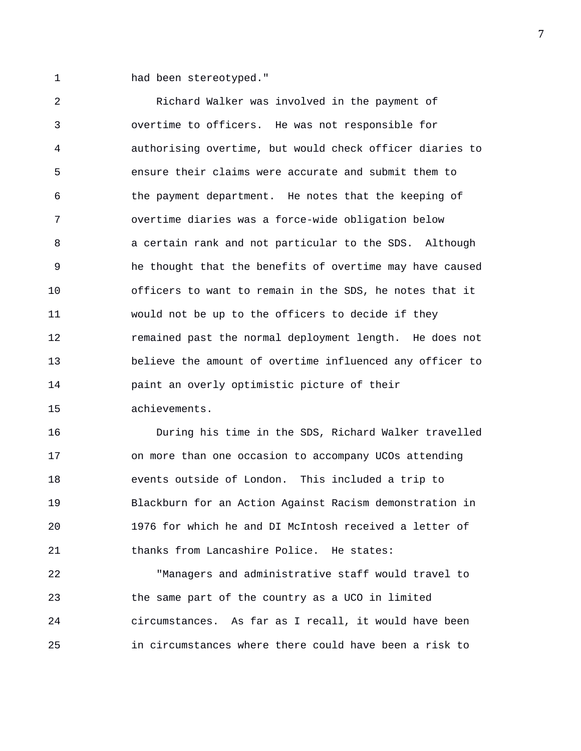1 had been stereotyped."

2 Richard Walker was involved in the payment of 3 overtime to officers. He was not responsible for 4 authorising overtime, but would check officer diaries to 5 ensure their claims were accurate and submit them to 6 the payment department. He notes that the keeping of 7 overtime diaries was a force-wide obligation below 8 a certain rank and not particular to the SDS. Although 9 he thought that the benefits of overtime may have caused 10 officers to want to remain in the SDS, he notes that it 11 would not be up to the officers to decide if they 12 remained past the normal deployment length. He does not 13 believe the amount of overtime influenced any officer to 14 paint an overly optimistic picture of their 15 achievements.

16 During his time in the SDS, Richard Walker travelled 17 on more than one occasion to accompany UCOs attending 18 events outside of London. This included a trip to 19 Blackburn for an Action Against Racism demonstration in 20 1976 for which he and DI McIntosh received a letter of 21 thanks from Lancashire Police. He states:

22 "Managers and administrative staff would travel to 23 the same part of the country as a UCO in limited 24 circumstances. As far as I recall, it would have been 25 in circumstances where there could have been a risk to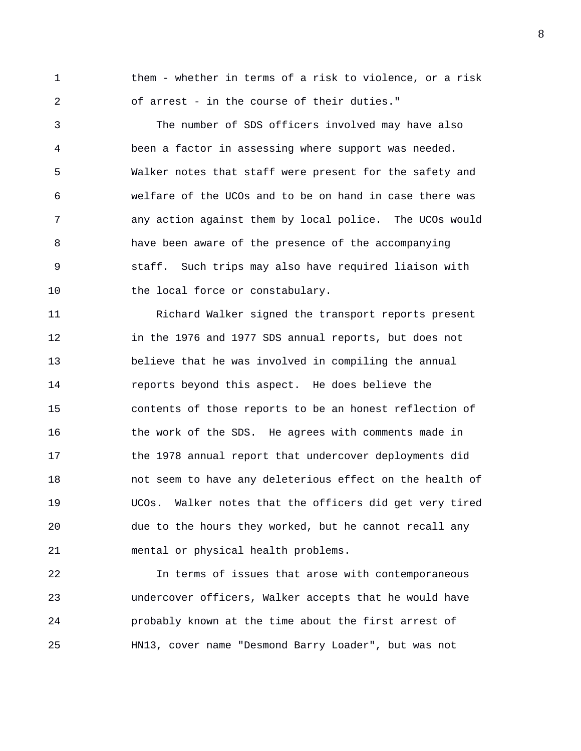1 them - whether in terms of a risk to violence, or a risk 2 of arrest - in the course of their duties."

3 The number of SDS officers involved may have also 4 been a factor in assessing where support was needed. 5 Walker notes that staff were present for the safety and 6 welfare of the UCOs and to be on hand in case there was 7 any action against them by local police. The UCOs would 8 have been aware of the presence of the accompanying 9 staff. Such trips may also have required liaison with 10 the local force or constabulary.

11 Richard Walker signed the transport reports present 12 in the 1976 and 1977 SDS annual reports, but does not 13 believe that he was involved in compiling the annual 14 reports beyond this aspect. He does believe the 15 contents of those reports to be an honest reflection of 16 the work of the SDS. He agrees with comments made in 17 the 1978 annual report that undercover deployments did 18 not seem to have any deleterious effect on the health of 19 UCOs. Walker notes that the officers did get very tired 20 due to the hours they worked, but he cannot recall any 21 mental or physical health problems.

22 In terms of issues that arose with contemporaneous 23 undercover officers, Walker accepts that he would have 24 probably known at the time about the first arrest of 25 HN13, cover name "Desmond Barry Loader", but was not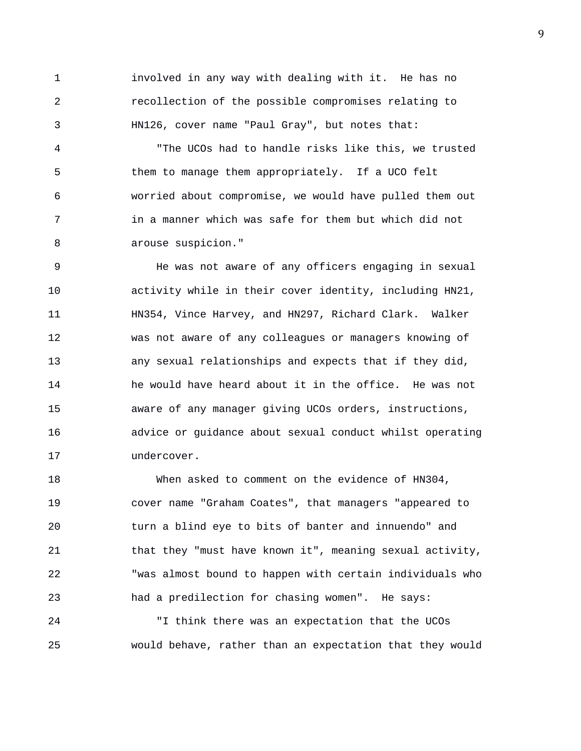1 involved in any way with dealing with it. He has no 2 recollection of the possible compromises relating to 3 HN126, cover name "Paul Gray", but notes that:

4 "The UCOs had to handle risks like this, we trusted 5 them to manage them appropriately. If a UCO felt 6 worried about compromise, we would have pulled them out 7 in a manner which was safe for them but which did not 8 arouse suspicion."

9 He was not aware of any officers engaging in sexual 10 activity while in their cover identity, including HN21, 11 HN354, Vince Harvey, and HN297, Richard Clark. Walker 12 was not aware of any colleagues or managers knowing of 13 any sexual relationships and expects that if they did, 14 he would have heard about it in the office. He was not 15 aware of any manager giving UCOs orders, instructions, 16 advice or guidance about sexual conduct whilst operating 17 undercover.

18 When asked to comment on the evidence of HN304, 19 cover name "Graham Coates", that managers "appeared to 20 turn a blind eye to bits of banter and innuendo" and 21 that they "must have known it", meaning sexual activity, 22 "was almost bound to happen with certain individuals who 23 had a predilection for chasing women". He says: 24 "I think there was an expectation that the UCOs

25 would behave, rather than an expectation that they would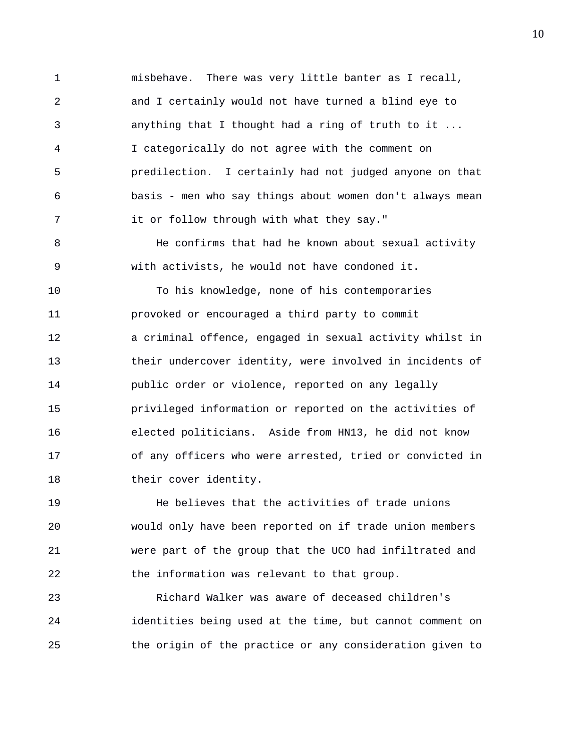1 misbehave. There was very little banter as I recall, 2 and I certainly would not have turned a blind eye to 3 anything that I thought had a ring of truth to it ... 4 I categorically do not agree with the comment on 5 predilection. I certainly had not judged anyone on that 6 basis - men who say things about women don't always mean 7 it or follow through with what they say."

8 He confirms that had he known about sexual activity 9 with activists, he would not have condoned it.

10 To his knowledge, none of his contemporaries 11 provoked or encouraged a third party to commit 12 a criminal offence, engaged in sexual activity whilst in 13 their undercover identity, were involved in incidents of 14 public order or violence, reported on any legally 15 privileged information or reported on the activities of 16 elected politicians. Aside from HN13, he did not know 17 of any officers who were arrested, tried or convicted in 18 their cover identity.

19 He believes that the activities of trade unions 20 would only have been reported on if trade union members 21 were part of the group that the UCO had infiltrated and 22 the information was relevant to that group.

23 Richard Walker was aware of deceased children's 24 identities being used at the time, but cannot comment on 25 the origin of the practice or any consideration given to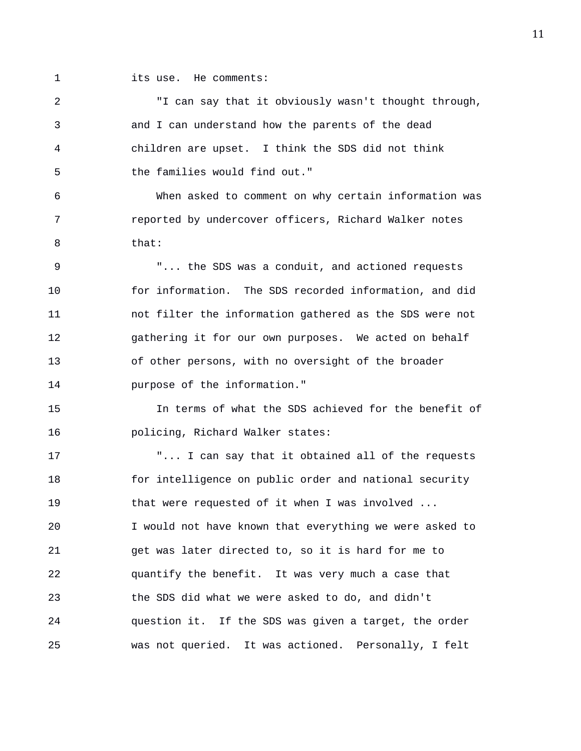- 
- 1 its use. He comments:

2 "I can say that it obviously wasn't thought through, 3 and I can understand how the parents of the dead 4 children are upset. I think the SDS did not think 5 the families would find out." 6 When asked to comment on why certain information was

7 reported by undercover officers, Richard Walker notes 8 that:

9 "... the SDS was a conduit, and actioned requests 10 for information. The SDS recorded information, and did 11 not filter the information gathered as the SDS were not 12 gathering it for our own purposes. We acted on behalf 13 of other persons, with no oversight of the broader 14 purpose of the information."

15 In terms of what the SDS achieved for the benefit of 16 policing, Richard Walker states:

17 The state of the requests will can say that it obtained all of the requests 18 for intelligence on public order and national security 19 that were requested of it when I was involved ... 20 I would not have known that everything we were asked to 21 get was later directed to, so it is hard for me to 22 quantify the benefit. It was very much a case that 23 the SDS did what we were asked to do, and didn't 24 question it. If the SDS was given a target, the order 25 was not queried. It was actioned. Personally, I felt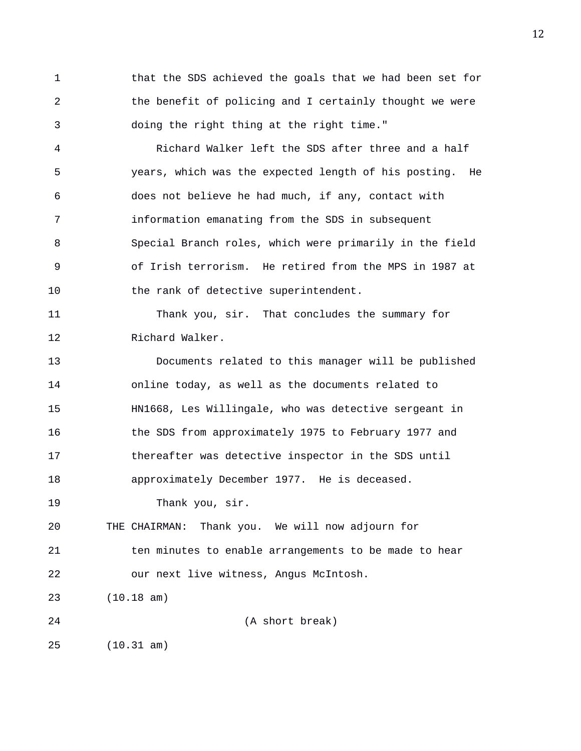1 that the SDS achieved the goals that we had been set for 2 the benefit of policing and I certainly thought we were 3 doing the right thing at the right time."

4 Richard Walker left the SDS after three and a half 5 years, which was the expected length of his posting. He 6 does not believe he had much, if any, contact with 7 information emanating from the SDS in subsequent 8 Special Branch roles, which were primarily in the field 9 of Irish terrorism. He retired from the MPS in 1987 at 10 the rank of detective superintendent.

11 Thank you, sir. That concludes the summary for 12 Richard Walker.

13 Documents related to this manager will be published 14 online today, as well as the documents related to 15 HN1668, Les Willingale, who was detective sergeant in 16 the SDS from approximately 1975 to February 1977 and 17 thereafter was detective inspector in the SDS until 18 approximately December 1977. He is deceased.

19 Thank you, sir.

20 THE CHAIRMAN: Thank you. We will now adjourn for 21 ten minutes to enable arrangements to be made to hear 22 our next live witness, Angus McIntosh.

23 (10.18 am)

24 (A short break)

25 (10.31 am)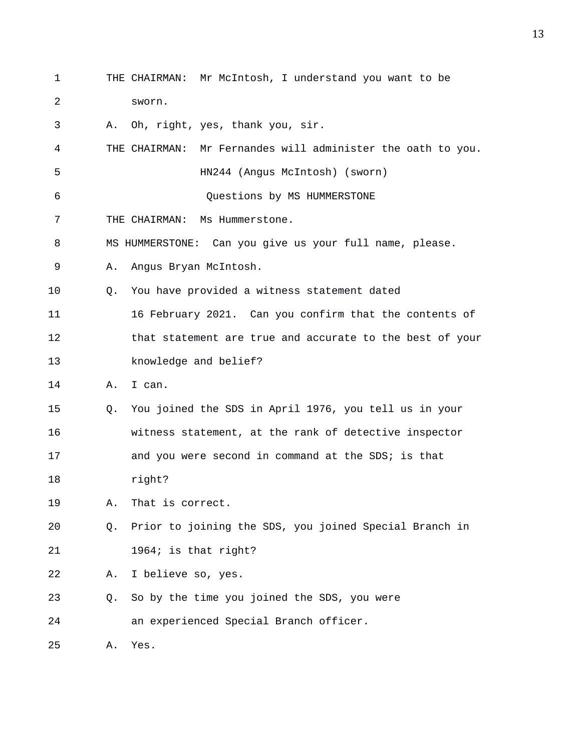1 THE CHAIRMAN: Mr McIntosh, I understand you want to be 2 sworn. 3 A. Oh, right, yes, thank you, sir. 4 THE CHAIRMAN: Mr Fernandes will administer the oath to you. 5 HN244 (Angus McIntosh) (sworn) 6 Questions by MS HUMMERSTONE 7 THE CHAIRMAN: Ms Hummerstone. 8 MS HUMMERSTONE: Can you give us your full name, please. 9 A. Angus Bryan McIntosh. 10 Q. You have provided a witness statement dated 11 16 February 2021. Can you confirm that the contents of 12 that statement are true and accurate to the best of your 13 knowledge and belief? 14 A. I can. 15 Q. You joined the SDS in April 1976, you tell us in your 16 witness statement, at the rank of detective inspector 17 and you were second in command at the SDS; is that 18 right? 19 A. That is correct. 20 Q. Prior to joining the SDS, you joined Special Branch in 21 1964; is that right? 22 A. I believe so, yes. 23 Q. So by the time you joined the SDS, you were 24 an experienced Special Branch officer. 25 A. Yes.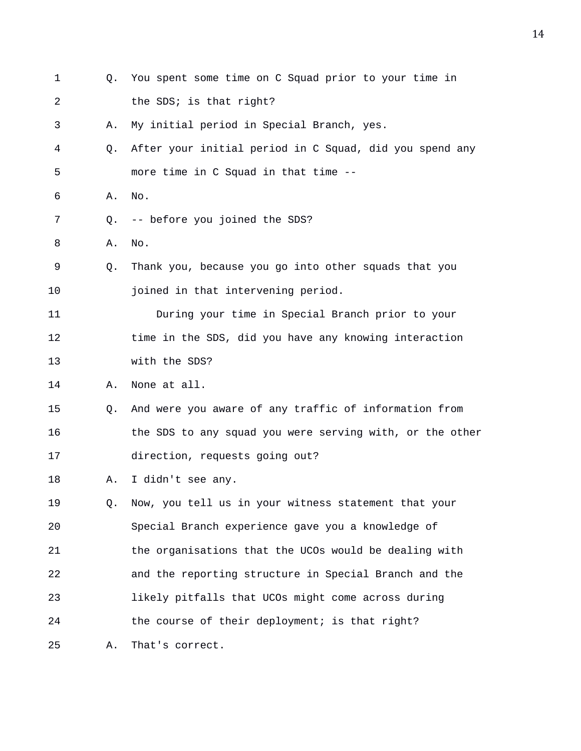| 1  | Q. | You spent some time on C Squad prior to your time in     |
|----|----|----------------------------------------------------------|
| 2  |    | the SDS; is that right?                                  |
| 3  | Α. | My initial period in Special Branch, yes.                |
| 4  | Q. | After your initial period in C Squad, did you spend any  |
| 5  |    | more time in C Squad in that time --                     |
| 6  | Α. | No.                                                      |
| 7  | Q. | -- before you joined the SDS?                            |
| 8  | Α. | No.                                                      |
| 9  | Q. | Thank you, because you go into other squads that you     |
| 10 |    | joined in that intervening period.                       |
| 11 |    | During your time in Special Branch prior to your         |
| 12 |    | time in the SDS, did you have any knowing interaction    |
| 13 |    | with the SDS?                                            |
| 14 | Α. | None at all.                                             |
| 15 | Q. | And were you aware of any traffic of information from    |
| 16 |    | the SDS to any squad you were serving with, or the other |
| 17 |    | direction, requests going out?                           |
| 18 | Α. | I didn't see any.                                        |
| 19 | Q. | Now, you tell us in your witness statement that your     |
| 20 |    | Special Branch experience gave you a knowledge of        |
| 21 |    | the organisations that the UCOs would be dealing with    |
| 22 |    | and the reporting structure in Special Branch and the    |
| 23 |    | likely pitfalls that UCOs might come across during       |
| 24 |    | the course of their deployment; is that right?           |
| 25 | Α. | That's correct.                                          |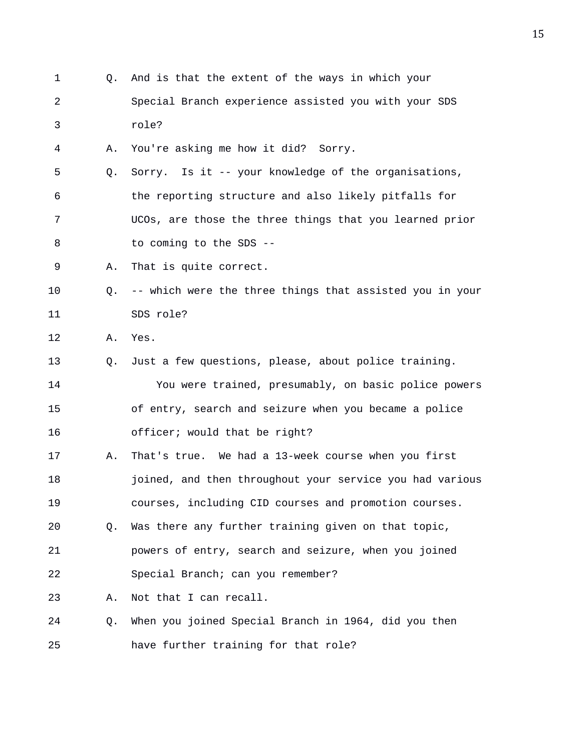1 Q. And is that the extent of the ways in which your 2 Special Branch experience assisted you with your SDS 3 role? 4 A. You're asking me how it did? Sorry. 5 Q. Sorry. Is it -- your knowledge of the organisations, 6 the reporting structure and also likely pitfalls for 7 UCOs, are those the three things that you learned prior 8 to coming to the SDS --9 A. That is quite correct. 10 Q. -- which were the three things that assisted you in your 11 SDS role? 12 A. Yes. 13 Q. Just a few questions, please, about police training. 14 You were trained, presumably, on basic police powers 15 of entry, search and seizure when you became a police 16 officer; would that be right? 17 A. That's true. We had a 13-week course when you first 18 joined, and then throughout your service you had various 19 courses, including CID courses and promotion courses. 20 Q. Was there any further training given on that topic, 21 powers of entry, search and seizure, when you joined 22 Special Branch; can you remember? 23 A. Not that I can recall. 24 Q. When you joined Special Branch in 1964, did you then 25 have further training for that role?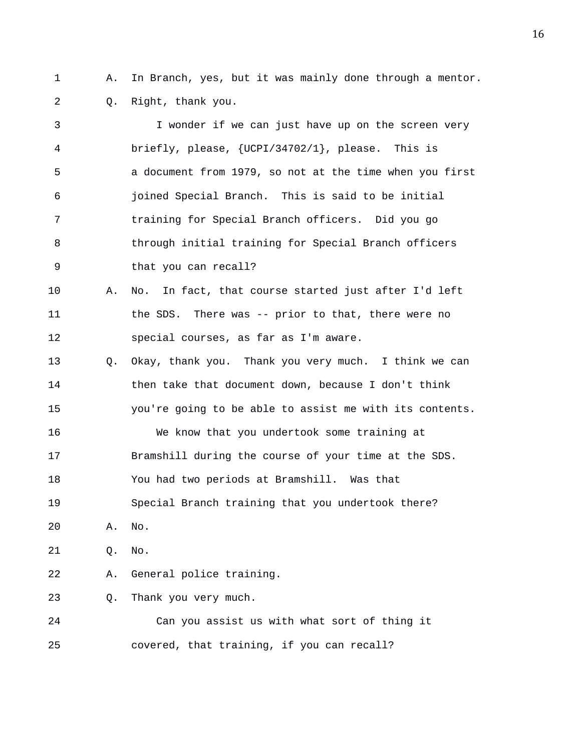1 A. In Branch, yes, but it was mainly done through a mentor. 2 Q. Right, thank you.

3 I wonder if we can just have up on the screen very 4 briefly, please, {UCPI/34702/1}, please. This is 5 a document from 1979, so not at the time when you first 6 joined Special Branch. This is said to be initial 7 training for Special Branch officers. Did you go 8 through initial training for Special Branch officers 9 that you can recall? 10 A. No. In fact, that course started just after I'd left 11 the SDS. There was -- prior to that, there were no 12 special courses, as far as I'm aware. 13 Q. Okay, thank you. Thank you very much. I think we can 14 then take that document down, because I don't think 15 you're going to be able to assist me with its contents. 16 We know that you undertook some training at 17 Bramshill during the course of your time at the SDS. 18 You had two periods at Bramshill. Was that 19 Special Branch training that you undertook there? 20 A. No. 21 Q. No. 22 A. General police training. 23 Q. Thank you very much. 24 Can you assist us with what sort of thing it 25 covered, that training, if you can recall?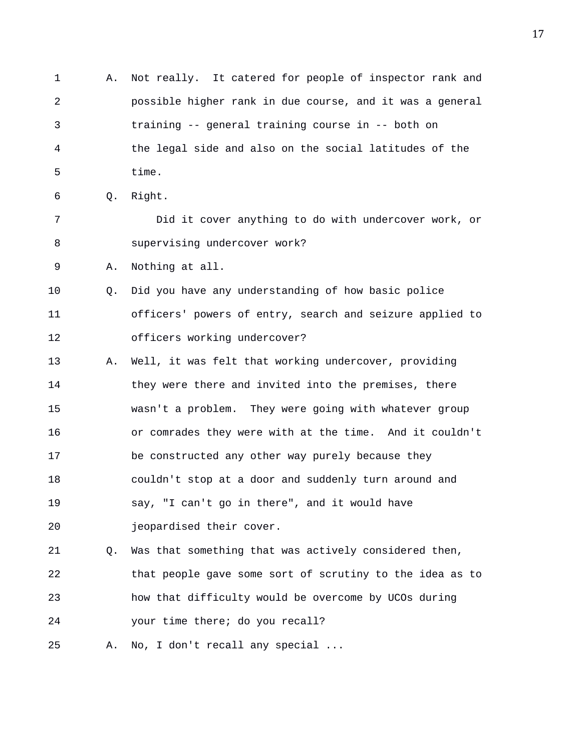1 A. Not really. It catered for people of inspector rank and 2 possible higher rank in due course, and it was a general 3 training -- general training course in -- both on 4 the legal side and also on the social latitudes of the 5 time. 6 Q. Right. 7 Did it cover anything to do with undercover work, or 8 supervising undercover work? 9 A. Nothing at all. 10 Q. Did you have any understanding of how basic police 11 officers' powers of entry, search and seizure applied to 12 officers working undercover? 13 A. Well, it was felt that working undercover, providing 14 they were there and invited into the premises, there 15 wasn't a problem. They were going with whatever group 16 or comrades they were with at the time. And it couldn't 17 be constructed any other way purely because they 18 couldn't stop at a door and suddenly turn around and 19 say, "I can't go in there", and it would have 20 jeopardised their cover. 21 Q. Was that something that was actively considered then, 22 that people gave some sort of scrutiny to the idea as to 23 how that difficulty would be overcome by UCOs during

24 your time there; do you recall?

25 A. No, I don't recall any special ...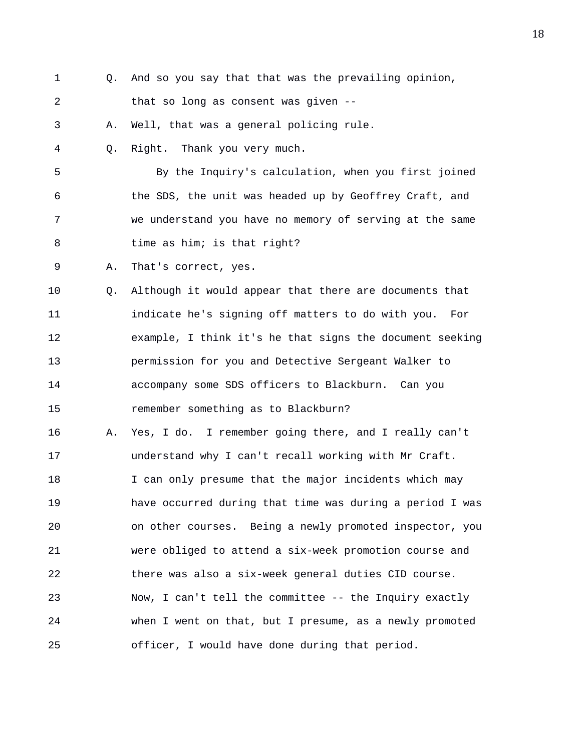- 
- 1 Q. And so you say that that was the prevailing opinion,

2 that so long as consent was given --

3 A. Well, that was a general policing rule.

4 Q. Right. Thank you very much.

5 By the Inquiry's calculation, when you first joined 6 the SDS, the unit was headed up by Geoffrey Craft, and 7 we understand you have no memory of serving at the same 8 time as him; is that right?

9 A. That's correct, yes.

10 Q. Although it would appear that there are documents that 11 indicate he's signing off matters to do with you. For 12 example, I think it's he that signs the document seeking 13 permission for you and Detective Sergeant Walker to 14 accompany some SDS officers to Blackburn. Can you 15 remember something as to Blackburn?

16 A. Yes, I do. I remember going there, and I really can't 17 understand why I can't recall working with Mr Craft. 18 I can only presume that the major incidents which may 19 have occurred during that time was during a period I was 20 on other courses. Being a newly promoted inspector, you 21 were obliged to attend a six-week promotion course and 22 there was also a six-week general duties CID course. 23 Now, I can't tell the committee -- the Inquiry exactly 24 when I went on that, but I presume, as a newly promoted 25 officer, I would have done during that period.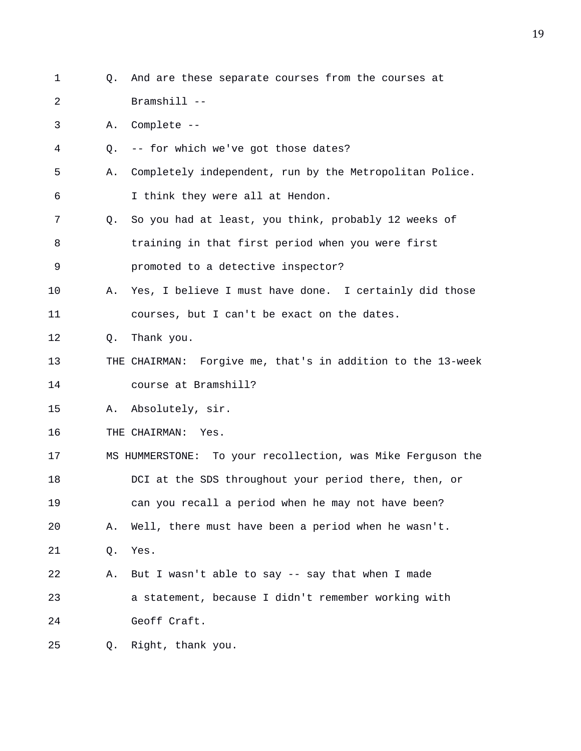1 Q. And are these separate courses from the courses at 2 Bramshill -- 3 A. Complete -- 4 Q. -- for which we've got those dates? 5 A. Completely independent, run by the Metropolitan Police. 6 I think they were all at Hendon. 7 Q. So you had at least, you think, probably 12 weeks of 8 training in that first period when you were first 9 promoted to a detective inspector? 10 A. Yes, I believe I must have done. I certainly did those 11 courses, but I can't be exact on the dates. 12 Q. Thank you. 13 THE CHAIRMAN: Forgive me, that's in addition to the 13-week 14 course at Bramshill? 15 A. Absolutely, sir. 16 THE CHAIRMAN: Yes. 17 MS HUMMERSTONE: To your recollection, was Mike Ferguson the 18 DCI at the SDS throughout your period there, then, or 19 can you recall a period when he may not have been? 20 A. Well, there must have been a period when he wasn't. 21 Q. Yes. 22 A. But I wasn't able to say -- say that when I made 23 a statement, because I didn't remember working with 24 Geoff Craft. 25 Q. Right, thank you.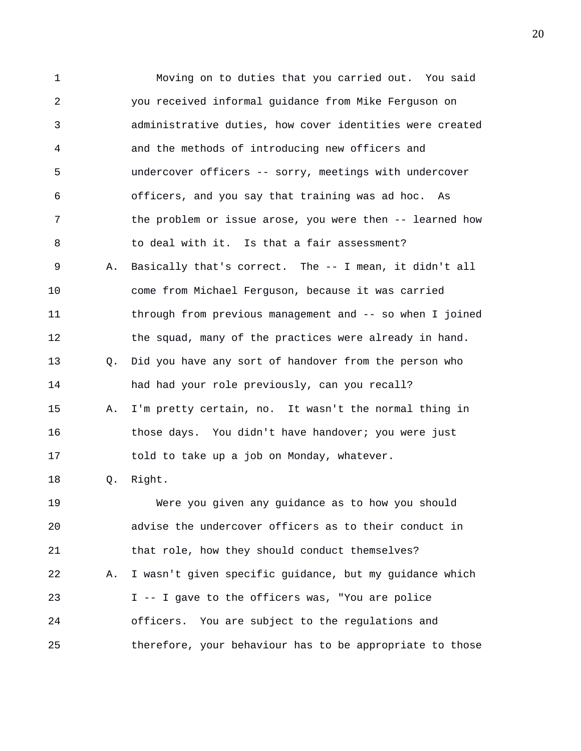1 Moving on to duties that you carried out. You said 2 you received informal guidance from Mike Ferguson on 3 administrative duties, how cover identities were created 4 and the methods of introducing new officers and 5 undercover officers -- sorry, meetings with undercover 6 officers, and you say that training was ad hoc. As 7 the problem or issue arose, you were then -- learned how 8 to deal with it. Is that a fair assessment? 9 A. Basically that's correct. The -- I mean, it didn't all 10 come from Michael Ferguson, because it was carried 11 through from previous management and -- so when I joined 12 the squad, many of the practices were already in hand. 13 Q. Did you have any sort of handover from the person who 14 had had your role previously, can you recall? 15 A. I'm pretty certain, no. It wasn't the normal thing in 16 those days. You didn't have handover; you were just 17 told to take up a job on Monday, whatever. 18 Q. Right. 19 Were you given any guidance as to how you should 20 advise the undercover officers as to their conduct in 21 that role, how they should conduct themselves? 22 A. I wasn't given specific guidance, but my guidance which 23 I -- I gave to the officers was, "You are police 24 officers. You are subject to the regulations and

25 therefore, your behaviour has to be appropriate to those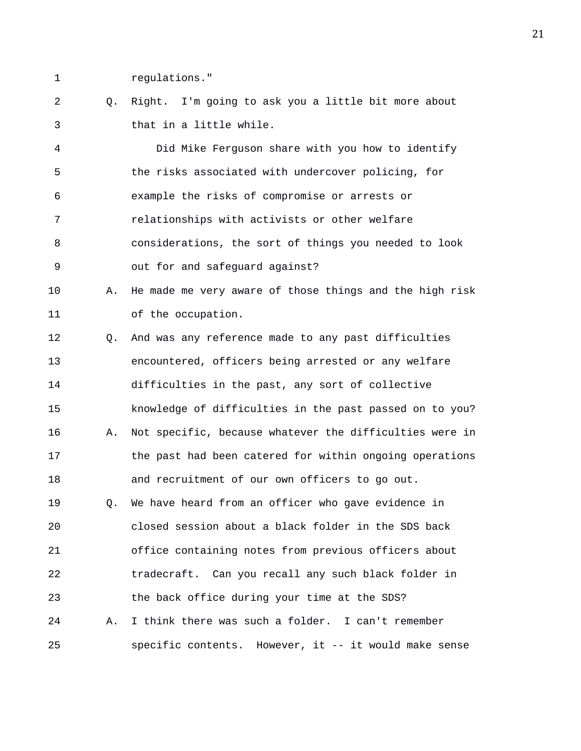1 regulations."

2 Q. Right. I'm going to ask you a little bit more about 3 that in a little while.

4 Did Mike Ferguson share with you how to identify 5 the risks associated with undercover policing, for 6 example the risks of compromise or arrests or 7 relationships with activists or other welfare 8 considerations, the sort of things you needed to look 9 out for and safeguard against?

10 A. He made me very aware of those things and the high risk 11 of the occupation.

12 Q. And was any reference made to any past difficulties 13 encountered, officers being arrested or any welfare 14 difficulties in the past, any sort of collective 15 knowledge of difficulties in the past passed on to you? 16 A. Not specific, because whatever the difficulties were in 17 the past had been catered for within ongoing operations 18 and recruitment of our own officers to go out. 19 Q. We have heard from an officer who gave evidence in

20 closed session about a black folder in the SDS back 21 office containing notes from previous officers about 22 tradecraft. Can you recall any such black folder in 23 the back office during your time at the SDS? 24 A. I think there was such a folder. I can't remember 25 specific contents. However, it -- it would make sense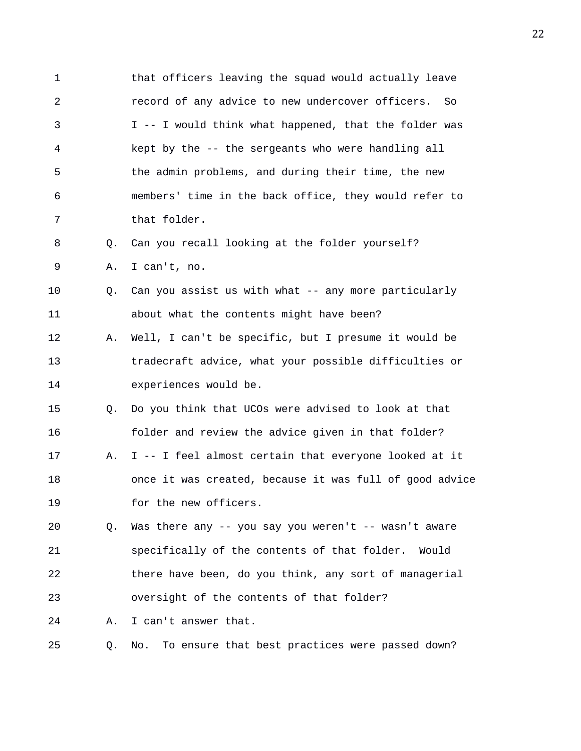1 that officers leaving the squad would actually leave 2 record of any advice to new undercover officers. So 3 I -- I would think what happened, that the folder was 4 kept by the -- the sergeants who were handling all 5 the admin problems, and during their time, the new 6 members' time in the back office, they would refer to 7 that folder. 8 Q. Can you recall looking at the folder yourself? 9 A. I can't, no. 10 Q. Can you assist us with what -- any more particularly 11 about what the contents might have been? 12 A. Well, I can't be specific, but I presume it would be 13 tradecraft advice, what your possible difficulties or 14 experiences would be. 15 Q. Do you think that UCOs were advised to look at that 16 folder and review the advice given in that folder? 17 A. I -- I feel almost certain that everyone looked at it 18 once it was created, because it was full of good advice 19 for the new officers. 20 Q. Was there any -- you say you weren't -- wasn't aware 21 specifically of the contents of that folder. Would 22 there have been, do you think, any sort of managerial 23 oversight of the contents of that folder? 24 A. I can't answer that. 25 Q. No. To ensure that best practices were passed down?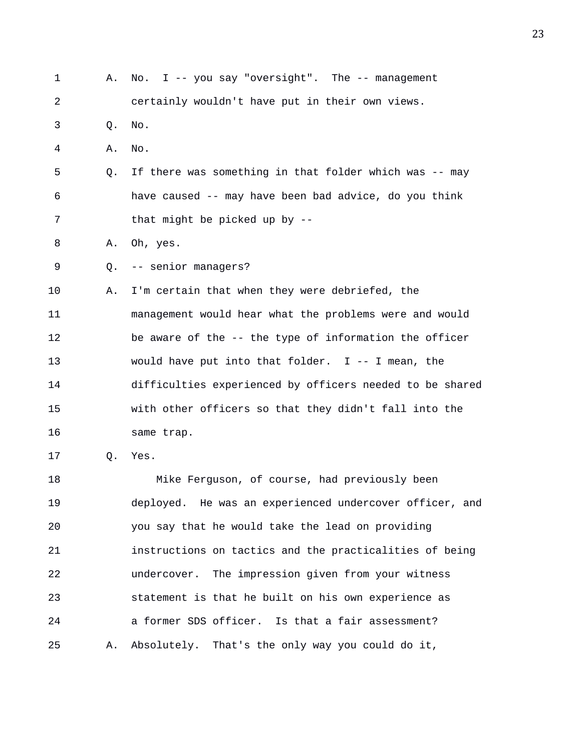| $\mathbf 1$ | А. | I -- you say "oversight". The -- management<br>No.       |
|-------------|----|----------------------------------------------------------|
| 2           |    | certainly wouldn't have put in their own views.          |
| 3           | Q. | No.                                                      |
| 4           | Α. | No.                                                      |
| 5           | Q. | If there was something in that folder which was -- may   |
| 6           |    | have caused -- may have been bad advice, do you think    |
| 7           |    | that might be picked up by --                            |
| 8           | Α. | Oh, yes.                                                 |
| 9           | Q. | -- senior managers?                                      |
| 10          | Α. | I'm certain that when they were debriefed, the           |
| 11          |    | management would hear what the problems were and would   |
| 12          |    | be aware of the -- the type of information the officer   |
| 13          |    | would have put into that folder. $I$ -- I mean, the      |
| 14          |    | difficulties experienced by officers needed to be shared |
| 15          |    | with other officers so that they didn't fall into the    |
| 16          |    | same trap.                                               |
| 17          | Q. | Yes.                                                     |
| 18          |    | Mike Ferguson, of course, had previously been            |
| 19          |    | deployed. He was an experienced undercover officer, and  |
| 20          |    | you say that he would take the lead on providing         |
| 21          |    | instructions on tactics and the practicalities of being  |
| 22          |    | undercover. The impression given from your witness       |
| 23          |    | statement is that he built on his own experience as      |
| 24          |    | a former SDS officer. Is that a fair assessment?         |
| 25          | Α. | Absolutely. That's the only way you could do it,         |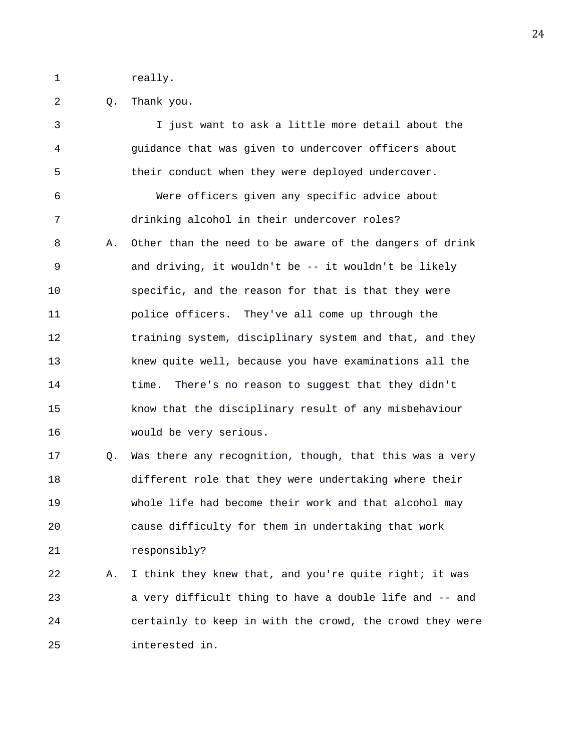1 really.

2 Q. Thank you.

3 I just want to ask a little more detail about the 4 guidance that was given to undercover officers about 5 their conduct when they were deployed undercover. 6 Were officers given any specific advice about 7 drinking alcohol in their undercover roles? 8 A. Other than the need to be aware of the dangers of drink 9 and driving, it wouldn't be -- it wouldn't be likely 10 specific, and the reason for that is that they were 11 police officers. They've all come up through the 12 training system, disciplinary system and that, and they 13 knew quite well, because you have examinations all the 14 time. There's no reason to suggest that they didn't 15 know that the disciplinary result of any misbehaviour 16 would be very serious. 17 Q. Was there any recognition, though, that this was a very 18 different role that they were undertaking where their 19 whole life had become their work and that alcohol may 20 cause difficulty for them in undertaking that work 21 responsibly? 22 A. I think they knew that, and you're quite right; it was 23 a very difficult thing to have a double life and -- and 24 certainly to keep in with the crowd, the crowd they were 25 interested in.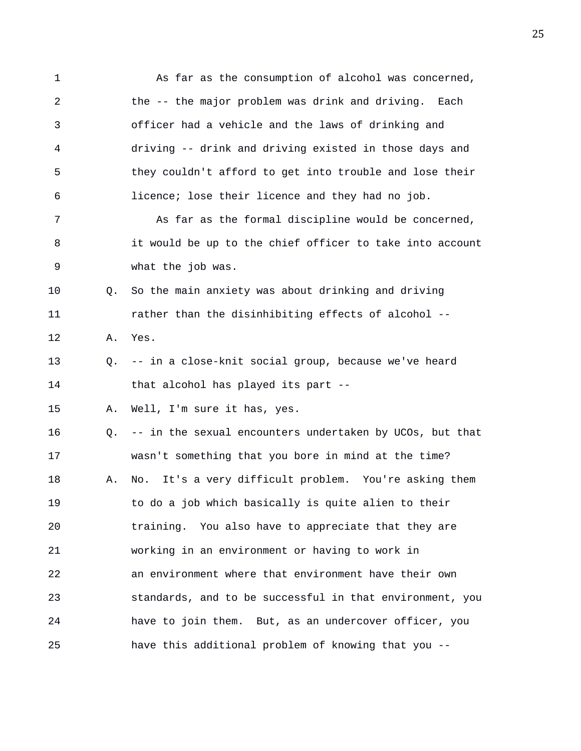1 As far as the consumption of alcohol was concerned, 2 the -- the major problem was drink and driving. Each 3 officer had a vehicle and the laws of drinking and 4 driving -- drink and driving existed in those days and 5 they couldn't afford to get into trouble and lose their 6 licence; lose their licence and they had no job. 7 As far as the formal discipline would be concerned, 8 it would be up to the chief officer to take into account 9 what the job was. 10 Q. So the main anxiety was about drinking and driving 11 rather than the disinhibiting effects of alcohol -- 12 A. Yes. 13 Q. -- in a close-knit social group, because we've heard 14 that alcohol has played its part -- 15 A. Well, I'm sure it has, yes. 16 Q. -- in the sexual encounters undertaken by UCOs, but that 17 wasn't something that you bore in mind at the time? 18 A. No. It's a very difficult problem. You're asking them 19 to do a job which basically is quite alien to their 20 training. You also have to appreciate that they are 21 working in an environment or having to work in 22 an environment where that environment have their own 23 standards, and to be successful in that environment, you 24 have to join them. But, as an undercover officer, you 25 have this additional problem of knowing that you --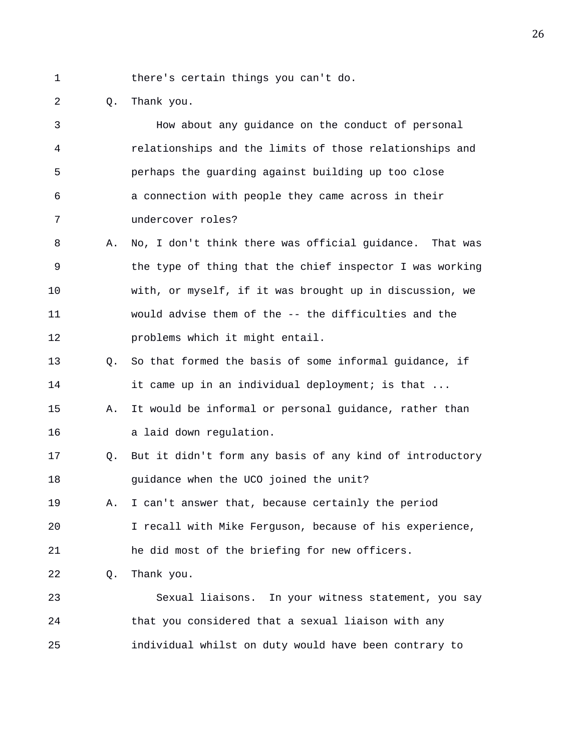1 there's certain things you can't do.

2 Q. Thank you.

3 How about any guidance on the conduct of personal 4 relationships and the limits of those relationships and 5 perhaps the guarding against building up too close 6 a connection with people they came across in their 7 undercover roles? 8 A. No, I don't think there was official guidance. That was 9 the type of thing that the chief inspector I was working 10 with, or myself, if it was brought up in discussion, we 11 would advise them of the -- the difficulties and the 12 problems which it might entail. 13 Q. So that formed the basis of some informal guidance, if 14 it came up in an individual deployment; is that ... 15 A. It would be informal or personal guidance, rather than 16 a laid down regulation. 17 Q. But it didn't form any basis of any kind of introductory 18 guidance when the UCO joined the unit? 19 A. I can't answer that, because certainly the period 20 I recall with Mike Ferguson, because of his experience, 21 he did most of the briefing for new officers. 22 Q. Thank you. 23 Sexual liaisons. In your witness statement, you say 24 that you considered that a sexual liaison with any 25 individual whilst on duty would have been contrary to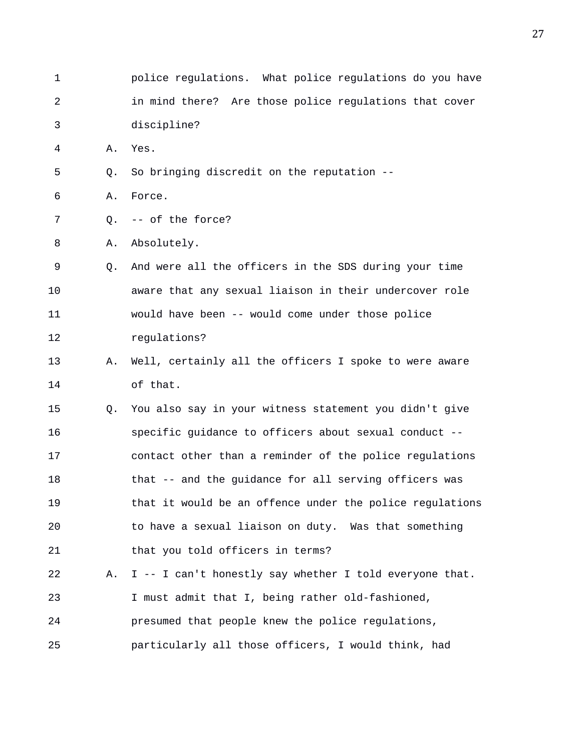1 police regulations. What police regulations do you have 2 in mind there? Are those police regulations that cover 3 discipline? 4 A. Yes. 5 Q. So bringing discredit on the reputation -- 6 A. Force. 7 Q. -- of the force? 8 A. Absolutely. 9 Q. And were all the officers in the SDS during your time 10 aware that any sexual liaison in their undercover role 11 would have been -- would come under those police 12 regulations? 13 A. Well, certainly all the officers I spoke to were aware 14 of that. 15 Q. You also say in your witness statement you didn't give 16 specific guidance to officers about sexual conduct -- 17 contact other than a reminder of the police regulations 18 that -- and the guidance for all serving officers was 19 that it would be an offence under the police regulations 20 to have a sexual liaison on duty. Was that something 21 that you told officers in terms? 22 A. I -- I can't honestly say whether I told everyone that. 23 I must admit that I, being rather old-fashioned, 24 presumed that people knew the police regulations, 25 particularly all those officers, I would think, had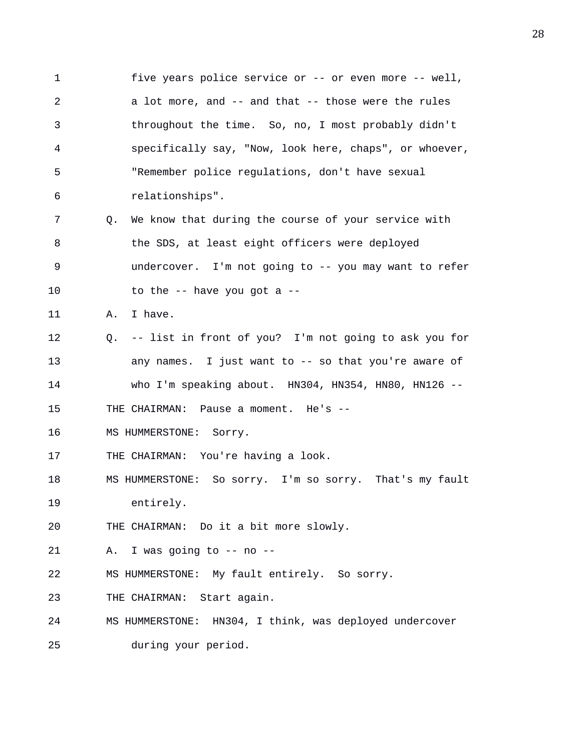1 five years police service or -- or even more -- well, 2 a lot more, and -- and that -- those were the rules 3 throughout the time. So, no, I most probably didn't 4 specifically say, "Now, look here, chaps", or whoever, 5 "Remember police regulations, don't have sexual 6 relationships". 7 Q. We know that during the course of your service with 8 the SDS, at least eight officers were deployed 9 undercover. I'm not going to -- you may want to refer 10 to the  $-$ - have you got a  $-$ 11 A. I have. 12 Q. -- list in front of you? I'm not going to ask you for 13 any names. I just want to -- so that you're aware of 14 who I'm speaking about. HN304, HN354, HN80, HN126 -- 15 THE CHAIRMAN: Pause a moment. He's -- 16 MS HUMMERSTONE: Sorry. 17 THE CHAIRMAN: You're having a look. 18 MS HUMMERSTONE: So sorry. I'm so sorry. That's my fault 19 entirely. 20 THE CHAIRMAN: Do it a bit more slowly. 21 A. I was going to -- no -- 22 MS HUMMERSTONE: My fault entirely. So sorry. 23 THE CHAIRMAN: Start again. 24 MS HUMMERSTONE: HN304, I think, was deployed undercover 25 during your period.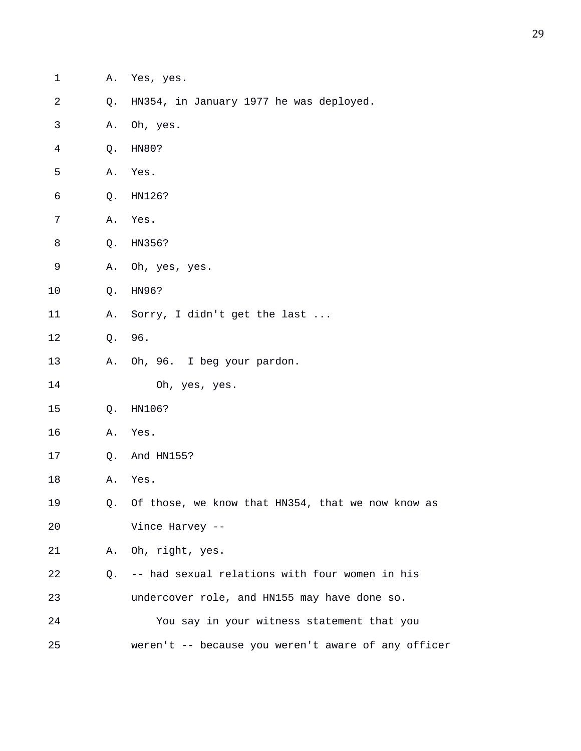| 1              | Α. | Yes, yes.                                           |
|----------------|----|-----------------------------------------------------|
| $\sqrt{2}$     | Q. | HN354, in January 1977 he was deployed.             |
| $\mathfrak{Z}$ | Α. | Oh, yes.                                            |
| $\overline{4}$ | Q. | HN80?                                               |
| 5              | Α. | Yes.                                                |
| 6              | Q. | HN126?                                              |
| 7              | Α. | Yes.                                                |
| $\,8\,$        | Q. | HN356?                                              |
| $\mathsf 9$    | Α. | Oh, yes, yes.                                       |
| 10             | Q. | HN96?                                               |
| 11             | Α. | Sorry, I didn't get the last                        |
| 12             | Q. | 96.                                                 |
| 13             | Α. | Oh, 96. I beg your pardon.                          |
| 14             |    | Oh, yes, yes.                                       |
| 15             | Q. | HN106?                                              |
| 16             | Α. | Yes.                                                |
| 17             | Q. | And HN155?                                          |
| 18             | Α. | Yes.                                                |
| 19             | Q. | Of those, we know that HN354, that we now know as   |
| 20             |    | Vince Harvey --                                     |
| 21             |    | A. Oh, right, yes.                                  |
| 22             | Q. | -- had sexual relations with four women in his      |
| 23             |    | undercover role, and HN155 may have done so.        |
| 24             |    | You say in your witness statement that you          |
| 25             |    | weren't -- because you weren't aware of any officer |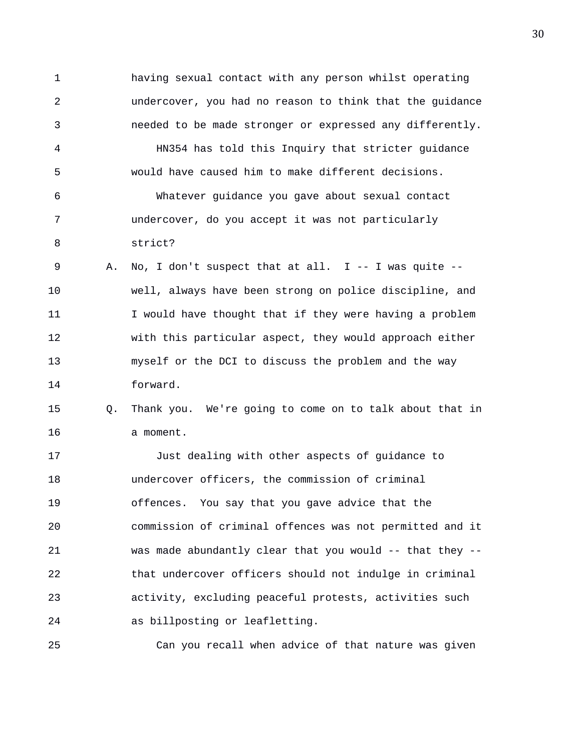1 having sexual contact with any person whilst operating 2 undercover, you had no reason to think that the guidance 3 needed to be made stronger or expressed any differently. 4 HN354 has told this Inquiry that stricter guidance 5 would have caused him to make different decisions. 6 Whatever guidance you gave about sexual contact 7 undercover, do you accept it was not particularly 8 strict? 9 A. No, I don't suspect that at all. I -- I was quite -- 10 well, always have been strong on police discipline, and 11 I would have thought that if they were having a problem 12 with this particular aspect, they would approach either 13 myself or the DCI to discuss the problem and the way 14 forward. 15 Q. Thank you. We're going to come on to talk about that in 16 a moment. 17 Just dealing with other aspects of guidance to 18 undercover officers, the commission of criminal 19 offences. You say that you gave advice that the 20 commission of criminal offences was not permitted and it 21 was made abundantly clear that you would -- that they -- 22 that undercover officers should not indulge in criminal 23 activity, excluding peaceful protests, activities such 24 as billposting or leafletting.

25 Can you recall when advice of that nature was given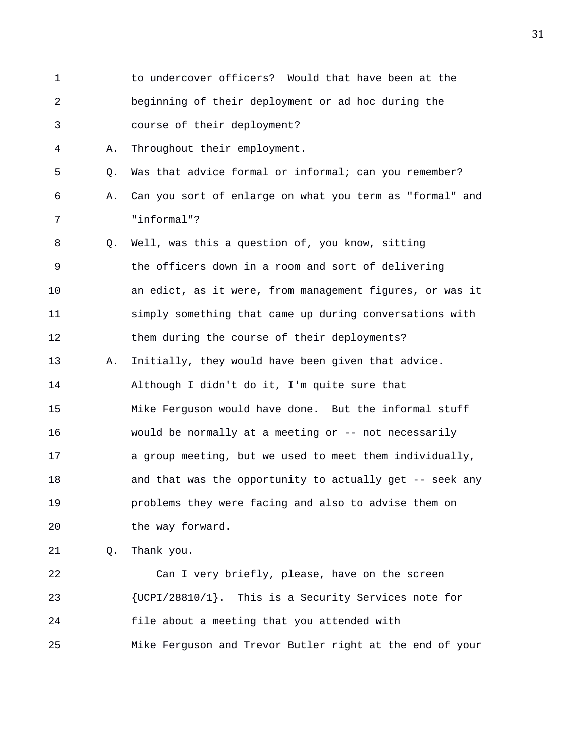1 to undercover officers? Would that have been at the 2 beginning of their deployment or ad hoc during the 3 course of their deployment? 4 A. Throughout their employment. 5 Q. Was that advice formal or informal; can you remember? 6 A. Can you sort of enlarge on what you term as "formal" and 7 "informal"? 8 Q. Well, was this a question of, you know, sitting 9 the officers down in a room and sort of delivering 10 an edict, as it were, from management figures, or was it 11 simply something that came up during conversations with 12 them during the course of their deployments? 13 A. Initially, they would have been given that advice. 14 Although I didn't do it, I'm quite sure that 15 Mike Ferguson would have done. But the informal stuff 16 would be normally at a meeting or -- not necessarily 17 a group meeting, but we used to meet them individually, 18 and that was the opportunity to actually get -- seek any 19 problems they were facing and also to advise them on 20 the way forward. 21 Q. Thank you.

22 Can I very briefly, please, have on the screen 23 {UCPI/28810/1}. This is a Security Services note for 24 file about a meeting that you attended with 25 Mike Ferguson and Trevor Butler right at the end of your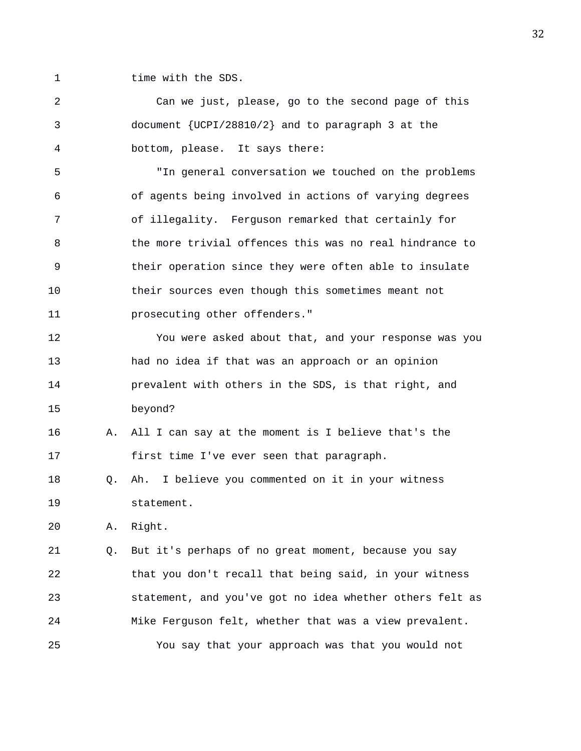1 time with the SDS.

2 Can we just, please, go to the second page of this 3 document {UCPI/28810/2} and to paragraph 3 at the 4 bottom, please. It says there: 5 "In general conversation we touched on the problems 6 of agents being involved in actions of varying degrees 7 of illegality. Ferguson remarked that certainly for 8 the more trivial offences this was no real hindrance to 9 their operation since they were often able to insulate 10 their sources even though this sometimes meant not 11 prosecuting other offenders." 12 You were asked about that, and your response was you 13 had no idea if that was an approach or an opinion 14 prevalent with others in the SDS, is that right, and 15 beyond? 16 A. All I can say at the moment is I believe that's the 17 first time I've ever seen that paragraph. 18 Q. Ah. I believe you commented on it in your witness 19 statement. 20 A. Right. 21 Q. But it's perhaps of no great moment, because you say 22 that you don't recall that being said, in your witness 23 statement, and you've got no idea whether others felt as 24 Mike Ferguson felt, whether that was a view prevalent.

25 You say that your approach was that you would not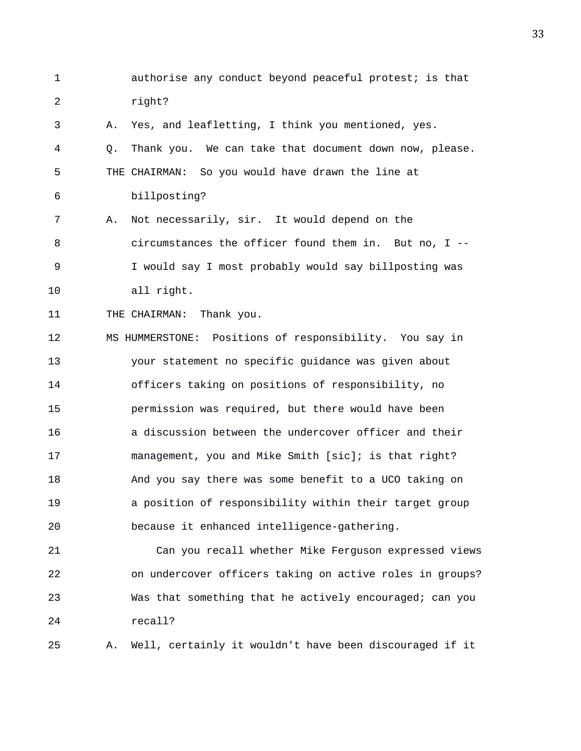1 authorise any conduct beyond peaceful protest; is that 2 right?

3 A. Yes, and leafletting, I think you mentioned, yes. 4 Q. Thank you. We can take that document down now, please. 5 THE CHAIRMAN: So you would have drawn the line at 6 billposting? 7 A. Not necessarily, sir. It would depend on the 8 circumstances the officer found them in. But no, I -- 9 I would say I most probably would say billposting was 10 all right.

11 THE CHAIRMAN: Thank you.

12 MS HUMMERSTONE: Positions of responsibility. You say in 13 your statement no specific guidance was given about 14 officers taking on positions of responsibility, no 15 permission was required, but there would have been 16 a discussion between the undercover officer and their 17 management, you and Mike Smith [sic]; is that right? 18 And you say there was some benefit to a UCO taking on 19 a position of responsibility within their target group 20 because it enhanced intelligence-gathering.

21 Can you recall whether Mike Ferguson expressed views 22 on undercover officers taking on active roles in groups? 23 Was that something that he actively encouraged; can you 24 recall?

25 A. Well, certainly it wouldn't have been discouraged if it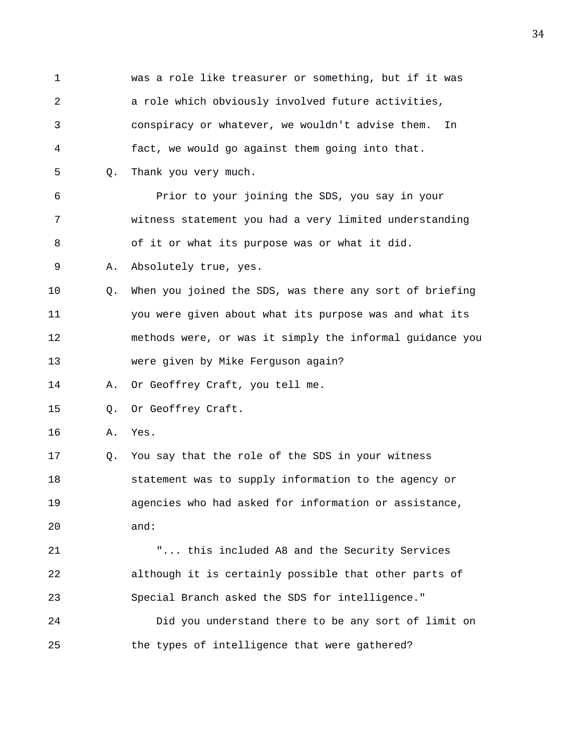1 was a role like treasurer or something, but if it was 2 a role which obviously involved future activities, 3 conspiracy or whatever, we wouldn't advise them. In 4 fact, we would go against them going into that. 5 Q. Thank you very much. 6 Prior to your joining the SDS, you say in your 7 witness statement you had a very limited understanding 8 of it or what its purpose was or what it did. 9 A. Absolutely true, yes. 10 Q. When you joined the SDS, was there any sort of briefing 11 you were given about what its purpose was and what its 12 methods were, or was it simply the informal guidance you 13 were given by Mike Ferguson again? 14 A. Or Geoffrey Craft, you tell me. 15 0. Or Geoffrey Craft. 16 A. Yes. 17 Q. You say that the role of the SDS in your witness 18 statement was to supply information to the agency or 19 agencies who had asked for information or assistance, 20 and: 21 "... this included A8 and the Security Services 22 although it is certainly possible that other parts of 23 Special Branch asked the SDS for intelligence." 24 Did you understand there to be any sort of limit on 25 the types of intelligence that were gathered?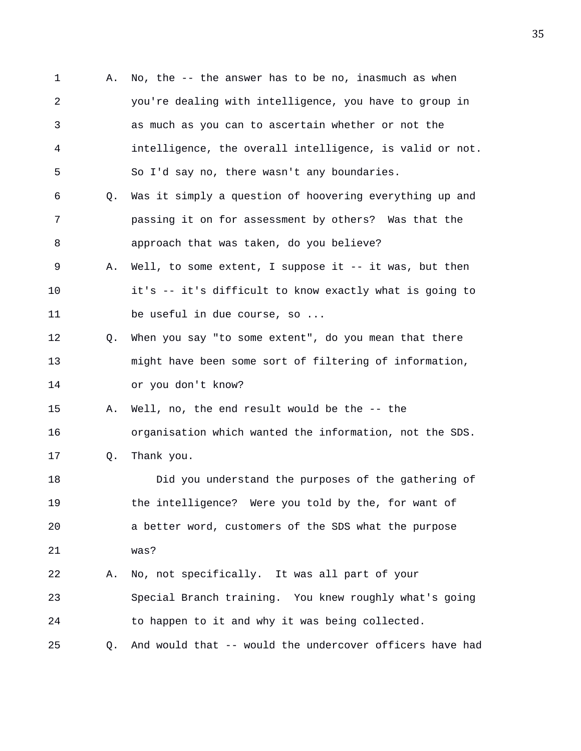1 A. No, the -- the answer has to be no, inasmuch as when 2 you're dealing with intelligence, you have to group in 3 as much as you can to ascertain whether or not the 4 intelligence, the overall intelligence, is valid or not. 5 So I'd say no, there wasn't any boundaries. 6 Q. Was it simply a question of hoovering everything up and 7 passing it on for assessment by others? Was that the 8 approach that was taken, do you believe? 9 A. Well, to some extent, I suppose it -- it was, but then 10 it's -- it's difficult to know exactly what is going to 11 be useful in due course, so ... 12 Q. When you say "to some extent", do you mean that there 13 might have been some sort of filtering of information, 14 or you don't know? 15 A. Well, no, the end result would be the -- the 16 organisation which wanted the information, not the SDS. 17 Q. Thank you. 18 Did you understand the purposes of the gathering of 19 the intelligence? Were you told by the, for want of 20 a better word, customers of the SDS what the purpose 21 was? 22 A. No, not specifically. It was all part of your 23 Special Branch training. You knew roughly what's going 24 to happen to it and why it was being collected. 25 Q. And would that -- would the undercover officers have had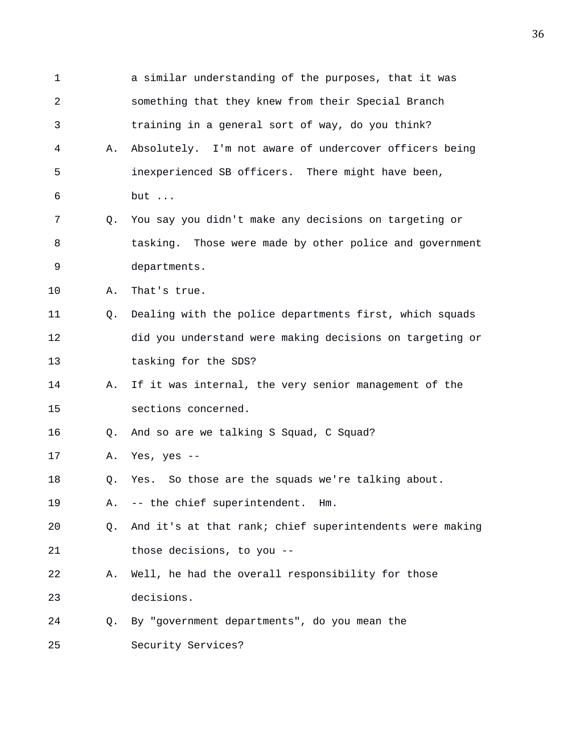| $\mathbf 1$ |    | a similar understanding of the purposes, that it was     |
|-------------|----|----------------------------------------------------------|
| 2           |    | something that they knew from their Special Branch       |
| 3           |    | training in a general sort of way, do you think?         |
| 4           | Α. | Absolutely. I'm not aware of undercover officers being   |
| 5           |    | inexperienced SB officers. There might have been,        |
| 6           |    | but                                                      |
| 7           | Q. | You say you didn't make any decisions on targeting or    |
| 8           |    | tasking. Those were made by other police and government  |
| 9           |    | departments.                                             |
| 10          | Α. | That's true.                                             |
| 11          | Q. | Dealing with the police departments first, which squads  |
| 12          |    | did you understand were making decisions on targeting or |
| 13          |    | tasking for the SDS?                                     |
| 14          | Α. | If it was internal, the very senior management of the    |
| 15          |    | sections concerned.                                      |
| 16          | Q. | And so are we talking S Squad, C Squad?                  |
| 17          | Α. | Yes, yes $--$                                            |
| 18          | Q. | Yes. So those are the squads we're talking about.        |
| 19          | Α. | -- the chief superintendent.<br>Hm.                      |
| 20          | Q. | And it's at that rank; chief superintendents were making |
| 21          |    | those decisions, to you --                               |
| 22          | Α. | Well, he had the overall responsibility for those        |
| 23          |    | decisions.                                               |
| 24          | Q. | By "government departments", do you mean the             |
| 25          |    | Security Services?                                       |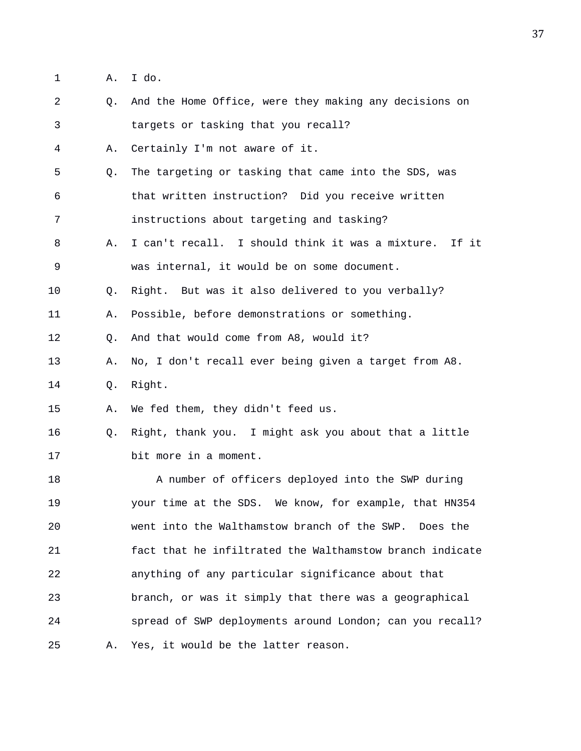1 A. I do.

| $\overline{a}$ | Q.             | And the Home Office, were they making any decisions on    |
|----------------|----------------|-----------------------------------------------------------|
| 3              |                | targets or tasking that you recall?                       |
| 4              | Α.             | Certainly I'm not aware of it.                            |
| 5              | Q <sub>z</sub> | The targeting or tasking that came into the SDS, was      |
| 6              |                | that written instruction? Did you receive written         |
| 7              |                | instructions about targeting and tasking?                 |
| 8              | Α.             | I can't recall. I should think it was a mixture.<br>If it |
| 9              |                | was internal, it would be on some document.               |
| 10             | Q.             | Right. But was it also delivered to you verbally?         |
| 11             | Α.             | Possible, before demonstrations or something.             |
| 12             | $\circ$ .      | And that would come from A8, would it?                    |
| 13             | Α.             | No, I don't recall ever being given a target from A8.     |
| 14             | Q.             | Right.                                                    |
| 15             | Α.             | We fed them, they didn't feed us.                         |
| 16             | Q.             | Right, thank you. I might ask you about that a little     |
| 17             |                | bit more in a moment.                                     |
| 18             |                | A number of officers deployed into the SWP during         |
| 19             |                | your time at the SDS. We know, for example, that HN354    |
| 20             |                | went into the Walthamstow branch of the SWP. Does the     |
| 21             |                | fact that he infiltrated the Walthamstow branch indicate  |
| 22             |                | anything of any particular significance about that        |
| 23             |                | branch, or was it simply that there was a geographical    |
| 24             |                | spread of SWP deployments around London; can you recall?  |
| 25             | Α.             | Yes, it would be the latter reason.                       |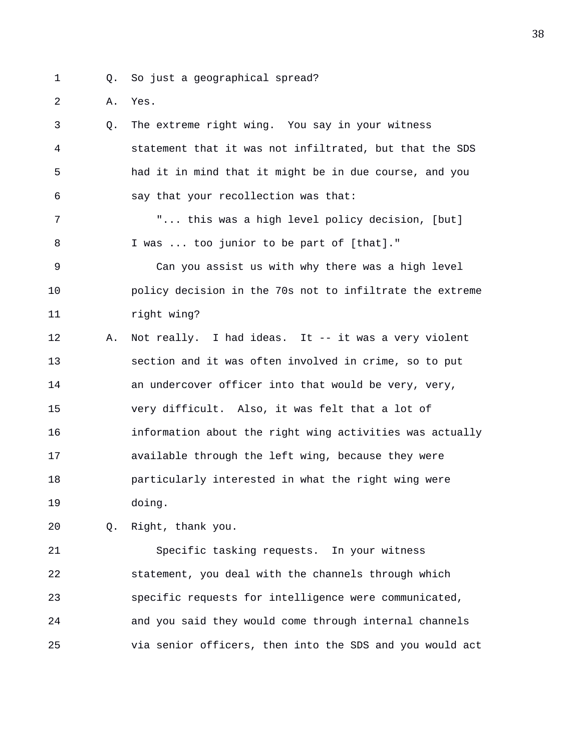1 Q. So just a geographical spread?

2 A. Yes.

3 Q. The extreme right wing. You say in your witness 4 statement that it was not infiltrated, but that the SDS 5 had it in mind that it might be in due course, and you 6 say that your recollection was that: 7 "... this was a high level policy decision, [but] 8 I was ... too junior to be part of [that]." 9 Can you assist us with why there was a high level 10 policy decision in the 70s not to infiltrate the extreme 11 right wing? 12 A. Not really. I had ideas. It -- it was a very violent 13 section and it was often involved in crime, so to put 14 an undercover officer into that would be very, very, 15 very difficult. Also, it was felt that a lot of 16 information about the right wing activities was actually 17 available through the left wing, because they were 18 particularly interested in what the right wing were 19 doing.

20 Q. Right, thank you.

21 Specific tasking requests. In your witness 22 statement, you deal with the channels through which 23 specific requests for intelligence were communicated, 24 and you said they would come through internal channels 25 via senior officers, then into the SDS and you would act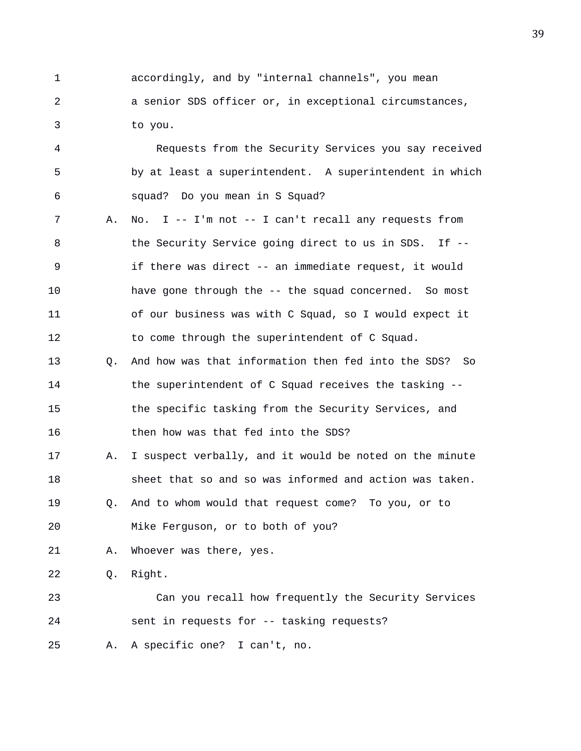1 accordingly, and by "internal channels", you mean 2 a senior SDS officer or, in exceptional circumstances, 3 to you.

4 Requests from the Security Services you say received 5 by at least a superintendent. A superintendent in which 6 squad? Do you mean in S Squad?

7 A. No. I -- I'm not -- I can't recall any requests from 8 the Security Service going direct to us in SDS. If --9 if there was direct -- an immediate request, it would 10 have gone through the -- the squad concerned. So most 11 of our business was with C Squad, so I would expect it 12 to come through the superintendent of C Squad.

13 Q. And how was that information then fed into the SDS? So 14 the superintendent of C Squad receives the tasking -- 15 the specific tasking from the Security Services, and 16 then how was that fed into the SDS?

17 A. I suspect verbally, and it would be noted on the minute 18 sheet that so and so was informed and action was taken.

19 Q. And to whom would that request come? To you, or to

20 Mike Ferguson, or to both of you?

21 A. Whoever was there, yes.

22 Q. Right.

23 Can you recall how frequently the Security Services 24 sent in requests for -- tasking requests?

25 A. A specific one? I can't, no.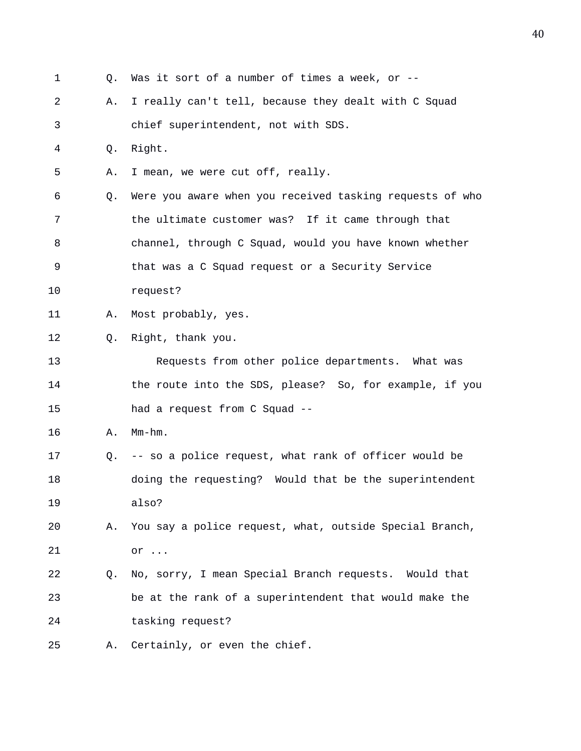1 Q. Was it sort of a number of times a week, or -- 2 A. I really can't tell, because they dealt with C Squad 3 chief superintendent, not with SDS. 4 Q. Right. 5 A. I mean, we were cut off, really. 6 Q. Were you aware when you received tasking requests of who 7 the ultimate customer was? If it came through that 8 channel, through C Squad, would you have known whether 9 that was a C Squad request or a Security Service 10 request? 11 A. Most probably, yes. 12 Q. Right, thank you. 13 Requests from other police departments. What was 14 the route into the SDS, please? So, for example, if you 15 had a request from C Squad -- 16 A. Mm-hm. 17 Q. -- so a police request, what rank of officer would be 18 doing the requesting? Would that be the superintendent 19 also? 20 A. You say a police request, what, outside Special Branch, 21 or ... 22 Q. No, sorry, I mean Special Branch requests. Would that 23 be at the rank of a superintendent that would make the 24 tasking request? 25 A. Certainly, or even the chief.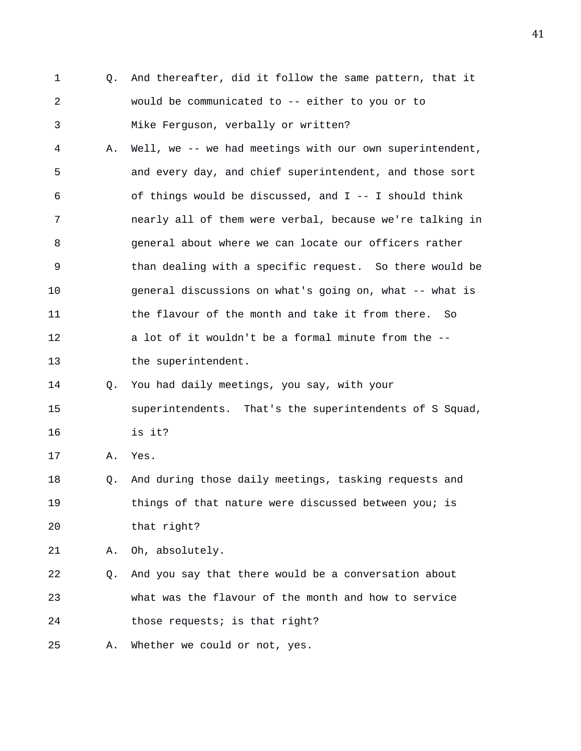1 Q. And thereafter, did it follow the same pattern, that it 2 would be communicated to -- either to you or to 3 Mike Ferguson, verbally or written? 4 A. Well, we -- we had meetings with our own superintendent, 5 and every day, and chief superintendent, and those sort 6 of things would be discussed, and I -- I should think 7 nearly all of them were verbal, because we're talking in 8 general about where we can locate our officers rather 9 than dealing with a specific request. So there would be 10 general discussions on what's going on, what -- what is 11 the flavour of the month and take it from there. So 12 a lot of it wouldn't be a formal minute from the -- 13 the superintendent. 14 Q. You had daily meetings, you say, with your 15 superintendents. That's the superintendents of S Squad, 16 is it? 17 A. Yes. 18 Q. And during those daily meetings, tasking requests and 19 things of that nature were discussed between you; is 20 that right? 21 A. Oh, absolutely. 22 Q. And you say that there would be a conversation about 23 what was the flavour of the month and how to service 24 those requests; is that right? 25 A. Whether we could or not, yes.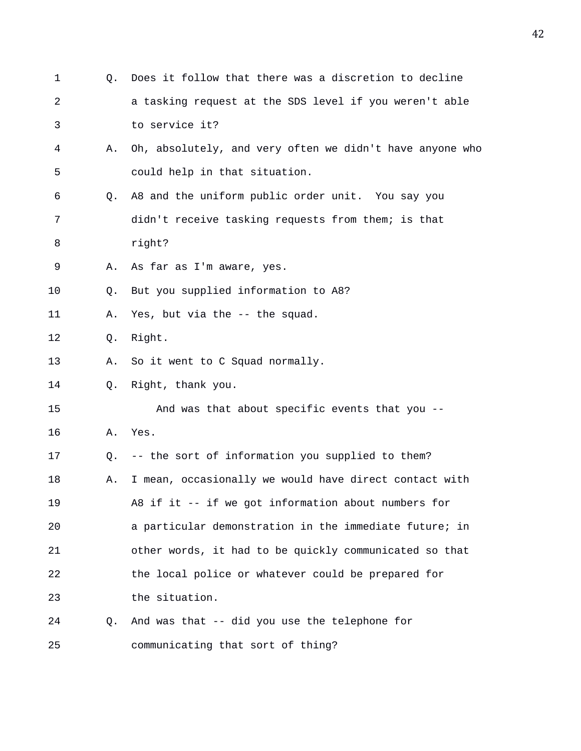| 1  | Q. | Does it follow that there was a discretion to decline    |
|----|----|----------------------------------------------------------|
| 2  |    | a tasking request at the SDS level if you weren't able   |
| 3  |    | to service it?                                           |
| 4  | Α. | Oh, absolutely, and very often we didn't have anyone who |
| 5  |    | could help in that situation.                            |
| 6  | Q. | A8 and the uniform public order unit. You say you        |
| 7  |    | didn't receive tasking requests from them; is that       |
| 8  |    | right?                                                   |
| 9  | Α. | As far as I'm aware, yes.                                |
| 10 | Q. | But you supplied information to A8?                      |
| 11 | Α. | Yes, but via the -- the squad.                           |
| 12 | Q. | Right.                                                   |
| 13 | Α. | So it went to C Squad normally.                          |
| 14 | О. | Right, thank you.                                        |
| 15 |    | And was that about specific events that you --           |
| 16 | Α. | Yes.                                                     |
| 17 | Q. | -- the sort of information you supplied to them?         |
| 18 | Α. | I mean, occasionally we would have direct contact with   |
| 19 |    | A8 if it -- if we got information about numbers for      |
| 20 |    | a particular demonstration in the immediate future; in   |
| 21 |    | other words, it had to be quickly communicated so that   |
| 22 |    | the local police or whatever could be prepared for       |
| 23 |    | the situation.                                           |
| 24 | O. | And was that -- did you use the telephone for            |
| 25 |    | communicating that sort of thing?                        |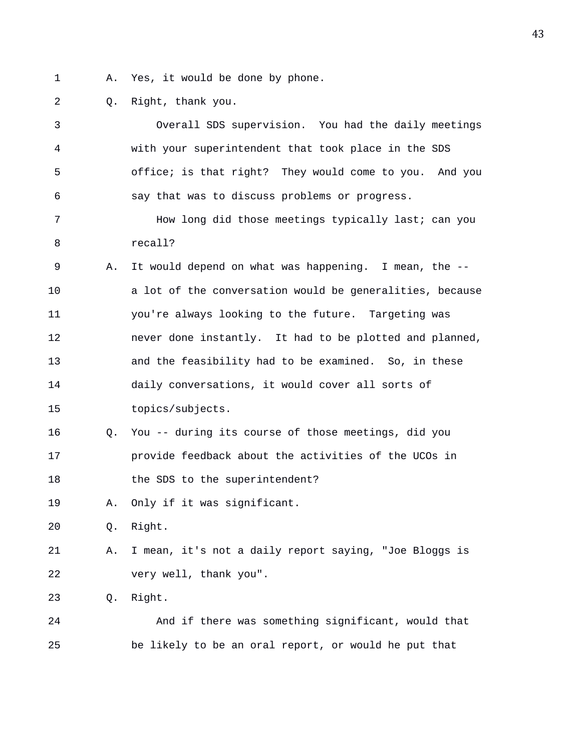- 1 A. Yes, it would be done by phone.
- 2 Q. Right, thank you.

| 3  |    | Overall SDS supervision. You had the daily meetings      |
|----|----|----------------------------------------------------------|
| 4  |    | with your superintendent that took place in the SDS      |
| 5  |    | office; is that right? They would come to you. And you   |
| 6  |    | say that was to discuss problems or progress.            |
| 7  |    | How long did those meetings typically last; can you      |
| 8  |    | recall?                                                  |
| 9  | Α. | It would depend on what was happening. I mean, the --    |
| 10 |    | a lot of the conversation would be generalities, because |
| 11 |    | you're always looking to the future. Targeting was       |
| 12 |    | never done instantly. It had to be plotted and planned,  |
| 13 |    | and the feasibility had to be examined. So, in these     |
| 14 |    | daily conversations, it would cover all sorts of         |
| 15 |    | topics/subjects.                                         |
| 16 | Q. | You -- during its course of those meetings, did you      |
| 17 |    | provide feedback about the activities of the UCOs in     |
| 18 |    | the SDS to the superintendent?                           |
| 19 | Α. | Only if it was significant.                              |
| 20 | Q. | Right.                                                   |
| 21 | Α. | I mean, it's not a daily report saying, "Joe Bloggs is   |
| 22 |    | very well, thank you".                                   |
| 23 | Q. | Right.                                                   |
| 24 |    | And if there was something significant, would that       |
| 25 |    | be likely to be an oral report, or would he put that     |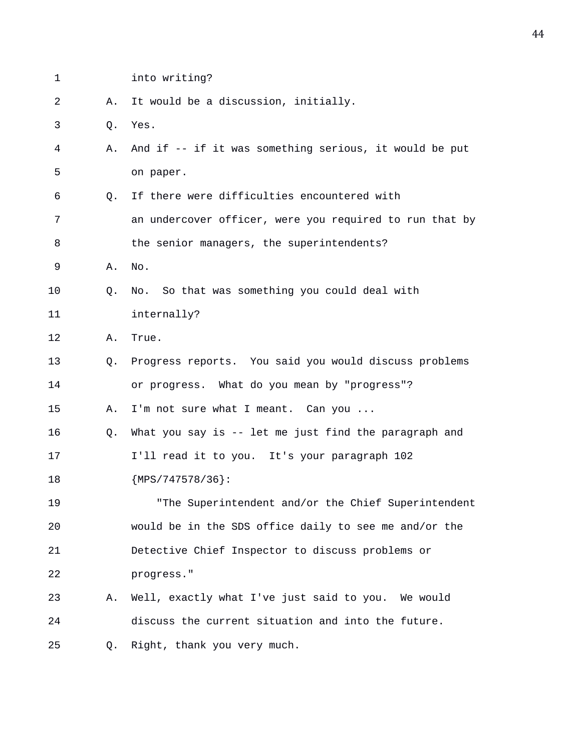| 1  |    | into writing?                                           |
|----|----|---------------------------------------------------------|
| 2  | Α. | It would be a discussion, initially.                    |
| 3  | Q. | Yes.                                                    |
| 4  | Α. | And if -- if it was something serious, it would be put  |
| 5  |    | on paper.                                               |
| 6  | Q. | If there were difficulties encountered with             |
| 7  |    | an undercover officer, were you required to run that by |
| 8  |    | the senior managers, the superintendents?               |
| 9  | Α. | No.                                                     |
| 10 | Q. | No. So that was something you could deal with           |
| 11 |    | internally?                                             |
| 12 | Α. | True.                                                   |
| 13 | Q. | Progress reports. You said you would discuss problems   |
| 14 |    | or progress. What do you mean by "progress"?            |
| 15 | Α. | I'm not sure what I meant. Can you                      |
| 16 | Q. | What you say is -- let me just find the paragraph and   |
| 17 |    | I'll read it to you. It's your paragraph 102            |
| 18 |    | ${MPS}/747578/36$ :                                     |
| 19 |    | "The Superintendent and/or the Chief Superintendent     |
| 20 |    | would be in the SDS office daily to see me and/or the   |
| 21 |    | Detective Chief Inspector to discuss problems or        |
| 22 |    | progress."                                              |
| 23 | Α. | Well, exactly what I've just said to you. We would      |
| 24 |    | discuss the current situation and into the future.      |
| 25 | Q. | Right, thank you very much.                             |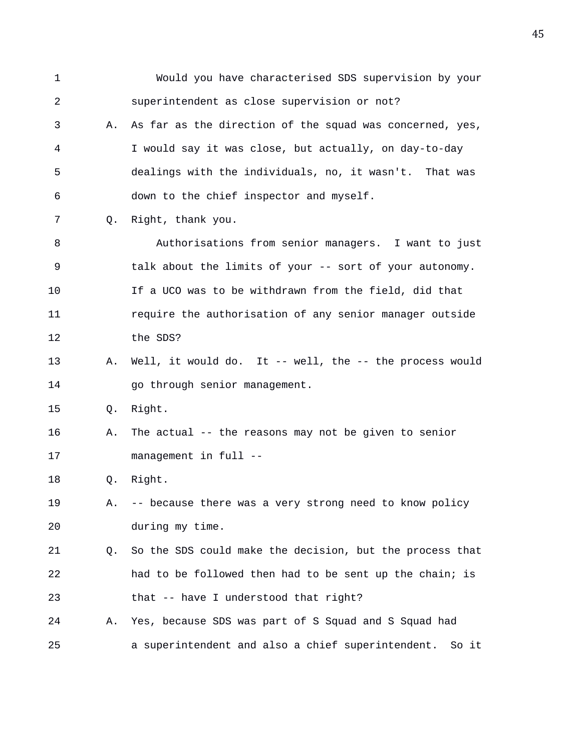1 Would you have characterised SDS supervision by your 2 superintendent as close supervision or not? 3 A. As far as the direction of the squad was concerned, yes, 4 I would say it was close, but actually, on day-to-day 5 dealings with the individuals, no, it wasn't. That was 6 down to the chief inspector and myself. 7 Q. Right, thank you. 8 Authorisations from senior managers. I want to just 9 talk about the limits of your -- sort of your autonomy. 10 If a UCO was to be withdrawn from the field, did that 11 require the authorisation of any senior manager outside 12 the SDS? 13 A. Well, it would do. It -- well, the -- the process would 14 go through senior management. 15 Q. Right. 16 A. The actual -- the reasons may not be given to senior 17 management in full -- 18 Q. Right. 19 A. -- because there was a very strong need to know policy 20 during my time. 21 Q. So the SDS could make the decision, but the process that 22 had to be followed then had to be sent up the chain; is 23 that -- have I understood that right? 24 A. Yes, because SDS was part of S Squad and S Squad had 25 a superintendent and also a chief superintendent. So it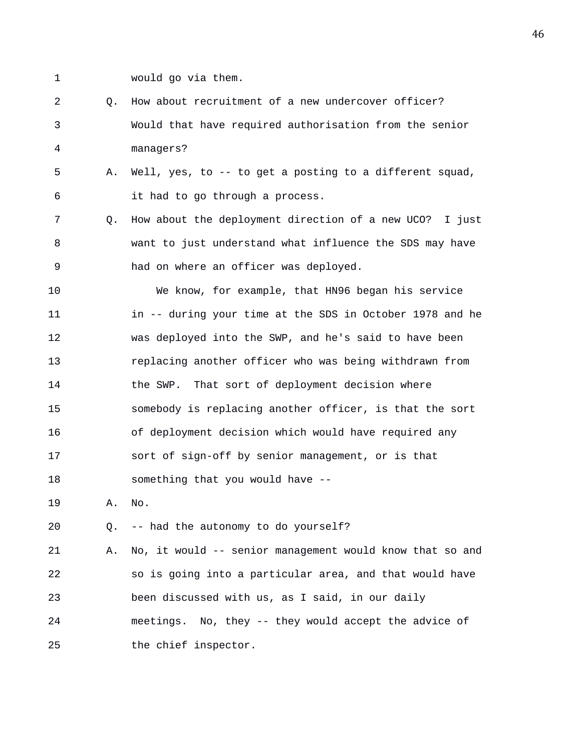- 
- 1 would go via them.
- 2 Q. How about recruitment of a new undercover officer? 3 Would that have required authorisation from the senior 4 managers?
- 5 A. Well, yes, to -- to get a posting to a different squad, 6 it had to go through a process.
- 7 Q. How about the deployment direction of a new UCO? I just 8 want to just understand what influence the SDS may have 9 had on where an officer was deployed.
- 10 We know, for example, that HN96 began his service 11 in -- during your time at the SDS in October 1978 and he 12 was deployed into the SWP, and he's said to have been 13 replacing another officer who was being withdrawn from 14 the SWP. That sort of deployment decision where 15 somebody is replacing another officer, is that the sort 16 of deployment decision which would have required any 17 sort of sign-off by senior management, or is that 18 something that you would have --
- 19 A. No.
- 20 Q. -- had the autonomy to do yourself?

21 A. No, it would -- senior management would know that so and 22 so is going into a particular area, and that would have 23 been discussed with us, as I said, in our daily 24 meetings. No, they -- they would accept the advice of 25 the chief inspector.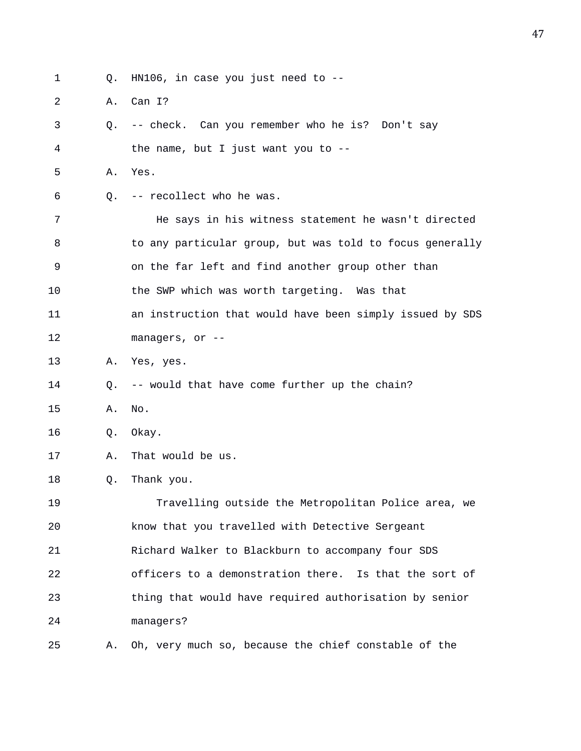1 Q. HN106, in case you just need to --

2 A. Can I?

3 Q. -- check. Can you remember who he is? Don't say 4 the name, but I just want you to -- 5 A. Yes. 6 Q. -- recollect who he was. 7 He says in his witness statement he wasn't directed 8 to any particular group, but was told to focus generally 9 on the far left and find another group other than 10 the SWP which was worth targeting. Was that 11 an instruction that would have been simply issued by SDS 12 managers, or -- 13 A. Yes, yes. 14 Q. -- would that have come further up the chain? 15 A. No. 16 Q. Okay. 17 A. That would be us. 18 Q. Thank you. 19 Travelling outside the Metropolitan Police area, we 20 know that you travelled with Detective Sergeant 21 Richard Walker to Blackburn to accompany four SDS 22 officers to a demonstration there. Is that the sort of 23 thing that would have required authorisation by senior 24 managers? 25 A. Oh, very much so, because the chief constable of the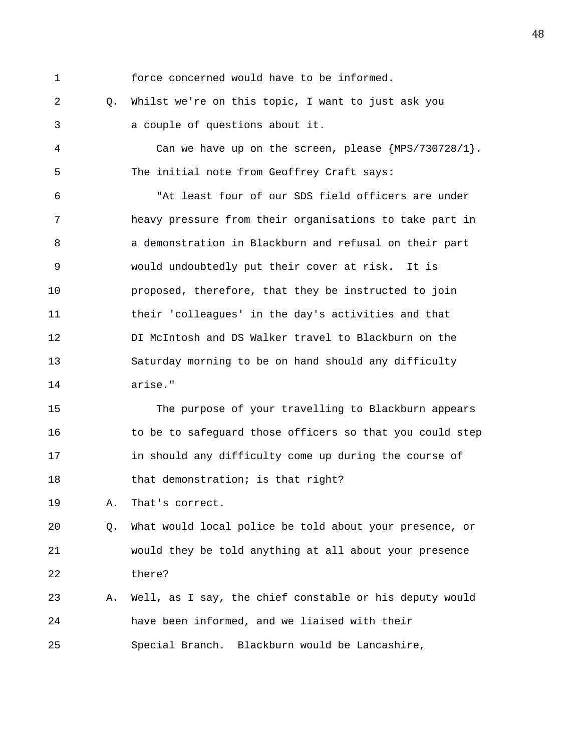1 force concerned would have to be informed.

2 Q. Whilst we're on this topic, I want to just ask you 3 a couple of questions about it.

4 Can we have up on the screen, please {MPS/730728/1}. 5 The initial note from Geoffrey Craft says:

6 "At least four of our SDS field officers are under 7 heavy pressure from their organisations to take part in 8 a demonstration in Blackburn and refusal on their part 9 would undoubtedly put their cover at risk. It is 10 proposed, therefore, that they be instructed to join 11 their 'colleagues' in the day's activities and that 12 DI McIntosh and DS Walker travel to Blackburn on the 13 Saturday morning to be on hand should any difficulty 14 arise."

15 The purpose of your travelling to Blackburn appears 16 to be to safeguard those officers so that you could step 17 in should any difficulty come up during the course of 18 that demonstration; is that right?

19 A. That's correct.

20 Q. What would local police be told about your presence, or 21 would they be told anything at all about your presence 22 there?

23 A. Well, as I say, the chief constable or his deputy would 24 have been informed, and we liaised with their 25 Special Branch. Blackburn would be Lancashire,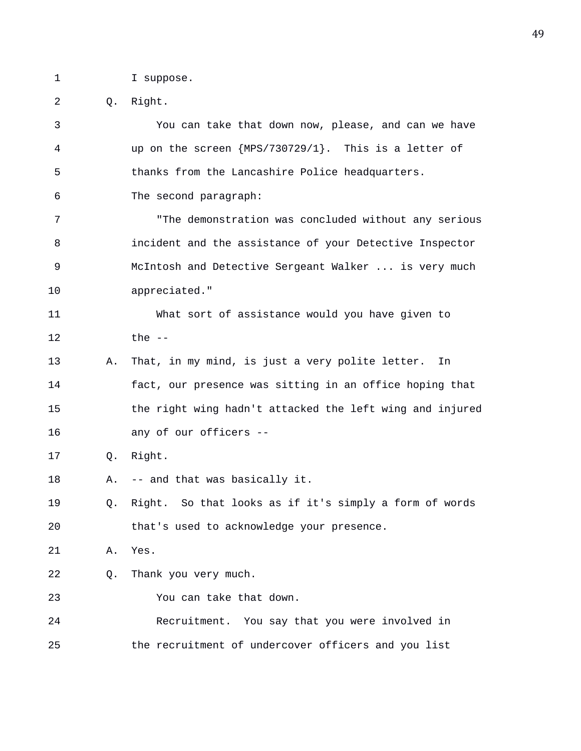1 I suppose.

2 Q. Right. 3 You can take that down now, please, and can we have 4 up on the screen {MPS/730729/1}. This is a letter of 5 thanks from the Lancashire Police headquarters. 6 The second paragraph: 7 "The demonstration was concluded without any serious 8 incident and the assistance of your Detective Inspector 9 McIntosh and Detective Sergeant Walker ... is very much 10 appreciated." 11 What sort of assistance would you have given to 12 the -- 13 A. That, in my mind, is just a very polite letter. In 14 fact, our presence was sitting in an office hoping that 15 the right wing hadn't attacked the left wing and injured 16 any of our officers -- 17 Q. Right. 18 A. -- and that was basically it. 19 Q. Right. So that looks as if it's simply a form of words 20 that's used to acknowledge your presence. 21 A. Yes. 22 Q. Thank you very much. 23 You can take that down. 24 Recruitment. You say that you were involved in 25 the recruitment of undercover officers and you list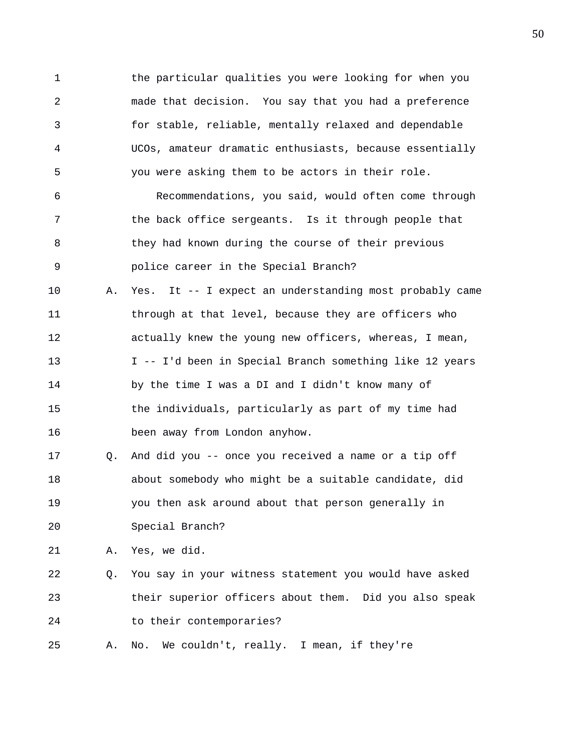1 the particular qualities you were looking for when you 2 made that decision. You say that you had a preference 3 for stable, reliable, mentally relaxed and dependable 4 UCOs, amateur dramatic enthusiasts, because essentially 5 you were asking them to be actors in their role. 6 Recommendations, you said, would often come through 7 the back office sergeants. Is it through people that 8 they had known during the course of their previous 9 police career in the Special Branch? 10 A. Yes. It -- I expect an understanding most probably came 11 through at that level, because they are officers who 12 actually knew the young new officers, whereas, I mean, 13 I -- I'd been in Special Branch something like 12 years 14 by the time I was a DI and I didn't know many of 15 the individuals, particularly as part of my time had 16 been away from London anyhow. 17 Q. And did you -- once you received a name or a tip off 18 about somebody who might be a suitable candidate, did 19 you then ask around about that person generally in 20 Special Branch? 21 A. Yes, we did. 22 Q. You say in your witness statement you would have asked 23 their superior officers about them. Did you also speak 24 to their contemporaries? 25 A. No. We couldn't, really. I mean, if they're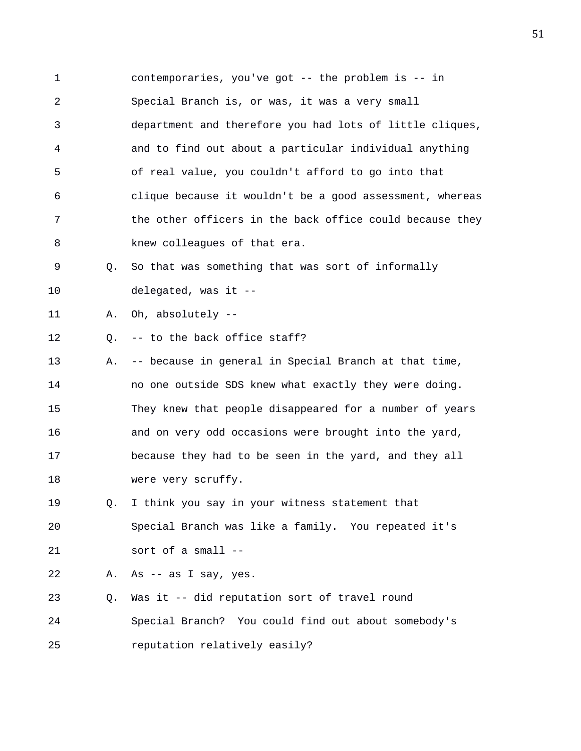1 contemporaries, you've got -- the problem is -- in 2 Special Branch is, or was, it was a very small 3 department and therefore you had lots of little cliques, 4 and to find out about a particular individual anything 5 of real value, you couldn't afford to go into that 6 clique because it wouldn't be a good assessment, whereas 7 the other officers in the back office could because they 8 knew colleagues of that era.

9 Q. So that was something that was sort of informally 10 delegated, was it --

11 A. Oh, absolutely --

12 Q. -- to the back office staff?

13 A. -- because in general in Special Branch at that time, 14 no one outside SDS knew what exactly they were doing. 15 They knew that people disappeared for a number of years 16 and on very odd occasions were brought into the yard, 17 because they had to be seen in the yard, and they all 18 were very scruffy.

19 Q. I think you say in your witness statement that 20 Special Branch was like a family. You repeated it's 21 sort of a small --

22 A. As -- as I say, yes.

23 Q. Was it -- did reputation sort of travel round 24 Special Branch? You could find out about somebody's 25 reputation relatively easily?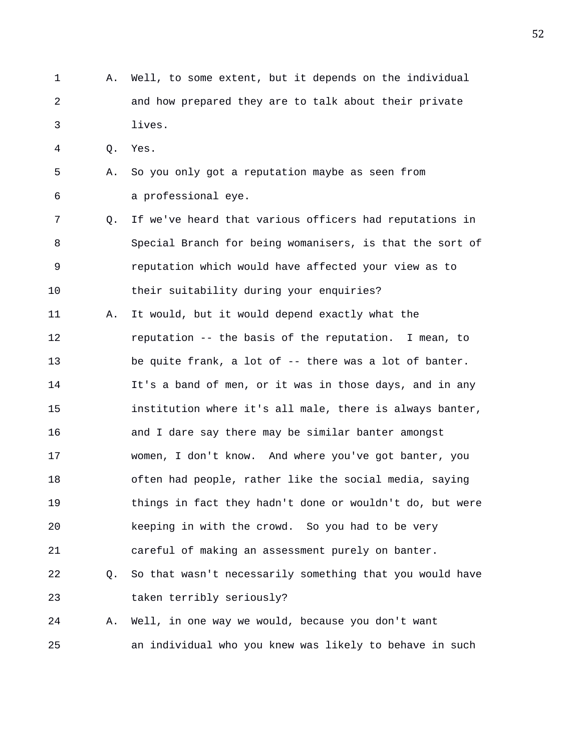1 A. Well, to some extent, but it depends on the individual 2 and how prepared they are to talk about their private 3 lives.

4 Q. Yes.

- 5 A. So you only got a reputation maybe as seen from 6 a professional eye.
- 7 Q. If we've heard that various officers had reputations in 8 Special Branch for being womanisers, is that the sort of 9 reputation which would have affected your view as to 10 their suitability during your enquiries?
- 11 A. It would, but it would depend exactly what the 12 reputation -- the basis of the reputation. I mean, to 13 be quite frank, a lot of -- there was a lot of banter. 14 It's a band of men, or it was in those days, and in any 15 institution where it's all male, there is always banter, 16 and I dare say there may be similar banter amongst 17 women, I don't know. And where you've got banter, you 18 often had people, rather like the social media, saying 19 things in fact they hadn't done or wouldn't do, but were 20 keeping in with the crowd. So you had to be very 21 careful of making an assessment purely on banter. 22 Q. So that wasn't necessarily something that you would have

23 taken terribly seriously?

24 A. Well, in one way we would, because you don't want 25 an individual who you knew was likely to behave in such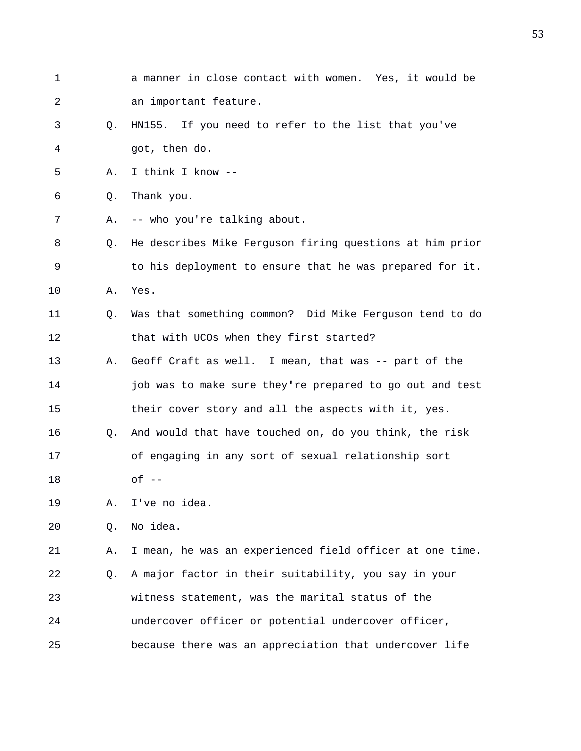1 a manner in close contact with women. Yes, it would be 2 an important feature. 3 Q. HN155. If you need to refer to the list that you've 4 got, then do. 5 A. I think I know -- 6 Q. Thank you. 7 A. -- who you're talking about. 8 Q. He describes Mike Ferguson firing questions at him prior 9 to his deployment to ensure that he was prepared for it. 10 A. Yes. 11 Q. Was that something common? Did Mike Ferguson tend to do 12 that with UCOs when they first started? 13 A. Geoff Craft as well. I mean, that was -- part of the 14 **job was to make sure they're prepared to go out and test** 15 their cover story and all the aspects with it, yes. 16 Q. And would that have touched on, do you think, the risk 17 of engaging in any sort of sexual relationship sort 18 of -- 19 A. I've no idea. 20 Q. No idea. 21 A. I mean, he was an experienced field officer at one time. 22 Q. A major factor in their suitability, you say in your 23 witness statement, was the marital status of the 24 undercover officer or potential undercover officer,

25 because there was an appreciation that undercover life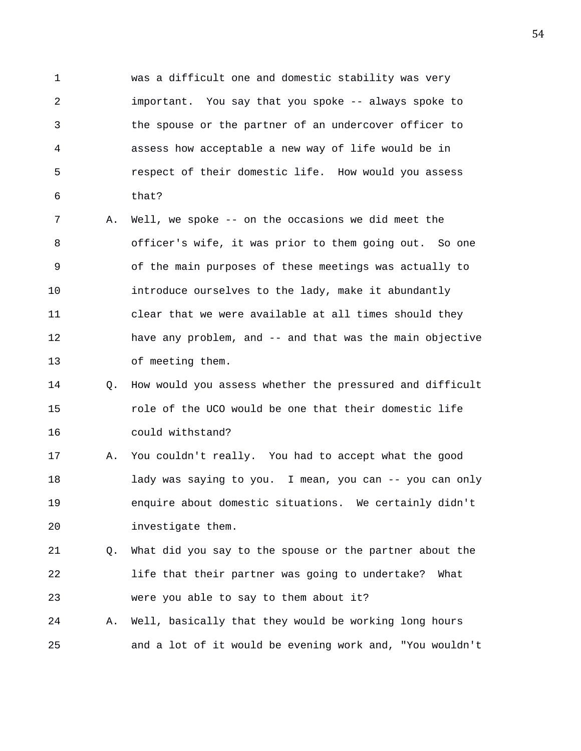1 was a difficult one and domestic stability was very 2 important. You say that you spoke -- always spoke to 3 the spouse or the partner of an undercover officer to 4 assess how acceptable a new way of life would be in 5 respect of their domestic life. How would you assess 6 that?

7 A. Well, we spoke -- on the occasions we did meet the 8 officer's wife, it was prior to them going out. So one 9 of the main purposes of these meetings was actually to 10 introduce ourselves to the lady, make it abundantly 11 clear that we were available at all times should they 12 have any problem, and -- and that was the main objective 13 of meeting them.

- 14 Q. How would you assess whether the pressured and difficult 15 role of the UCO would be one that their domestic life 16 could withstand?
- 17 A. You couldn't really. You had to accept what the good 18 lady was saying to you. I mean, you can -- you can only 19 enquire about domestic situations. We certainly didn't 20 investigate them.

21 Q. What did you say to the spouse or the partner about the 22 life that their partner was going to undertake? What 23 were you able to say to them about it?

24 A. Well, basically that they would be working long hours 25 and a lot of it would be evening work and, "You wouldn't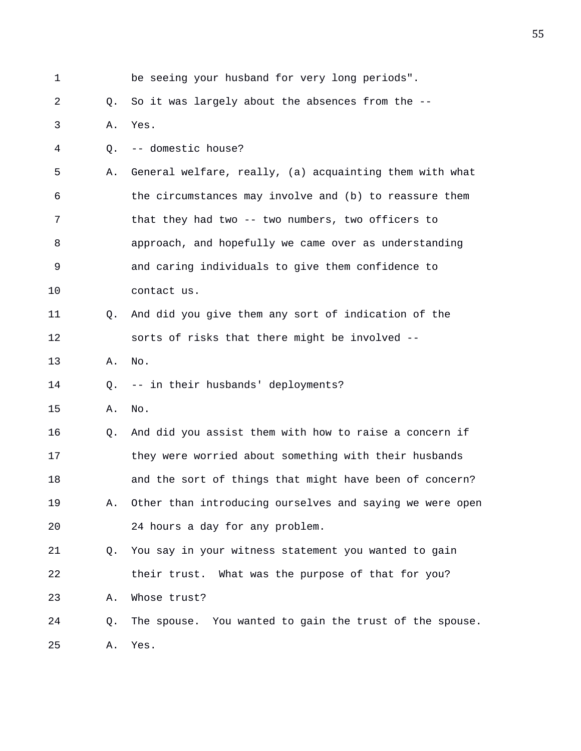| 1  |    | be seeing your husband for very long periods".           |
|----|----|----------------------------------------------------------|
| 2  | Q. | So it was largely about the absences from the --         |
| 3  | Α. | Yes.                                                     |
| 4  | Q. | -- domestic house?                                       |
| 5  | Α. | General welfare, really, (a) acquainting them with what  |
| 6  |    | the circumstances may involve and (b) to reassure them   |
| 7  |    | that they had two -- two numbers, two officers to        |
| 8  |    | approach, and hopefully we came over as understanding    |
| 9  |    | and caring individuals to give them confidence to        |
| 10 |    | contact us.                                              |
| 11 | О. | And did you give them any sort of indication of the      |
| 12 |    | sorts of risks that there might be involved --           |
| 13 | Α. | No.                                                      |
| 14 | O. | -- in their husbands' deployments?                       |
| 15 | Α. | No.                                                      |
| 16 | Q. | And did you assist them with how to raise a concern if   |
| 17 |    | they were worried about something with their husbands    |
| 18 |    | and the sort of things that might have been of concern?  |
| 19 | Α. | Other than introducing ourselves and saying we were open |
| 20 |    | 24 hours a day for any problem.                          |
| 21 | 0. | You say in your witness statement you wanted to gain     |
| 22 |    | their trust. What was the purpose of that for you?       |
| 23 | Α. | Whose trust?                                             |
| 24 | Q. | The spouse. You wanted to gain the trust of the spouse.  |
| 25 | Α. | Yes.                                                     |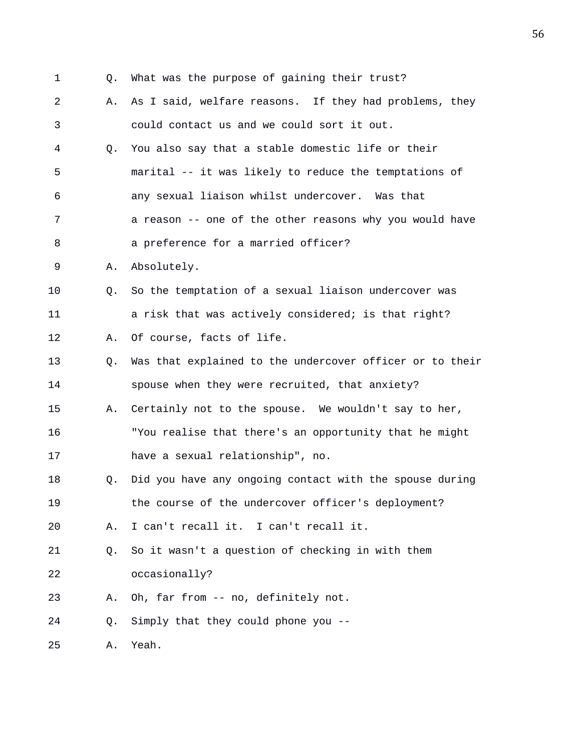- 
- 1 Q. What was the purpose of gaining their trust?
- 2 A. As I said, welfare reasons. If they had problems, they 3 could contact us and we could sort it out.
- 4 Q. You also say that a stable domestic life or their 5 marital -- it was likely to reduce the temptations of 6 any sexual liaison whilst undercover. Was that 7 a reason -- one of the other reasons why you would have
- 8 a preference for a married officer?
- 9 A. Absolutely.
- 10 Q. So the temptation of a sexual liaison undercover was 11 a risk that was actively considered; is that right?
- 12 A. Of course, facts of life.
- 13 Q. Was that explained to the undercover officer or to their 14 spouse when they were recruited, that anxiety?
- 15 A. Certainly not to the spouse. We wouldn't say to her, 16 "You realise that there's an opportunity that he might 17 have a sexual relationship", no.
- 18 Q. Did you have any ongoing contact with the spouse during 19 the course of the undercover officer's deployment?
- 20 A. I can't recall it. I can't recall it.
- 21 Q. So it wasn't a question of checking in with them 22 occasionally?
- 23 A. Oh, far from -- no, definitely not.
- 24 Q. Simply that they could phone you --
- 25 A. Yeah.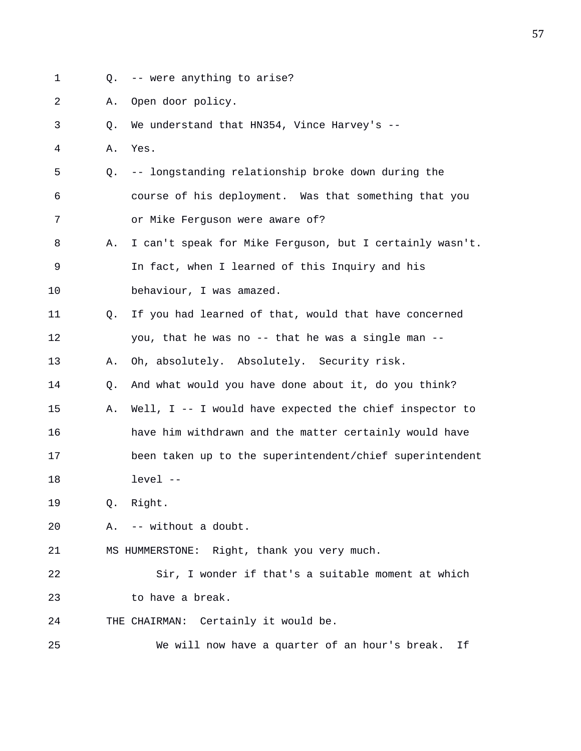- 
- 1 Q. -- were anything to arise?
- 2 A. Open door policy.
- 3 Q. We understand that HN354, Vince Harvey's --
- 4 A. Yes.
- 5 Q. -- longstanding relationship broke down during the 6 course of his deployment. Was that something that you 7 or Mike Ferguson were aware of?
- 8 A. I can't speak for Mike Ferguson, but I certainly wasn't. 9 In fact, when I learned of this Inquiry and his 10 behaviour, I was amazed.
- 11 Q. If you had learned of that, would that have concerned 12 you, that he was no -- that he was a single man --
- 13 A. Oh, absolutely. Absolutely. Security risk.
- 14 Q. And what would you have done about it, do you think?
- 15 A. Well, I -- I would have expected the chief inspector to 16 have him withdrawn and the matter certainly would have 17 been taken up to the superintendent/chief superintendent 18 level --

19 Q. Right.

- 20 A. -- without a doubt.
- 21 MS HUMMERSTONE: Right, thank you very much.
- 22 Sir, I wonder if that's a suitable moment at which 23 to have a break.
- 24 THE CHAIRMAN: Certainly it would be.
- 25 We will now have a quarter of an hour's break. If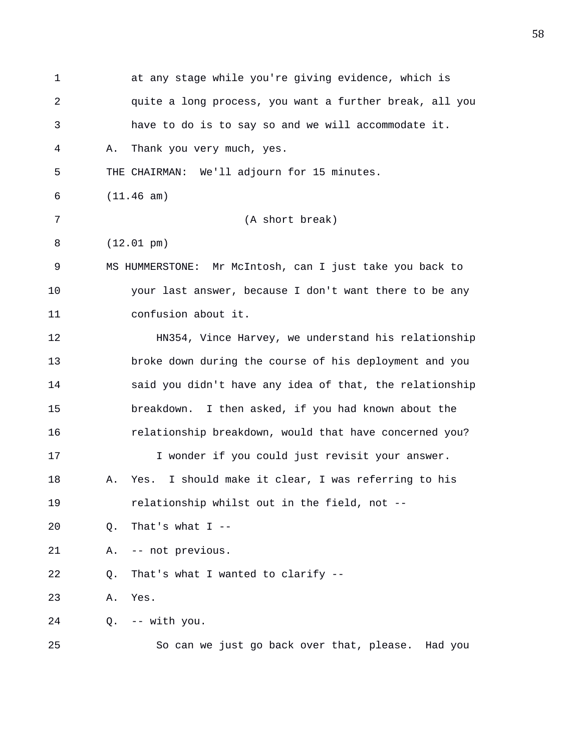| 1  | at any stage while you're giving evidence, which is          |
|----|--------------------------------------------------------------|
| 2  | quite a long process, you want a further break, all you      |
| 3  | have to do is to say so and we will accommodate it.          |
| 4  | Thank you very much, yes.<br>Α.                              |
| 5  | THE CHAIRMAN: We'll adjourn for 15 minutes.                  |
| 6  | (11.46 am)                                                   |
| 7  | (A short break)                                              |
| 8  | $(12.01 \text{ pm})$                                         |
| 9  | MS HUMMERSTONE: Mr McIntosh, can I just take you back to     |
| 10 | your last answer, because I don't want there to be any       |
| 11 | confusion about it.                                          |
| 12 | HN354, Vince Harvey, we understand his relationship          |
| 13 | broke down during the course of his deployment and you       |
| 14 | said you didn't have any idea of that, the relationship      |
| 15 | breakdown. I then asked, if you had known about the          |
| 16 | relationship breakdown, would that have concerned you?       |
| 17 | I wonder if you could just revisit your answer.              |
| 18 | I should make it clear, I was referring to his<br>Α.<br>Yes. |
| 19 | relationship whilst out in the field, not --                 |
| 20 | That's what $I$ --<br>Q.                                     |
| 21 | -- not previous.<br>Α.                                       |
| 22 | That's what I wanted to clarify --<br>Q.                     |
| 23 | Yes.<br>Α.                                                   |
| 24 | -- with you.<br>Q.                                           |
| 25 | So can we just go back over that, please. Had you            |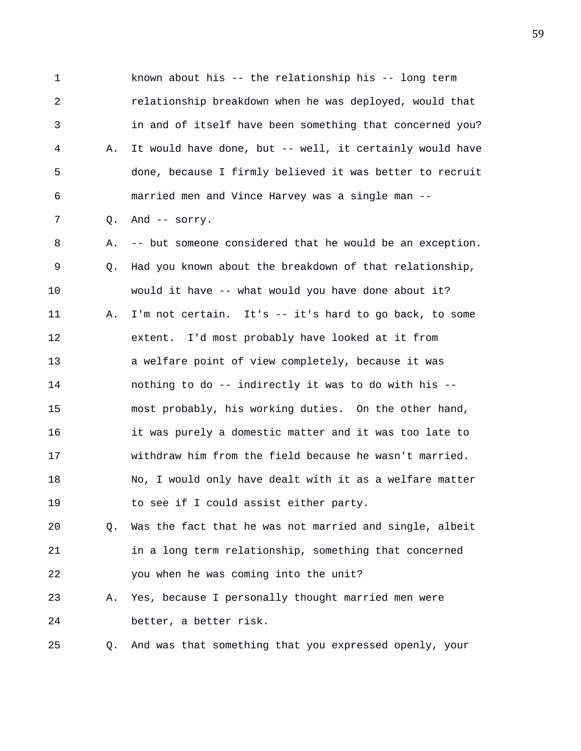1 known about his -- the relationship his -- long term 2 relationship breakdown when he was deployed, would that 3 in and of itself have been something that concerned you? 4 A. It would have done, but -- well, it certainly would have 5 done, because I firmly believed it was better to recruit 6 married men and Vince Harvey was a single man -- 7 Q. And -- sorry. 8 A. -- but someone considered that he would be an exception. 9 Q. Had you known about the breakdown of that relationship, 10 would it have -- what would you have done about it? 11 A. I'm not certain. It's -- it's hard to go back, to some 12 extent. I'd most probably have looked at it from 13 a welfare point of view completely, because it was 14 nothing to do -- indirectly it was to do with his -- 15 most probably, his working duties. On the other hand, 16 it was purely a domestic matter and it was too late to 17 withdraw him from the field because he wasn't married. 18 No, I would only have dealt with it as a welfare matter 19 to see if I could assist either party. 20 Q. Was the fact that he was not married and single, albeit 21 in a long term relationship, something that concerned 22 you when he was coming into the unit? 23 A. Yes, because I personally thought married men were 24 better, a better risk.

25 Q. And was that something that you expressed openly, your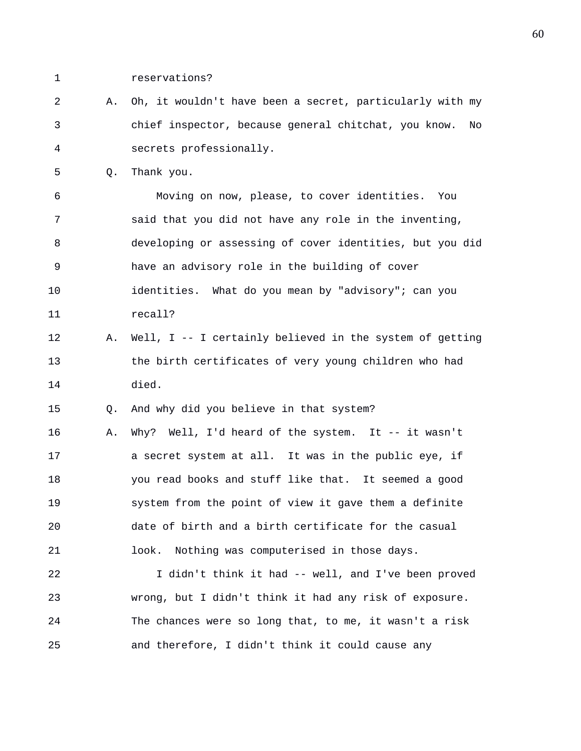- 1 reservations?
- 2 A. Oh, it wouldn't have been a secret, particularly with my 3 chief inspector, because general chitchat, you know. No 4 secrets professionally.
- 5 Q. Thank you.

6 Moving on now, please, to cover identities. You 7 said that you did not have any role in the inventing, 8 developing or assessing of cover identities, but you did 9 have an advisory role in the building of cover 10 identities. What do you mean by "advisory"; can you 11 recall?

12 A. Well, I -- I certainly believed in the system of getting 13 the birth certificates of very young children who had 14 died.

15 Q. And why did you believe in that system?

16 A. Why? Well, I'd heard of the system. It -- it wasn't 17 a secret system at all. It was in the public eye, if 18 you read books and stuff like that. It seemed a good 19 system from the point of view it gave them a definite 20 date of birth and a birth certificate for the casual 21 look. Nothing was computerised in those days.

22 I didn't think it had -- well, and I've been proved 23 wrong, but I didn't think it had any risk of exposure. 24 The chances were so long that, to me, it wasn't a risk 25 and therefore, I didn't think it could cause any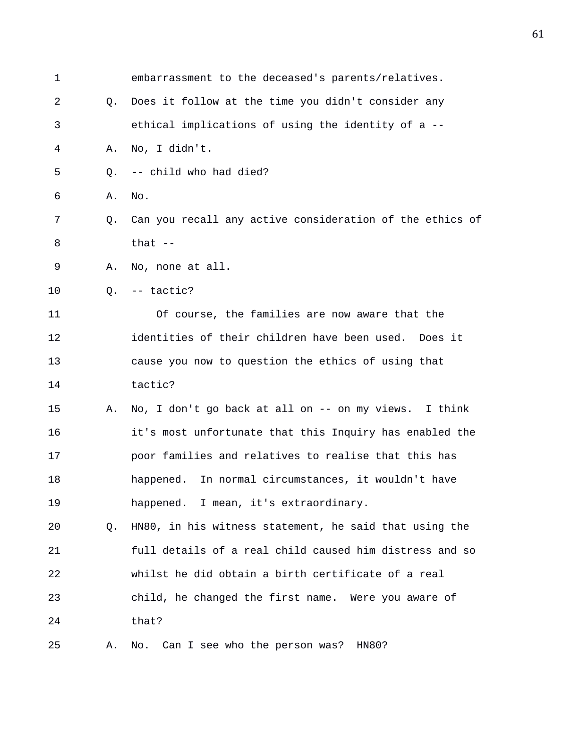| $\mathbf 1$ |    | embarrassment to the deceased's parents/relatives.       |
|-------------|----|----------------------------------------------------------|
| 2           | O. | Does it follow at the time you didn't consider any       |
| 3           |    | ethical implications of using the identity of a --       |
| 4           | Α. | No, I didn't.                                            |
| 5           | O. | -- child who had died?                                   |
| 6           | Α. | No.                                                      |
| 7           | Q. | Can you recall any active consideration of the ethics of |
| 8           |    | that $-$                                                 |
| 9           | Α. | No, none at all.                                         |
| 10          |    | $Q. -- tactic?$                                          |
| 11          |    | Of course, the families are now aware that the           |
| 12          |    | identities of their children have been used. Does it     |
| 13          |    | cause you now to question the ethics of using that       |
| 14          |    | tactic?                                                  |
| 15          | Α. | No, I don't go back at all on -- on my views. I think    |
| 16          |    | it's most unfortunate that this Inquiry has enabled the  |
| 17          |    | poor families and relatives to realise that this has     |
| 18          |    | happened. In normal circumstances, it wouldn't have      |
| 19          |    | happened. I mean, it's extraordinary.                    |
| 20          | Q. | HN80, in his witness statement, he said that using the   |
| 21          |    | full details of a real child caused him distress and so  |
| 22          |    | whilst he did obtain a birth certificate of a real       |
| 23          |    | child, he changed the first name. Were you aware of      |
| 24          |    | that?                                                    |
| 25          | Α. | No. Can I see who the person was? HN80?                  |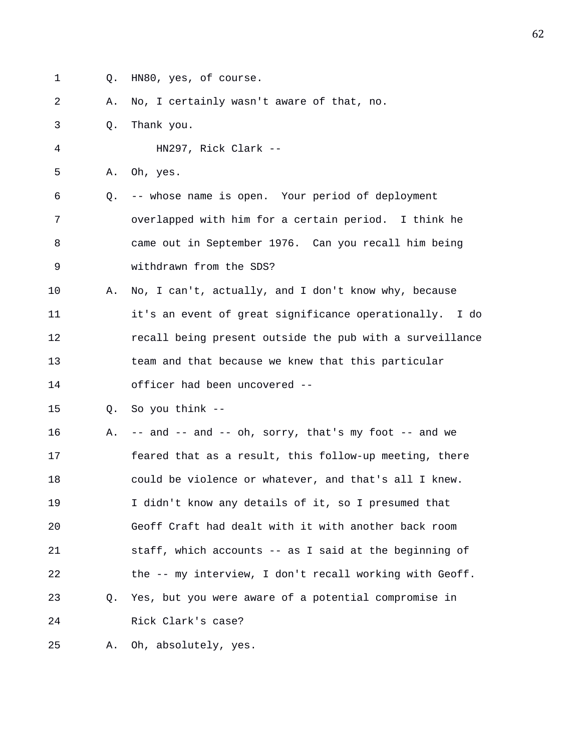- 
- 1 Q. HN80, yes, of course.

2 A. No, I certainly wasn't aware of that, no.

3 Q. Thank you.

4 HN297, Rick Clark --

5 A. Oh, yes.

6 Q. -- whose name is open. Your period of deployment 7 overlapped with him for a certain period. I think he 8 came out in September 1976. Can you recall him being 9 withdrawn from the SDS?

10 A. No, I can't, actually, and I don't know why, because 11 it's an event of great significance operationally. I do 12 recall being present outside the pub with a surveillance 13 team and that because we knew that this particular 14 officer had been uncovered --

15 Q. So you think --

16 A. -- and -- and -- oh, sorry, that's my foot -- and we 17 feared that as a result, this follow-up meeting, there 18 could be violence or whatever, and that's all I knew. 19 I didn't know any details of it, so I presumed that 20 Geoff Craft had dealt with it with another back room 21 staff, which accounts -- as I said at the beginning of 22 the -- my interview, I don't recall working with Geoff. 23 Q. Yes, but you were aware of a potential compromise in 24 Rick Clark's case?

25 A. Oh, absolutely, yes.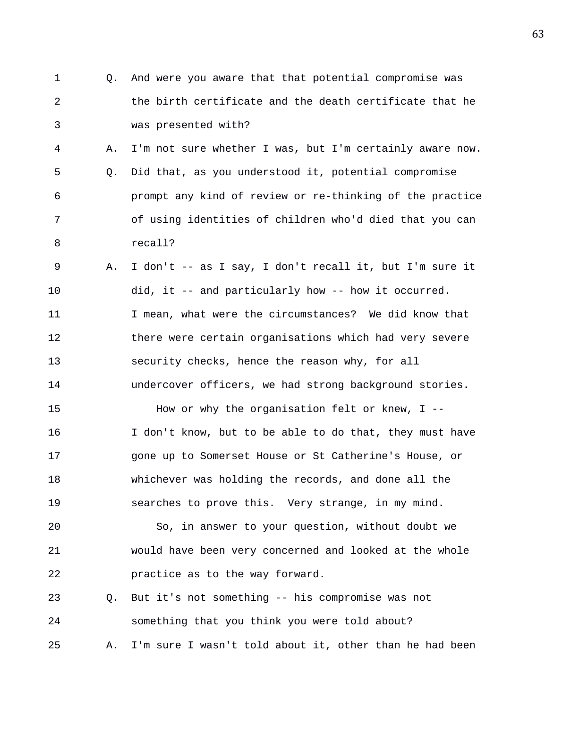- 1 Q. And were you aware that that potential compromise was 2 the birth certificate and the death certificate that he 3 was presented with? 4 A. I'm not sure whether I was, but I'm certainly aware now. 5 Q. Did that, as you understood it, potential compromise
- 6 prompt any kind of review or re-thinking of the practice 7 of using identities of children who'd died that you can 8 recall?
- 9 A. I don't -- as I say, I don't recall it, but I'm sure it 10 did, it -- and particularly how -- how it occurred. 11 I mean, what were the circumstances? We did know that 12 there were certain organisations which had very severe 13 security checks, hence the reason why, for all 14 undercover officers, we had strong background stories.

15 How or why the organisation felt or knew, I -- 16 I don't know, but to be able to do that, they must have 17 gone up to Somerset House or St Catherine's House, or 18 whichever was holding the records, and done all the 19 searches to prove this. Very strange, in my mind.

20 So, in answer to your question, without doubt we 21 would have been very concerned and looked at the whole 22 practice as to the way forward.

23 Q. But it's not something -- his compromise was not 24 something that you think you were told about? 25 A. I'm sure I wasn't told about it, other than he had been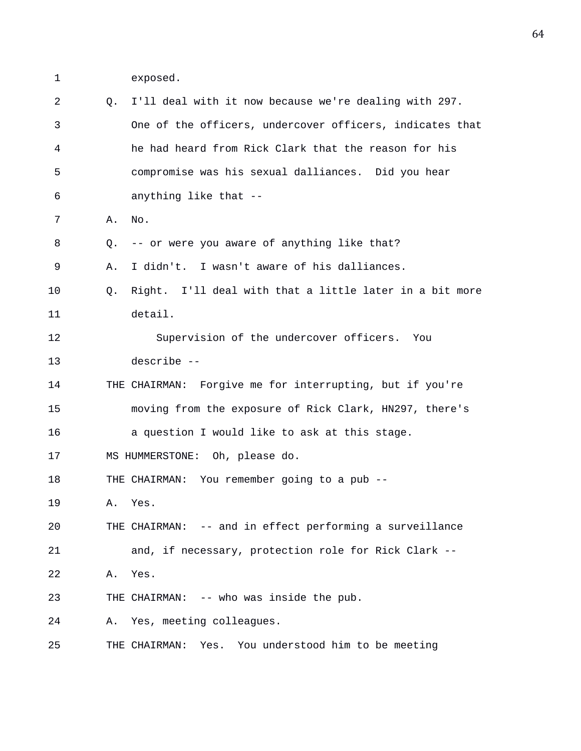1 exposed.

| 2  | 0. | I'll deal with it now because we're dealing with 297.     |
|----|----|-----------------------------------------------------------|
| 3  |    | One of the officers, undercover officers, indicates that  |
| 4  |    | he had heard from Rick Clark that the reason for his      |
| 5  |    | compromise was his sexual dalliances. Did you hear        |
| 6  |    | anything like that --                                     |
| 7  | Α. | No.                                                       |
| 8  | Q. | -- or were you aware of anything like that?               |
| 9  | Α. | I didn't. I wasn't aware of his dalliances.               |
| 10 | Q. | Right. I'll deal with that a little later in a bit more   |
| 11 |    | detail.                                                   |
| 12 |    | Supervision of the undercover officers. You               |
| 13 |    | describe --                                               |
| 14 |    | THE CHAIRMAN: Forgive me for interrupting, but if you're  |
| 15 |    | moving from the exposure of Rick Clark, HN297, there's    |
| 16 |    | a question I would like to ask at this stage.             |
| 17 |    | MS HUMMERSTONE: Oh, please do.                            |
| 18 |    | THE CHAIRMAN: You remember going to a pub --              |
| 19 | Α. | Yes.                                                      |
| 20 |    | THE CHAIRMAN: -- and in effect performing a surveillance  |
| 21 |    | and, if necessary, protection role for Rick Clark --      |
| 22 | Α. | Yes.                                                      |
| 23 |    | THE CHAIRMAN: -- who was inside the pub.                  |
| 24 | Α. | Yes, meeting colleagues.                                  |
| 25 |    | You understood him to be meeting<br>THE CHAIRMAN:<br>Yes. |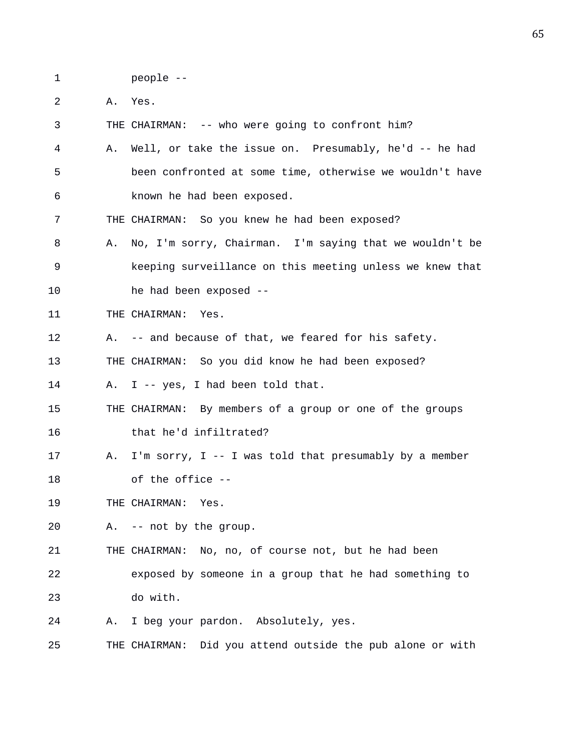1 people --

2 A. Yes.

3 THE CHAIRMAN: -- who were going to confront him? 4 A. Well, or take the issue on. Presumably, he'd -- he had 5 been confronted at some time, otherwise we wouldn't have 6 known he had been exposed. 7 THE CHAIRMAN: So you knew he had been exposed? 8 A. No, I'm sorry, Chairman. I'm saying that we wouldn't be 9 keeping surveillance on this meeting unless we knew that 10 he had been exposed -- 11 THE CHAIRMAN: Yes. 12 A. -- and because of that, we feared for his safety. 13 THE CHAIRMAN: So you did know he had been exposed? 14 A. I -- yes, I had been told that. 15 THE CHAIRMAN: By members of a group or one of the groups 16 that he'd infiltrated? 17 A. I'm sorry, I -- I was told that presumably by a member 18 of the office -- 19 THE CHAIRMAN: Yes. 20 A. -- not by the group. 21 THE CHAIRMAN: No, no, of course not, but he had been 22 exposed by someone in a group that he had something to 23 do with. 24 A. I beg your pardon. Absolutely, yes.

25 THE CHAIRMAN: Did you attend outside the pub alone or with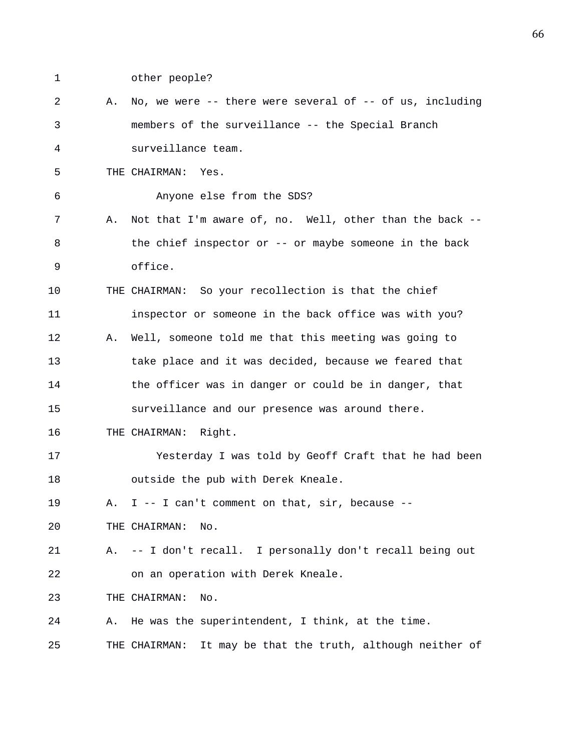1 other people?

| 2  | Α. | No, we were $--$ there were several of $--$ of us, including   |
|----|----|----------------------------------------------------------------|
| 3  |    | members of the surveillance -- the Special Branch              |
| 4  |    | surveillance team.                                             |
| 5  |    | THE CHAIRMAN:<br>Yes.                                          |
| 6  |    | Anyone else from the SDS?                                      |
| 7  | Α. | Not that I'm aware of, no. Well, other than the back --        |
| 8  |    | the chief inspector or -- or maybe someone in the back         |
| 9  |    | office.                                                        |
| 10 |    | THE CHAIRMAN: So your recollection is that the chief           |
| 11 |    | inspector or someone in the back office was with you?          |
| 12 | Α. | Well, someone told me that this meeting was going to           |
| 13 |    | take place and it was decided, because we feared that          |
| 14 |    | the officer was in danger or could be in danger, that          |
| 15 |    | surveillance and our presence was around there.                |
| 16 |    | THE CHAIRMAN:<br>Right.                                        |
| 17 |    | Yesterday I was told by Geoff Craft that he had been           |
| 18 |    | outside the pub with Derek Kneale.                             |
| 19 | Α. | I -- I can't comment on that, $\sin$ , because --              |
| 20 |    | THE CHAIRMAN:<br>No.                                           |
| 21 | Α. | -- I don't recall. I personally don't recall being out         |
| 22 |    | on an operation with Derek Kneale.                             |
| 23 |    | THE CHAIRMAN:<br>No.                                           |
| 24 | Α. | He was the superintendent, I think, at the time.               |
| 25 |    | It may be that the truth, although neither of<br>THE CHAIRMAN: |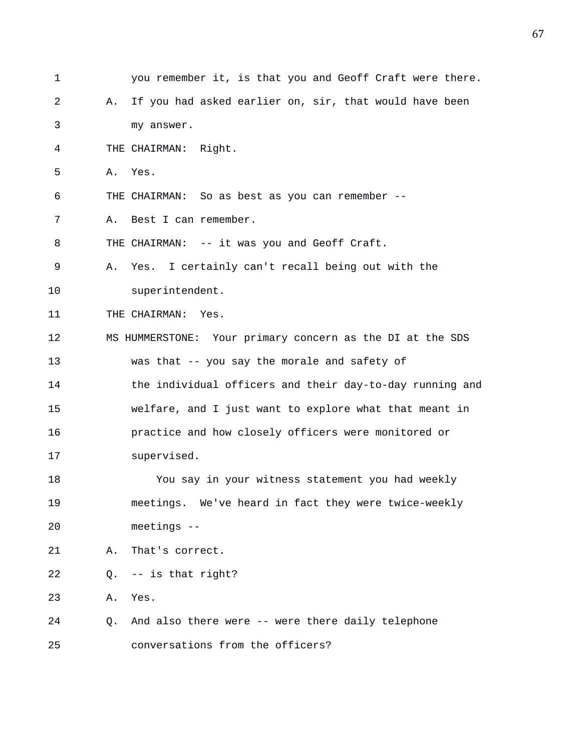| 1  |    | you remember it, is that you and Geoff Craft were there.  |
|----|----|-----------------------------------------------------------|
| 2  | Α. | If you had asked earlier on, sir, that would have been    |
| 3  |    | my answer.                                                |
| 4  |    | THE CHAIRMAN: Right.                                      |
| 5  | Α. | Yes.                                                      |
| 6  |    | THE CHAIRMAN: So as best as you can remember --           |
| 7  | Α. | Best I can remember.                                      |
| 8  |    | THE CHAIRMAN: -- it was you and Geoff Craft.              |
| 9  | Α. | Yes. I certainly can't recall being out with the          |
| 10 |    | superintendent.                                           |
| 11 |    | THE CHAIRMAN: Yes.                                        |
| 12 |    | MS HUMMERSTONE: Your primary concern as the DI at the SDS |
| 13 |    | was that -- you say the morale and safety of              |
| 14 |    | the individual officers and their day-to-day running and  |
| 15 |    | welfare, and I just want to explore what that meant in    |
| 16 |    | practice and how closely officers were monitored or       |
| 17 |    | supervised.                                               |
| 18 |    | You say in your witness statement you had weekly          |
| 19 |    | meetings. We've heard in fact they were twice-weekly      |
| 20 |    | meetings --                                               |
| 21 | Α. | That's correct.                                           |
| 22 | Q. | -- is that right?                                         |
| 23 | Α. | Yes.                                                      |
| 24 | Q. | And also there were -- were there daily telephone         |
| 25 |    | conversations from the officers?                          |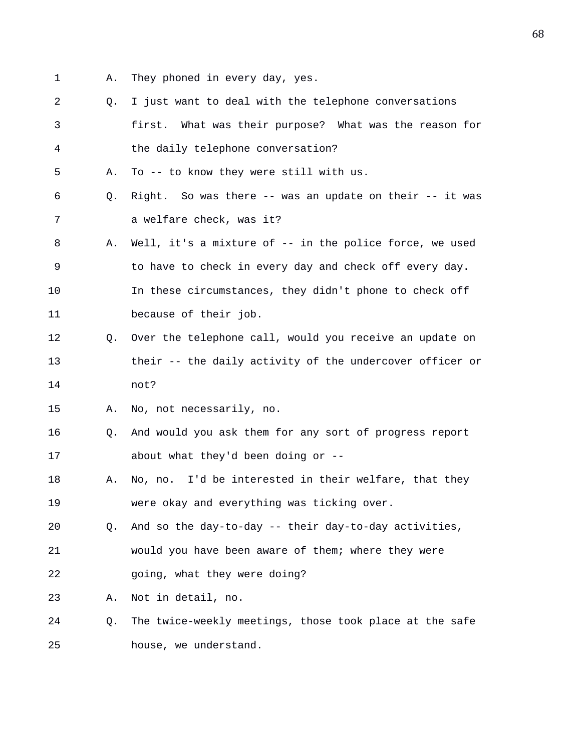- 1 A. They phoned in every day, yes.
- 2 Q. I just want to deal with the telephone conversations 3 first. What was their purpose? What was the reason for 4 the daily telephone conversation?
- 5 A. To -- to know they were still with us.
- 6 Q. Right. So was there -- was an update on their -- it was 7 a welfare check, was it?
- 8 A. Well, it's a mixture of -- in the police force, we used 9 to have to check in every day and check off every day. 10 In these circumstances, they didn't phone to check off 11 because of their job.
- 12 Q. Over the telephone call, would you receive an update on 13 their -- the daily activity of the undercover officer or 14 not?
- 15 A. No, not necessarily, no.
- 16 Q. And would you ask them for any sort of progress report 17 about what they'd been doing or --
- 18 A. No, no. I'd be interested in their welfare, that they 19 were okay and everything was ticking over.
- 20 Q. And so the day-to-day -- their day-to-day activities, 21 would you have been aware of them; where they were 22 going, what they were doing?
- 23 A. Not in detail, no.
- 24 Q. The twice-weekly meetings, those took place at the safe 25 house, we understand.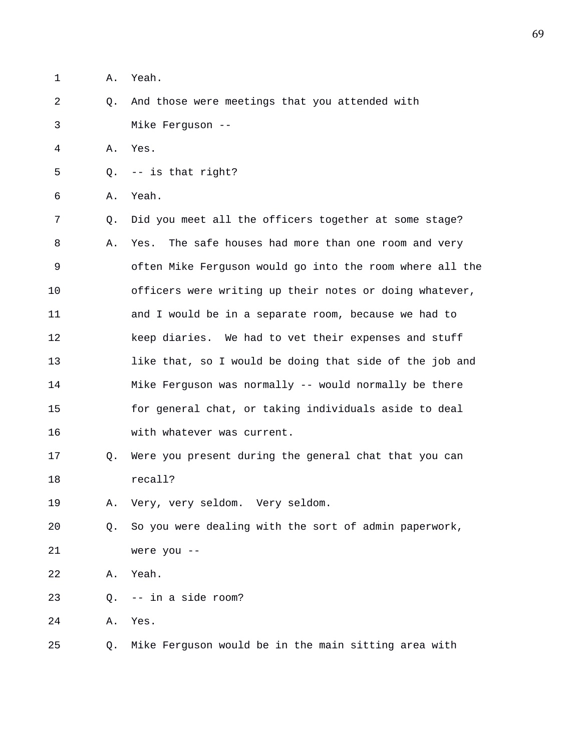1 A. Yeah.

2 Q. And those were meetings that you attended with 3 Mike Ferguson --

4 A. Yes.

5 Q. -- is that right?

6 A. Yeah.

7 Q. Did you meet all the officers together at some stage? 8 A. Yes. The safe houses had more than one room and very 9 often Mike Ferguson would go into the room where all the 10 officers were writing up their notes or doing whatever, 11 and I would be in a separate room, because we had to 12 keep diaries. We had to vet their expenses and stuff 13 like that, so I would be doing that side of the job and 14 Mike Ferguson was normally -- would normally be there 15 for general chat, or taking individuals aside to deal 16 with whatever was current.

17 Q. Were you present during the general chat that you can 18 recall?

19 A. Very, very seldom. Very seldom.

20 Q. So you were dealing with the sort of admin paperwork, 21 were you --

22 A. Yeah.

23 Q. -- in a side room?

24 A. Yes.

25 Q. Mike Ferguson would be in the main sitting area with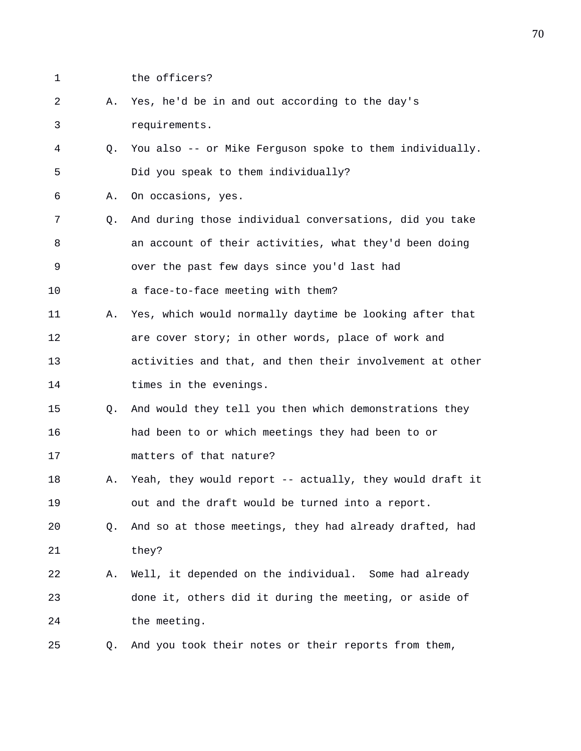- 
- 1 the officers?

|  |               |  |  | A. Yes, he'd be in and out according to the day's |  |  |
|--|---------------|--|--|---------------------------------------------------|--|--|
|  | requirements. |  |  |                                                   |  |  |

- 4 Q. You also -- or Mike Ferguson spoke to them individually. 5 Did you speak to them individually?
- 6 A. On occasions, yes.
- 7 Q. And during those individual conversations, did you take 8 an account of their activities, what they'd been doing 9 over the past few days since you'd last had
- 10 a face-to-face meeting with them?
- 11 A. Yes, which would normally daytime be looking after that 12 are cover story; in other words, place of work and 13 activities and that, and then their involvement at other 14 times in the evenings.
- 15 Q. And would they tell you then which demonstrations they 16 had been to or which meetings they had been to or 17 matters of that nature?
- 18 A. Yeah, they would report -- actually, they would draft it 19 out and the draft would be turned into a report.
- 20 Q. And so at those meetings, they had already drafted, had 21 they?
- 22 A. Well, it depended on the individual. Some had already 23 done it, others did it during the meeting, or aside of 24 the meeting.
- 25 Q. And you took their notes or their reports from them,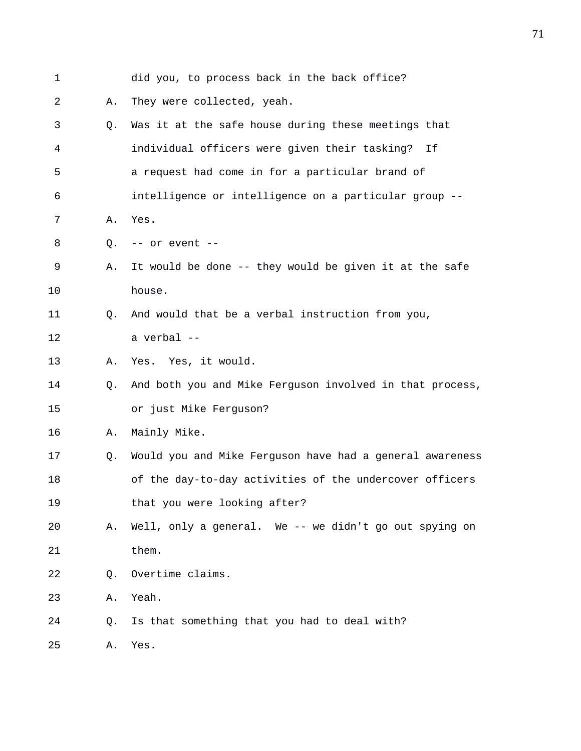| 1  |    | did you, to process back in the back office?             |
|----|----|----------------------------------------------------------|
| 2  | Α. | They were collected, yeah.                               |
| 3  | Q. | Was it at the safe house during these meetings that      |
| 4  |    | individual officers were given their tasking? If         |
| 5  |    | a request had come in for a particular brand of          |
| 6  |    | intelligence or intelligence on a particular group --    |
| 7  | Α. | Yes.                                                     |
| 8  | Q. | -- or event --                                           |
| 9  | Α. | It would be done -- they would be given it at the safe   |
| 10 |    | house.                                                   |
| 11 | O. | And would that be a verbal instruction from you,         |
| 12 |    | a verbal --                                              |
| 13 | Α. | Yes. Yes, it would.                                      |
| 14 | O. | And both you and Mike Ferguson involved in that process, |
| 15 |    | or just Mike Ferguson?                                   |
| 16 | Α. | Mainly Mike.                                             |
| 17 | Q. | Would you and Mike Ferguson have had a general awareness |
| 18 |    | of the day-to-day activities of the undercover officers  |
| 19 |    | that you were looking after?                             |
| 20 | Α. | Well, only a general. We -- we didn't go out spying on   |
| 21 |    | them.                                                    |
| 22 | Q. | Overtime claims.                                         |
| 23 | Α. | Yeah.                                                    |
| 24 | Q. | Is that something that you had to deal with?             |
| 25 | Α. | Yes.                                                     |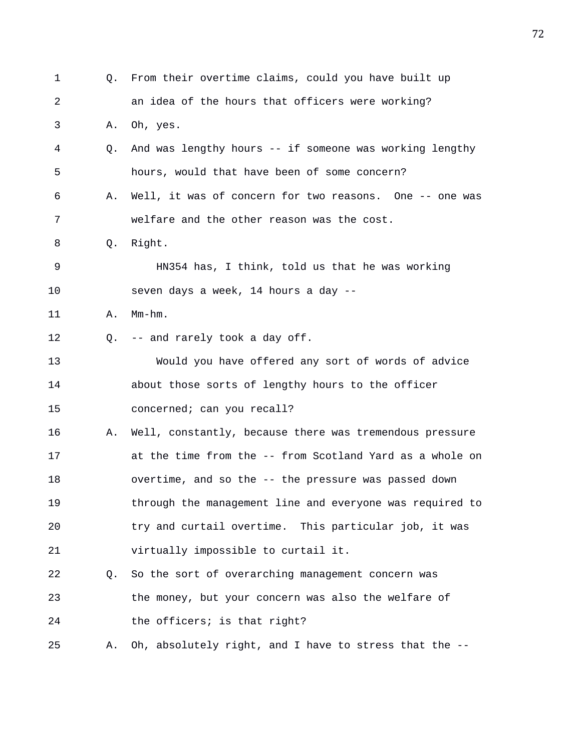1 Q. From their overtime claims, could you have built up 2 an idea of the hours that officers were working? 3 A. Oh, yes. 4 Q. And was lengthy hours -- if someone was working lengthy 5 hours, would that have been of some concern? 6 A. Well, it was of concern for two reasons. One -- one was 7 welfare and the other reason was the cost. 8 Q. Right. 9 HN354 has, I think, told us that he was working 10 seven days a week, 14 hours a day -- 11 A. Mm-hm. 12 Q. -- and rarely took a day off. 13 Would you have offered any sort of words of advice 14 about those sorts of lengthy hours to the officer 15 concerned; can you recall? 16 A. Well, constantly, because there was tremendous pressure 17 at the time from the -- from Scotland Yard as a whole on 18 overtime, and so the -- the pressure was passed down 19 through the management line and everyone was required to 20 try and curtail overtime. This particular job, it was 21 virtually impossible to curtail it. 22 Q. So the sort of overarching management concern was 23 the money, but your concern was also the welfare of 24 the officers; is that right? 25 A. Oh, absolutely right, and I have to stress that the --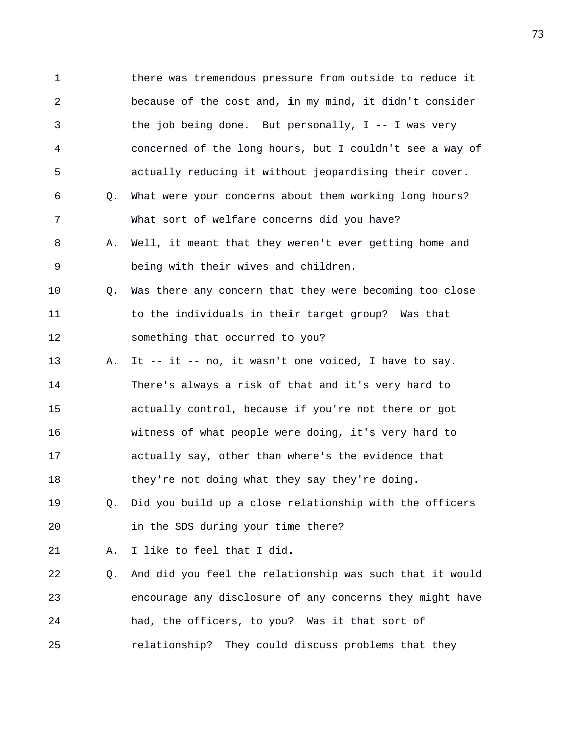1 there was tremendous pressure from outside to reduce it 2 because of the cost and, in my mind, it didn't consider 3 the job being done. But personally, I -- I was very 4 concerned of the long hours, but I couldn't see a way of 5 actually reducing it without jeopardising their cover. 6 Q. What were your concerns about them working long hours? 7 What sort of welfare concerns did you have? 8 A. Well, it meant that they weren't ever getting home and 9 being with their wives and children. 10 Q. Was there any concern that they were becoming too close 11 to the individuals in their target group? Was that 12 something that occurred to you? 13 A. It -- it -- no, it wasn't one voiced, I have to say. 14 There's always a risk of that and it's very hard to 15 actually control, because if you're not there or got 16 witness of what people were doing, it's very hard to 17 actually say, other than where's the evidence that 18 they're not doing what they say they're doing. 19 Q. Did you build up a close relationship with the officers 20 in the SDS during your time there? 21 A. I like to feel that I did. 22 Q. And did you feel the relationship was such that it would 23 encourage any disclosure of any concerns they might have 24 had, the officers, to you? Was it that sort of 25 relationship? They could discuss problems that they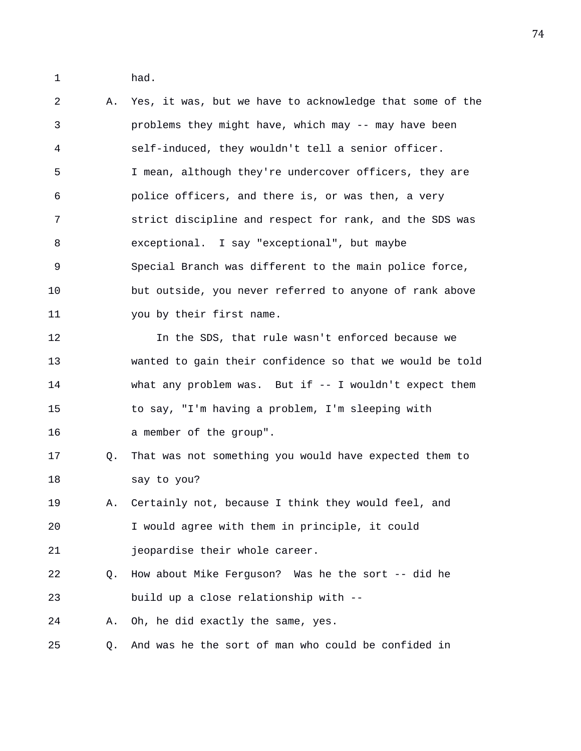1 had.

2 A. Yes, it was, but we have to acknowledge that some of the 3 problems they might have, which may -- may have been 4 self-induced, they wouldn't tell a senior officer. 5 I mean, although they're undercover officers, they are 6 police officers, and there is, or was then, a very 7 strict discipline and respect for rank, and the SDS was 8 exceptional. I say "exceptional", but maybe 9 Special Branch was different to the main police force, 10 but outside, you never referred to anyone of rank above 11 you by their first name. 12 In the SDS, that rule wasn't enforced because we 13 wanted to gain their confidence so that we would be told 14 what any problem was. But if -- I wouldn't expect them 15 to say, "I'm having a problem, I'm sleeping with 16 a member of the group". 17 Q. That was not something you would have expected them to 18 say to you? 19 A. Certainly not, because I think they would feel, and 20 I would agree with them in principle, it could 21 jeopardise their whole career. 22 Q. How about Mike Ferguson? Was he the sort -- did he 23 build up a close relationship with -- 24 A. Oh, he did exactly the same, yes. 25 Q. And was he the sort of man who could be confided in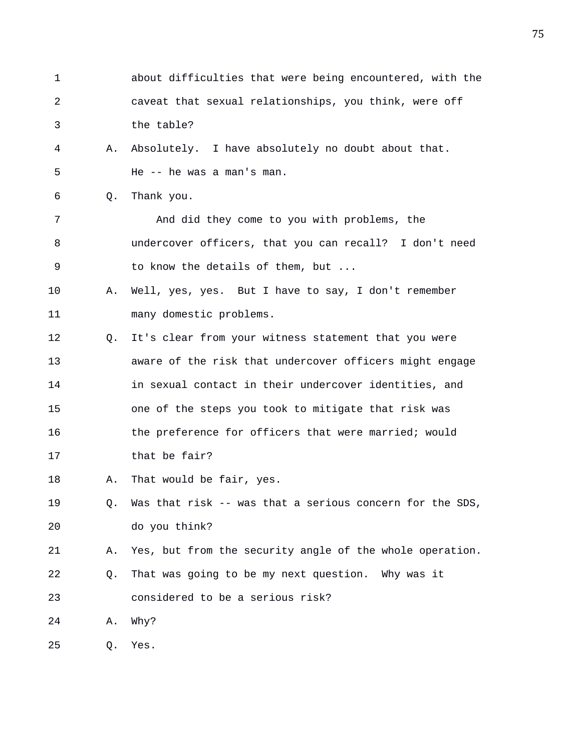| 1  |    | about difficulties that were being encountered, with the |
|----|----|----------------------------------------------------------|
| 2  |    | caveat that sexual relationships, you think, were off    |
| 3  |    | the table?                                               |
| 4  | Α. | Absolutely. I have absolutely no doubt about that.       |
| 5  |    | He -- he was a man's man.                                |
| 6  | Q. | Thank you.                                               |
| 7  |    | And did they come to you with problems, the              |
| 8  |    | undercover officers, that you can recall? I don't need   |
| 9  |    | to know the details of them, but                         |
| 10 | Α. | Well, yes, yes. But I have to say, I don't remember      |
| 11 |    | many domestic problems.                                  |
| 12 | Q. | It's clear from your witness statement that you were     |
| 13 |    | aware of the risk that undercover officers might engage  |
| 14 |    | in sexual contact in their undercover identities, and    |
| 15 |    | one of the steps you took to mitigate that risk was      |
| 16 |    | the preference for officers that were married; would     |
| 17 |    | that be fair?                                            |
| 18 | Α. | That would be fair, yes.                                 |
| 19 | Q. | Was that risk -- was that a serious concern for the SDS, |
| 20 |    | do you think?                                            |
| 21 | Α. | Yes, but from the security angle of the whole operation. |
| 22 | Q. | That was going to be my next question. Why was it        |
| 23 |    | considered to be a serious risk?                         |
| 24 | Α. | Why?                                                     |
| 25 | Q. | Yes.                                                     |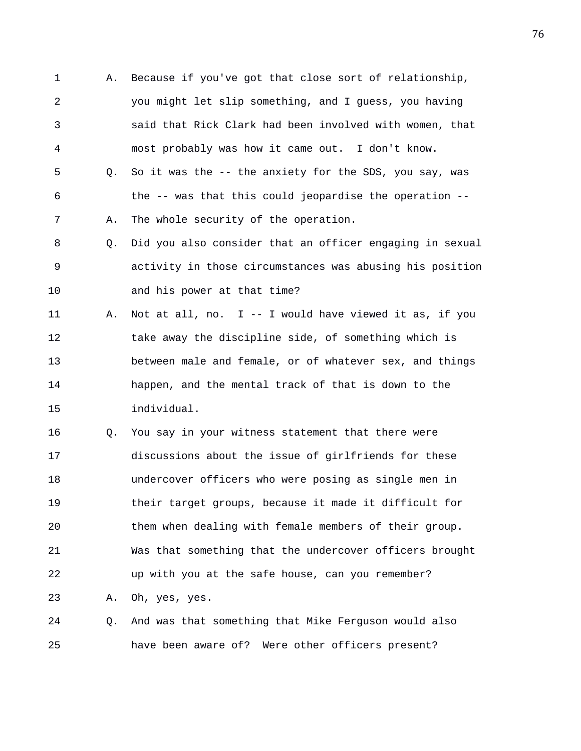1 A. Because if you've got that close sort of relationship, 2 you might let slip something, and I guess, you having 3 said that Rick Clark had been involved with women, that 4 most probably was how it came out. I don't know. 5 Q. So it was the -- the anxiety for the SDS, you say, was 6 the -- was that this could jeopardise the operation -- 7 A. The whole security of the operation. 8 Q. Did you also consider that an officer engaging in sexual 9 activity in those circumstances was abusing his position 10 and his power at that time? 11 A. Not at all, no. I -- I would have viewed it as, if you 12 take away the discipline side, of something which is 13 between male and female, or of whatever sex, and things 14 happen, and the mental track of that is down to the 15 individual. 16 Q. You say in your witness statement that there were 17 discussions about the issue of girlfriends for these 18 undercover officers who were posing as single men in 19 their target groups, because it made it difficult for 20 them when dealing with female members of their group. 21 Was that something that the undercover officers brought

22 up with you at the safe house, can you remember?

23 A. Oh, yes, yes.

24 Q. And was that something that Mike Ferguson would also 25 have been aware of? Were other officers present?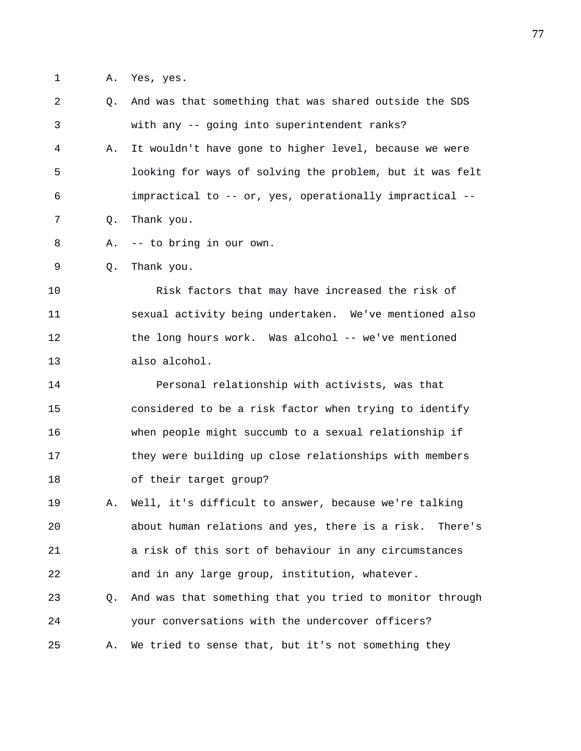1 A. Yes, yes.

| 2  | $Q_{\star}$ | And was that something that was shared outside the SDS   |
|----|-------------|----------------------------------------------------------|
| 3  |             | with any -- going into superintendent ranks?             |
| 4  | Α.          | It wouldn't have gone to higher level, because we were   |
| 5  |             | looking for ways of solving the problem, but it was felt |
| 6  |             | impractical to -- or, yes, operationally impractical --  |
| 7  | Q.          | Thank you.                                               |
| 8  | Α.          | -- to bring in our own.                                  |
| 9  | Q.          | Thank you.                                               |
| 10 |             | Risk factors that may have increased the risk of         |
| 11 |             | sexual activity being undertaken. We've mentioned also   |
| 12 |             | the long hours work. Was alcohol -- we've mentioned      |
| 13 |             | also alcohol.                                            |
| 14 |             | Personal relationship with activists, was that           |
| 15 |             | considered to be a risk factor when trying to identify   |
| 16 |             | when people might succumb to a sexual relationship if    |
| 17 |             | they were building up close relationships with members   |
| 18 |             | of their target group?                                   |
| 19 | Α.          | Well, it's difficult to answer, because we're talking    |
| 20 |             | about human relations and yes, there is a risk. There's  |
| 21 |             | a risk of this sort of behaviour in any circumstances    |
| 22 |             | and in any large group, institution, whatever.           |
| 23 | Q.          | And was that something that you tried to monitor through |
| 24 |             | your conversations with the undercover officers?         |
| 25 | Α.          | We tried to sense that, but it's not something they      |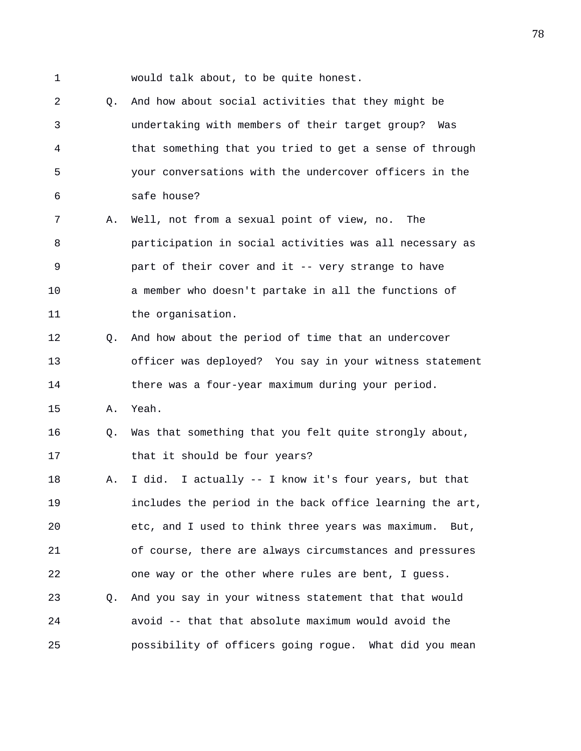1 would talk about, to be quite honest.

2 Q. And how about social activities that they might be 3 undertaking with members of their target group? Was 4 that something that you tried to get a sense of through 5 your conversations with the undercover officers in the 6 safe house? 7 A. Well, not from a sexual point of view, no. The 8 participation in social activities was all necessary as 9 part of their cover and it -- very strange to have 10 a member who doesn't partake in all the functions of 11 the organisation. 12 Q. And how about the period of time that an undercover 13 officer was deployed? You say in your witness statement 14 there was a four-year maximum during your period. 15 A. Yeah. 16 Q. Was that something that you felt quite strongly about, 17 that it should be four years? 18 A. I did. I actually -- I know it's four years, but that 19 includes the period in the back office learning the art, 20 etc, and I used to think three years was maximum. But, 21 of course, there are always circumstances and pressures 22 one way or the other where rules are bent, I guess. 23 Q. And you say in your witness statement that that would 24 avoid -- that that absolute maximum would avoid the 25 possibility of officers going rogue. What did you mean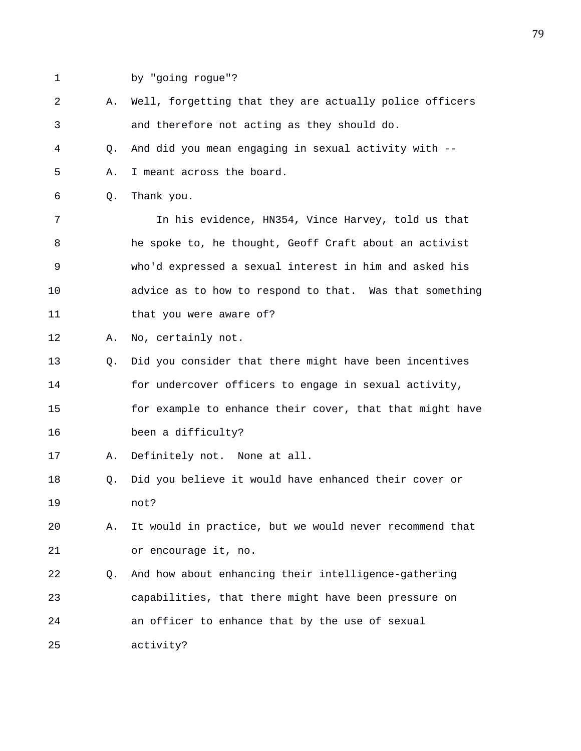- 
- 1 by "going rogue"?

2 A. Well, forgetting that they are actually police officers 3 and therefore not acting as they should do. 4 Q. And did you mean engaging in sexual activity with -- 5 A. I meant across the board. 6 Q. Thank you. 7 In his evidence, HN354, Vince Harvey, told us that 8 he spoke to, he thought, Geoff Craft about an activist 9 who'd expressed a sexual interest in him and asked his 10 advice as to how to respond to that. Was that something 11 that you were aware of? 12 A. No, certainly not. 13 Q. Did you consider that there might have been incentives 14 for undercover officers to engage in sexual activity, 15 for example to enhance their cover, that that might have 16 been a difficulty? 17 A. Definitely not. None at all. 18 Q. Did you believe it would have enhanced their cover or 19 not? 20 A. It would in practice, but we would never recommend that 21 or encourage it, no. 22 Q. And how about enhancing their intelligence-gathering 23 capabilities, that there might have been pressure on 24 an officer to enhance that by the use of sexual 25 activity?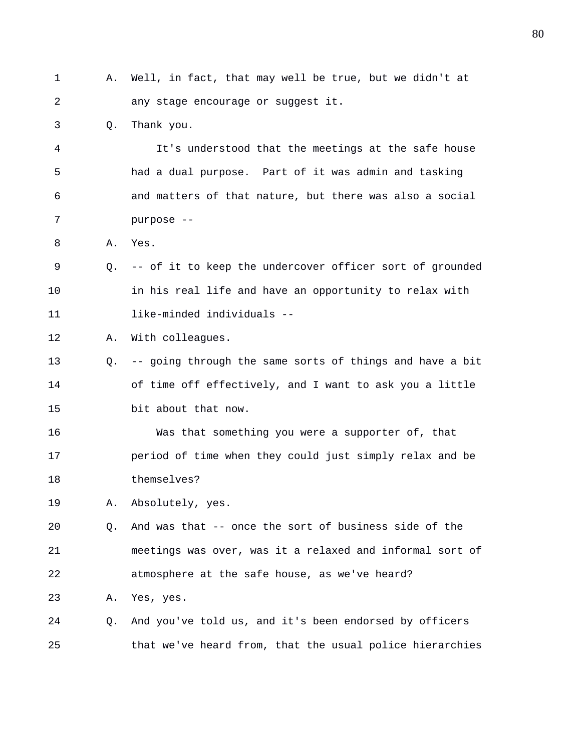| 1  | Α. | Well, in fact, that may well be true, but we didn't at   |
|----|----|----------------------------------------------------------|
| 2  |    | any stage encourage or suggest it.                       |
| 3  | Q. | Thank you.                                               |
| 4  |    | It's understood that the meetings at the safe house      |
| 5  |    | had a dual purpose. Part of it was admin and tasking     |
| 6  |    | and matters of that nature, but there was also a social  |
| 7  |    | purpose --                                               |
| 8  | Α. | Yes.                                                     |
| 9  | O. | -- of it to keep the undercover officer sort of grounded |
| 10 |    | in his real life and have an opportunity to relax with   |
| 11 |    | like-minded individuals --                               |
| 12 | Α. | With colleagues.                                         |
| 13 | Q. | -- going through the same sorts of things and have a bit |
| 14 |    | of time off effectively, and I want to ask you a little  |
| 15 |    | bit about that now.                                      |
| 16 |    | Was that something you were a supporter of, that         |
| 17 |    | period of time when they could just simply relax and be  |
| 18 |    | themselves?                                              |
| 19 | Α. | Absolutely, yes.                                         |
| 20 | Q. | And was that -- once the sort of business side of the    |
| 21 |    | meetings was over, was it a relaxed and informal sort of |
| 22 |    | atmosphere at the safe house, as we've heard?            |
| 23 | Α. | Yes, yes.                                                |
| 24 | Q. | And you've told us, and it's been endorsed by officers   |
| 25 |    | that we've heard from, that the usual police hierarchies |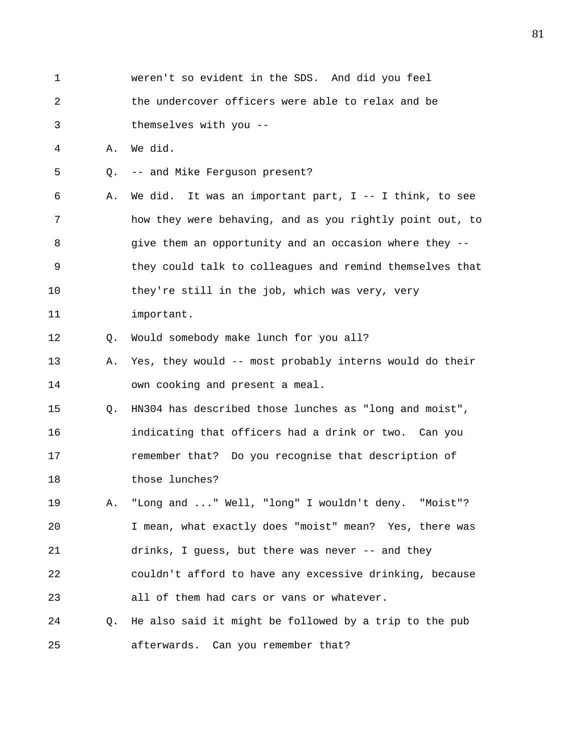1 weren't so evident in the SDS. And did you feel 2 the undercover officers were able to relax and be 3 themselves with you -- 4 A. We did. 5 Q. -- and Mike Ferguson present? 6 A. We did. It was an important part, I -- I think, to see 7 how they were behaving, and as you rightly point out, to 8 give them an opportunity and an occasion where they -- 9 they could talk to colleagues and remind themselves that 10 they're still in the job, which was very, very 11 important. 12 Q. Would somebody make lunch for you all? 13 A. Yes, they would -- most probably interns would do their 14 own cooking and present a meal. 15 Q. HN304 has described those lunches as "long and moist", 16 indicating that officers had a drink or two. Can you 17 remember that? Do you recognise that description of 18 those lunches? 19 A. "Long and ..." Well, "long" I wouldn't deny. "Moist"? 20 I mean, what exactly does "moist" mean? Yes, there was 21 drinks, I guess, but there was never -- and they 22 couldn't afford to have any excessive drinking, because 23 all of them had cars or vans or whatever. 24 Q. He also said it might be followed by a trip to the pub 25 afterwards. Can you remember that?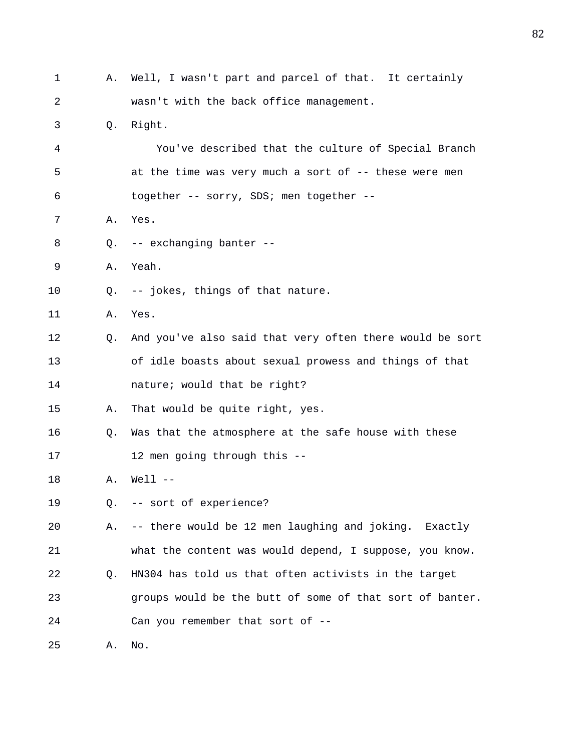| 1  | А.          | Well, I wasn't part and parcel of that. It certainly     |
|----|-------------|----------------------------------------------------------|
| 2  |             | wasn't with the back office management.                  |
| 3  | Q.          | Right.                                                   |
| 4  |             | You've described that the culture of Special Branch      |
| 5  |             | at the time was very much a sort of -- these were men    |
| 6  |             | together -- sorry, SDS; men together --                  |
| 7  | Α.          | Yes.                                                     |
| 8  | O.          | -- exchanging banter --                                  |
| 9  | Α.          | Yeah.                                                    |
| 10 | $Q_{\star}$ | -- jokes, things of that nature.                         |
| 11 | Α.          | Yes.                                                     |
| 12 | Q.          | And you've also said that very often there would be sort |
| 13 |             | of idle boasts about sexual prowess and things of that   |
| 14 |             | nature; would that be right?                             |
| 15 | Α.          | That would be quite right, yes.                          |
| 16 | Q.          | Was that the atmosphere at the safe house with these     |
| 17 |             | 12 men going through this --                             |
| 18 | Α.          | $Well1$ --                                               |
| 19 | Q.          | -- sort of experience?                                   |
| 20 | Α.          | -- there would be 12 men laughing and joking. Exactly    |
| 21 |             | what the content was would depend, I suppose, you know.  |
| 22 | Q.          | HN304 has told us that often activists in the target     |
| 23 |             | groups would be the butt of some of that sort of banter. |
| 24 |             | Can you remember that sort of --                         |
| 25 | Α.          | No.                                                      |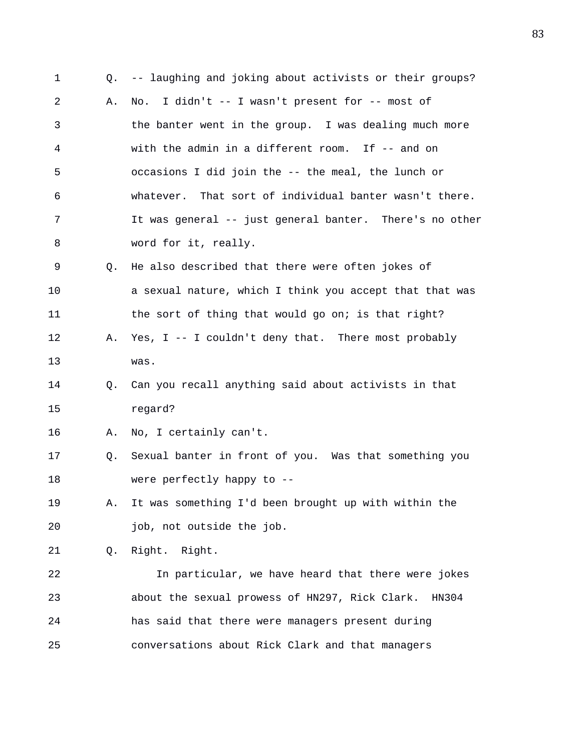1 Q. -- laughing and joking about activists or their groups? 2 A. No. I didn't -- I wasn't present for -- most of 3 the banter went in the group. I was dealing much more 4 with the admin in a different room. If -- and on 5 occasions I did join the -- the meal, the lunch or 6 whatever. That sort of individual banter wasn't there. 7 It was general -- just general banter. There's no other 8 word for it, really. 9 Q. He also described that there were often jokes of 10 a sexual nature, which I think you accept that that was 11 the sort of thing that would go on; is that right? 12 A. Yes, I -- I couldn't deny that. There most probably 13 was. 14 Q. Can you recall anything said about activists in that 15 regard? 16 A. No, I certainly can't. 17 Q. Sexual banter in front of you. Was that something you 18 were perfectly happy to -- 19 A. It was something I'd been brought up with within the 20 **job**, not outside the job. 21 Q. Right. Right. 22 In particular, we have heard that there were jokes 23 about the sexual prowess of HN297, Rick Clark. HN304 24 has said that there were managers present during 25 conversations about Rick Clark and that managers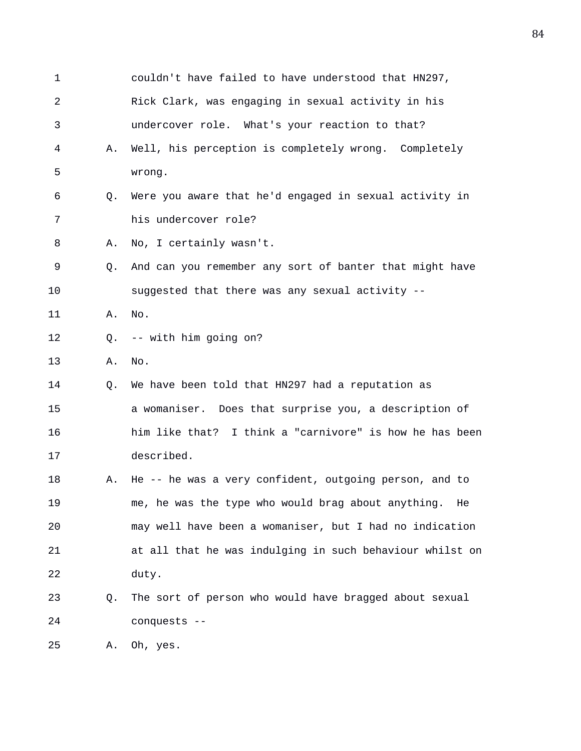| 1               |    | couldn't have failed to have understood that HN297,      |
|-----------------|----|----------------------------------------------------------|
| 2               |    | Rick Clark, was engaging in sexual activity in his       |
| 3               |    | undercover role. What's your reaction to that?           |
| 4               | Α. | Well, his perception is completely wrong. Completely     |
| 5               |    | wrong.                                                   |
| 6               | Q. | Were you aware that he'd engaged in sexual activity in   |
| 7               |    | his undercover role?                                     |
| 8               | Α. | No, I certainly wasn't.                                  |
| 9               | O. | And can you remember any sort of banter that might have  |
| 10              |    | suggested that there was any sexual activity --          |
| 11              | Α. | No.                                                      |
| 12              | 0. | -- with him going on?                                    |
| 13              | Α. | No.                                                      |
| 14              | Q. | We have been told that HN297 had a reputation as         |
| 15              |    | a womaniser. Does that surprise you, a description of    |
| 16              |    | him like that? I think a "carnivore" is how he has been  |
| 17              |    | described.                                               |
| 18              | Α. | He -- he was a very confident, outgoing person, and to   |
| 19              |    | me, he was the type who would brag about anything.<br>He |
| 20              |    | may well have been a womaniser, but I had no indication  |
| 21              |    | at all that he was indulging in such behaviour whilst on |
| 22              |    | duty.                                                    |
| 23              | Q. | The sort of person who would have bragged about sexual   |
| 24              |    | conquests --                                             |
| $\cap$ $\Gamma$ |    |                                                          |

25 A. Oh, yes.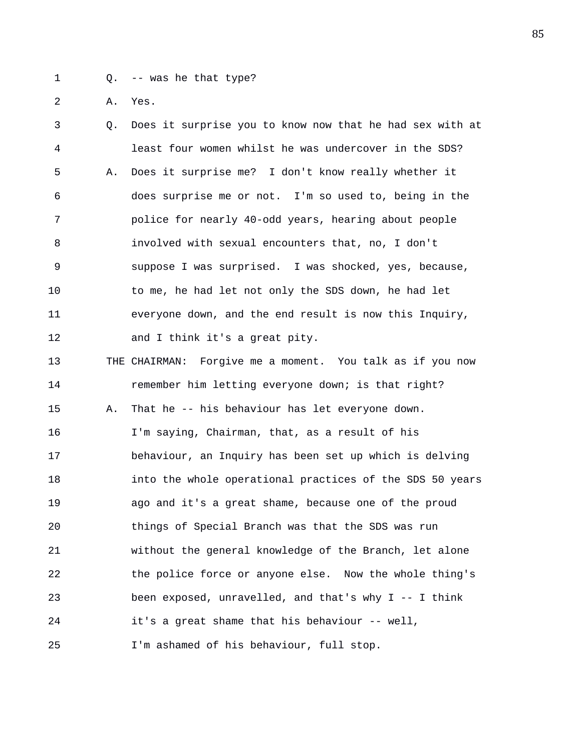1 Q. -- was he that type?

2 A. Yes.

3 Q. Does it surprise you to know now that he had sex with at 4 least four women whilst he was undercover in the SDS? 5 A. Does it surprise me? I don't know really whether it 6 does surprise me or not. I'm so used to, being in the 7 police for nearly 40-odd years, hearing about people 8 involved with sexual encounters that, no, I don't 9 suppose I was surprised. I was shocked, yes, because, 10 to me, he had let not only the SDS down, he had let 11 everyone down, and the end result is now this Inquiry, 12 and I think it's a great pity. 13 THE CHAIRMAN: Forgive me a moment. You talk as if you now 14 **remember him letting everyone down; is that right?** 15 A. That he -- his behaviour has let everyone down. 16 I'm saying, Chairman, that, as a result of his 17 behaviour, an Inquiry has been set up which is delving 18 into the whole operational practices of the SDS 50 years 19 ago and it's a great shame, because one of the proud 20 things of Special Branch was that the SDS was run 21 without the general knowledge of the Branch, let alone 22 the police force or anyone else. Now the whole thing's 23 been exposed, unravelled, and that's why I -- I think 24 it's a great shame that his behaviour -- well, 25 I'm ashamed of his behaviour, full stop.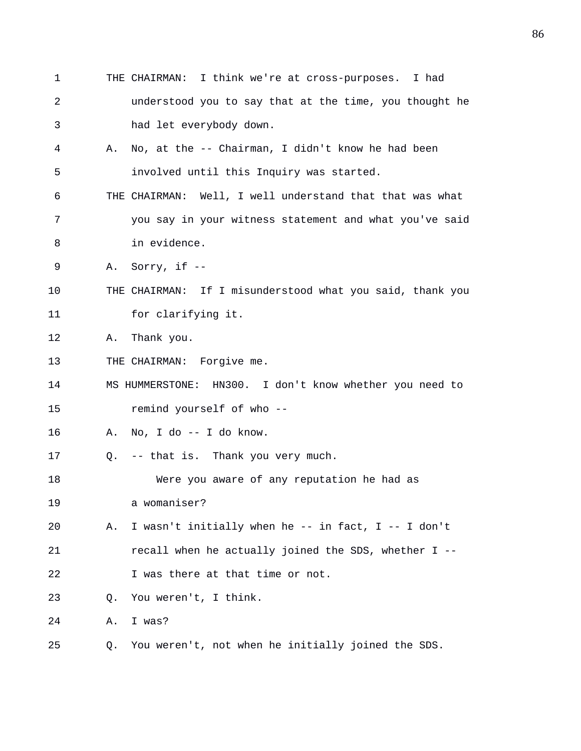1 THE CHAIRMAN: I think we're at cross-purposes. I had 2 understood you to say that at the time, you thought he 3 had let everybody down. 4 A. No, at the -- Chairman, I didn't know he had been 5 involved until this Inquiry was started. 6 THE CHAIRMAN: Well, I well understand that that was what 7 you say in your witness statement and what you've said 8 in evidence. 9 A. Sorry, if -- 10 THE CHAIRMAN: If I misunderstood what you said, thank you 11 for clarifying it. 12 A. Thank you. 13 THE CHAIRMAN: Forgive me. 14 MS HUMMERSTONE: HN300. I don't know whether you need to 15 remind yourself of who -- 16 A. No, I do -- I do know. 17 Q. -- that is. Thank you very much. 18 Were you aware of any reputation he had as 19 a womaniser? 20 A. I wasn't initially when he -- in fact, I -- I don't 21 recall when he actually joined the SDS, whether I -- 22 I was there at that time or not. 23 Q. You weren't, I think. 24 A. I was? 25 Q. You weren't, not when he initially joined the SDS.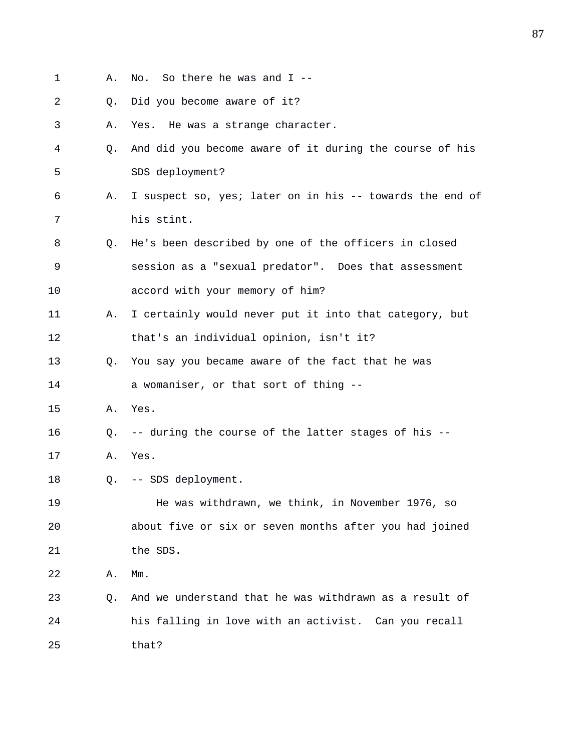- 1 A. No. So there he was and I --
- 2 Q. Did you become aware of it?
- 3 A. Yes. He was a strange character.
- 4 Q. And did you become aware of it during the course of his 5 SDS deployment?
- 6 A. I suspect so, yes; later on in his -- towards the end of 7 his stint.
- 8 Q. He's been described by one of the officers in closed 9 session as a "sexual predator". Does that assessment 10 accord with your memory of him?
- 11 A. I certainly would never put it into that category, but 12 that's an individual opinion, isn't it?
- 13 Q. You say you became aware of the fact that he was 14 a womaniser, or that sort of thing --
- 15 A. Yes.
- 16 Q. -- during the course of the latter stages of his --
- 17 A. Yes.
- 18 Q. -- SDS deployment.
- 19 He was withdrawn, we think, in November 1976, so 20 about five or six or seven months after you had joined 21 the SDS.
- 22 A. Mm.
- 23 Q. And we understand that he was withdrawn as a result of 24 his falling in love with an activist. Can you recall 25 that?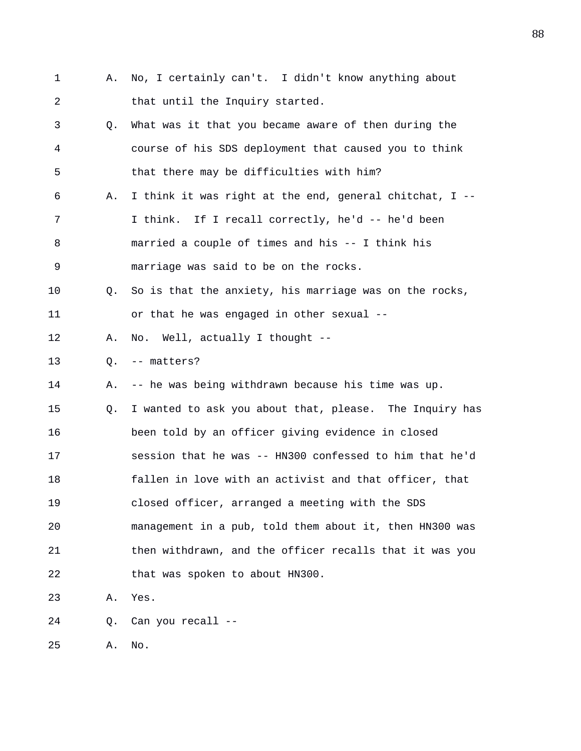1 A. No, I certainly can't. I didn't know anything about 2 that until the Inquiry started. 3 Q. What was it that you became aware of then during the 4 course of his SDS deployment that caused you to think 5 that there may be difficulties with him? 6 A. I think it was right at the end, general chitchat, I -- 7 I think. If I recall correctly, he'd -- he'd been 8 married a couple of times and his -- I think his 9 marriage was said to be on the rocks. 10 Q. So is that the anxiety, his marriage was on the rocks, 11 or that he was engaged in other sexual -- 12 A. No. Well, actually I thought -- 13 Q. -- matters? 14 A. -- he was being withdrawn because his time was up. 15 Q. I wanted to ask you about that, please. The Inquiry has 16 been told by an officer giving evidence in closed 17 session that he was -- HN300 confessed to him that he'd 18 fallen in love with an activist and that officer, that 19 closed officer, arranged a meeting with the SDS 20 management in a pub, told them about it, then HN300 was 21 then withdrawn, and the officer recalls that it was you 22 that was spoken to about HN300. 23 A. Yes. 24 Q. Can you recall --

25 A. No.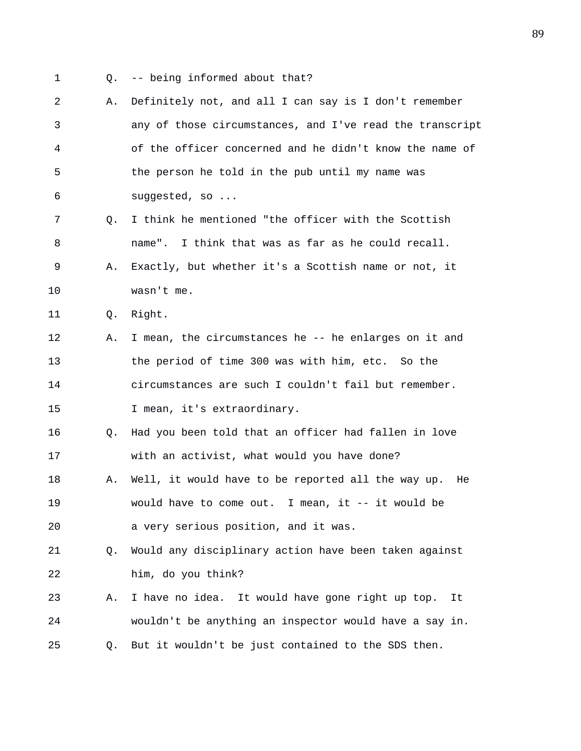- 
- 1 Q. -- being informed about that?
- 2 A. Definitely not, and all I can say is I don't remember 3 any of those circumstances, and I've read the transcript 4 of the officer concerned and he didn't know the name of 5 the person he told in the pub until my name was 6 suggested, so ... 7 Q. I think he mentioned "the officer with the Scottish 8 name". I think that was as far as he could recall. 9 A. Exactly, but whether it's a Scottish name or not, it 10 wasn't me. 11 Q. Right. 12 A. I mean, the circumstances he -- he enlarges on it and 13 the period of time 300 was with him, etc. So the 14 circumstances are such I couldn't fail but remember. 15 I mean, it's extraordinary. 16 Q. Had you been told that an officer had fallen in love 17 with an activist, what would you have done? 18 A. Well, it would have to be reported all the way up. He 19 would have to come out. I mean, it -- it would be 20 a very serious position, and it was. 21 Q. Would any disciplinary action have been taken against 22 him, do you think? 23 A. I have no idea. It would have gone right up top. It 24 wouldn't be anything an inspector would have a say in. 25 Q. But it wouldn't be just contained to the SDS then.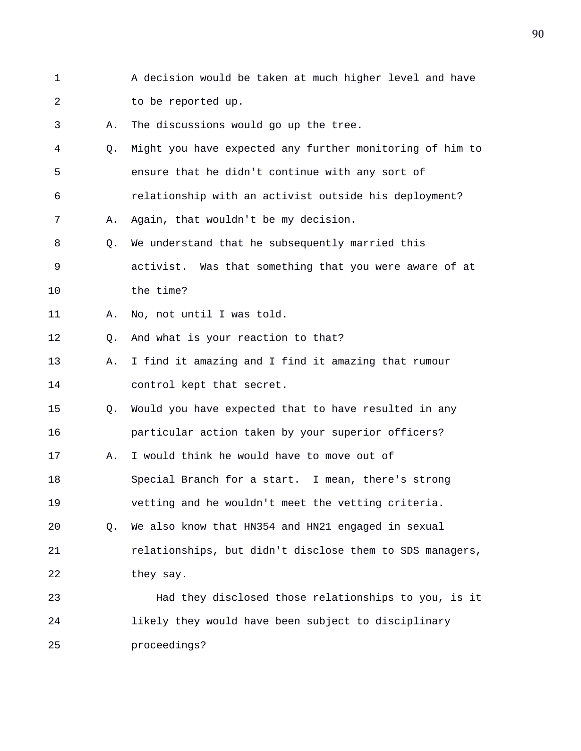1 A decision would be taken at much higher level and have 2 to be reported up. 3 A. The discussions would go up the tree. 4 Q. Might you have expected any further monitoring of him to 5 ensure that he didn't continue with any sort of 6 relationship with an activist outside his deployment? 7 A. Again, that wouldn't be my decision. 8 Q. We understand that he subsequently married this 9 activist. Was that something that you were aware of at 10 the time? 11 A. No, not until I was told. 12 Q. And what is your reaction to that? 13 A. I find it amazing and I find it amazing that rumour 14 control kept that secret. 15 Q. Would you have expected that to have resulted in any 16 particular action taken by your superior officers? 17 A. I would think he would have to move out of 18 Special Branch for a start. I mean, there's strong 19 vetting and he wouldn't meet the vetting criteria. 20 Q. We also know that HN354 and HN21 engaged in sexual 21 relationships, but didn't disclose them to SDS managers, 22 they say. 23 Had they disclosed those relationships to you, is it 24 likely they would have been subject to disciplinary 25 proceedings?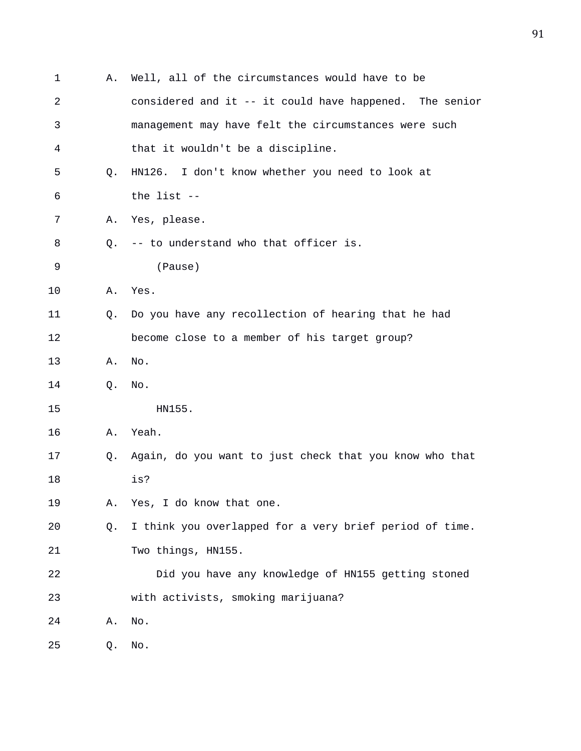| 1  | Α. | Well, all of the circumstances would have to be         |
|----|----|---------------------------------------------------------|
| 2  |    | considered and it -- it could have happened. The senior |
| 3  |    | management may have felt the circumstances were such    |
| 4  |    | that it wouldn't be a discipline.                       |
| 5  | Q. | HN126. I don't know whether you need to look at         |
| 6  |    | the list --                                             |
| 7  | Α. | Yes, please.                                            |
| 8  | 0. | -- to understand who that officer is.                   |
| 9  |    | (Pause)                                                 |
| 10 | Α. | Yes.                                                    |
| 11 | O. | Do you have any recollection of hearing that he had     |
| 12 |    | become close to a member of his target group?           |
| 13 | Α. | No.                                                     |
| 14 | Q. | No.                                                     |
| 15 |    | HN155.                                                  |
| 16 | Α. | Yeah.                                                   |
| 17 | Q. | Again, do you want to just check that you know who that |
| 18 |    | is?                                                     |
| 19 | Α. | Yes, I do know that one.                                |
| 20 | Q. | I think you overlapped for a very brief period of time. |
| 21 |    | Two things, HN155.                                      |
| 22 |    | Did you have any knowledge of HN155 getting stoned      |
| 23 |    | with activists, smoking marijuana?                      |
| 24 | Α. | No.                                                     |
| 25 | Q. | No.                                                     |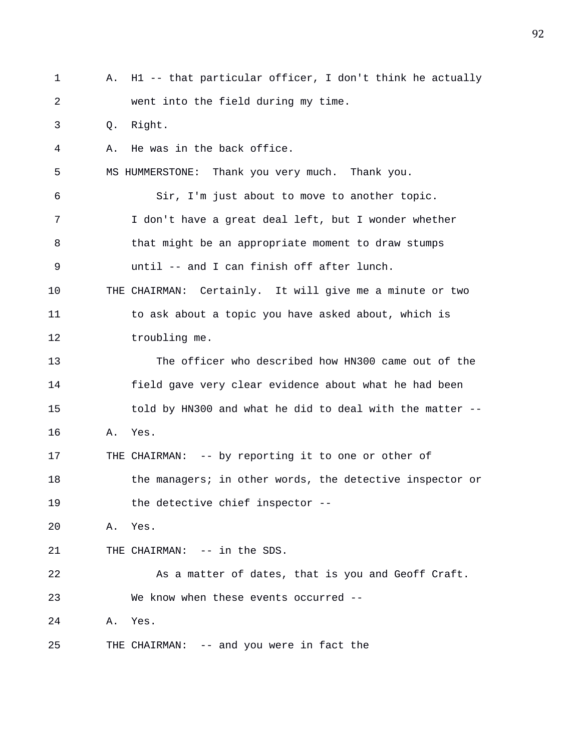1 A. H1 -- that particular officer, I don't think he actually 2 went into the field during my time. 3 Q. Right. 4 A. He was in the back office. 5 MS HUMMERSTONE: Thank you very much. Thank you. 6 Sir, I'm just about to move to another topic. 7 I don't have a great deal left, but I wonder whether 8 bthat might be an appropriate moment to draw stumps 9 until -- and I can finish off after lunch. 10 THE CHAIRMAN: Certainly. It will give me a minute or two 11 to ask about a topic you have asked about, which is 12 troubling me. 13 The officer who described how HN300 came out of the 14 field gave very clear evidence about what he had been 15 told by HN300 and what he did to deal with the matter -- 16 A. Yes. 17 THE CHAIRMAN: -- by reporting it to one or other of 18 the managers; in other words, the detective inspector or 19 the detective chief inspector -- 20 A. Yes. 21 THE CHAIRMAN: -- in the SDS. 22 As a matter of dates, that is you and Geoff Craft. 23 We know when these events occurred -- 24 A. Yes. 25 THE CHAIRMAN: -- and you were in fact the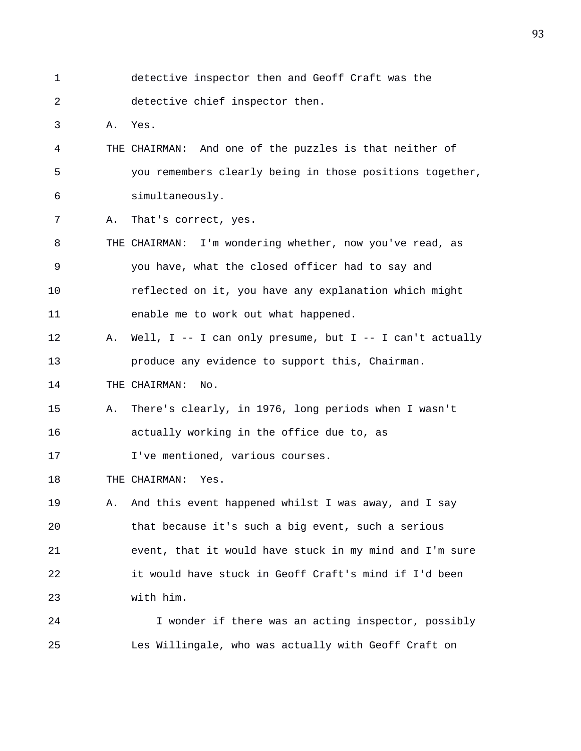1 detective inspector then and Geoff Craft was the 2 detective chief inspector then.

3 A. Yes.

- 4 THE CHAIRMAN: And one of the puzzles is that neither of 5 you remembers clearly being in those positions together, 6 simultaneously.
- 7 A. That's correct, yes.
- 8 THE CHAIRMAN: I'm wondering whether, now you've read, as 9 you have, what the closed officer had to say and 10 reflected on it, you have any explanation which might 11 enable me to work out what happened.
- 12 A. Well, I -- I can only presume, but I -- I can't actually 13 produce any evidence to support this, Chairman.
- 14 THE CHAIRMAN: No.
- 15 A. There's clearly, in 1976, long periods when I wasn't 16 actually working in the office due to, as
- 17 **I've mentioned, various courses.**
- 18 THE CHAIRMAN: Yes.
- 19 A. And this event happened whilst I was away, and I say 20 that because it's such a big event, such a serious 21 event, that it would have stuck in my mind and I'm sure 22 it would have stuck in Geoff Craft's mind if I'd been 23 with him.
- 24 I wonder if there was an acting inspector, possibly 25 Les Willingale, who was actually with Geoff Craft on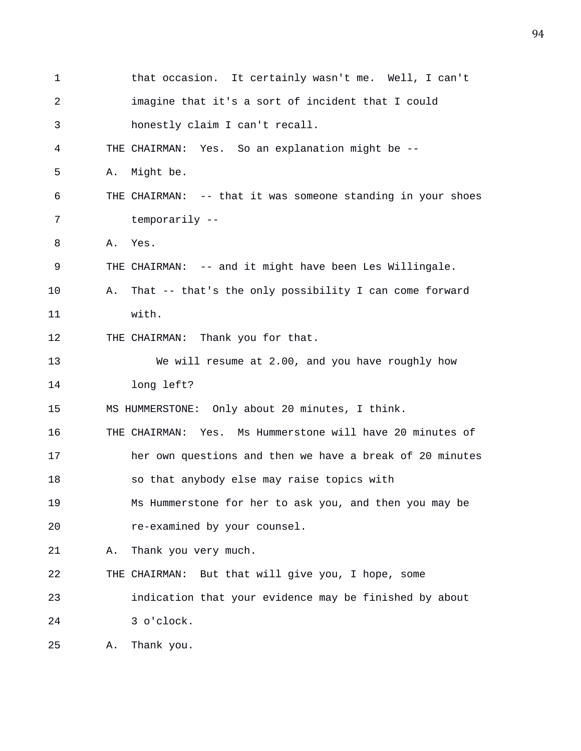| 1  |    | that occasion. It certainly wasn't me. Well, I can't        |
|----|----|-------------------------------------------------------------|
| 2  |    | imagine that it's a sort of incident that I could           |
| 3  |    | honestly claim I can't recall.                              |
| 4  |    | THE CHAIRMAN: Yes. So an explanation might be --            |
| 5  | Α. | Might be.                                                   |
| 6  |    | THE CHAIRMAN: -- that it was someone standing in your shoes |
| 7  |    | temporarily --                                              |
| 8  | Α. | Yes.                                                        |
| 9  |    | THE CHAIRMAN: -- and it might have been Les Willingale.     |
| 10 | Α. | That -- that's the only possibility I can come forward      |
| 11 |    | with.                                                       |
| 12 |    | THE CHAIRMAN: Thank you for that.                           |
| 13 |    | We will resume at 2.00, and you have roughly how            |
| 14 |    | long left?                                                  |
| 15 |    | MS HUMMERSTONE: Only about 20 minutes, I think.             |
| 16 |    | THE CHAIRMAN: Yes. Ms Hummerstone will have 20 minutes of   |
| 17 |    | her own questions and then we have a break of 20 minutes    |
| 18 |    | so that anybody else may raise topics with                  |
| 19 |    | Ms Hummerstone for her to ask you, and then you may be      |
| 20 |    | re-examined by your counsel.                                |
| 21 | Α. | Thank you very much.                                        |
| 22 |    | THE CHAIRMAN: But that will give you, I hope, some          |
| 23 |    | indication that your evidence may be finished by about      |
| 24 |    | 3 o'clock.                                                  |
| 25 | Α. | Thank you.                                                  |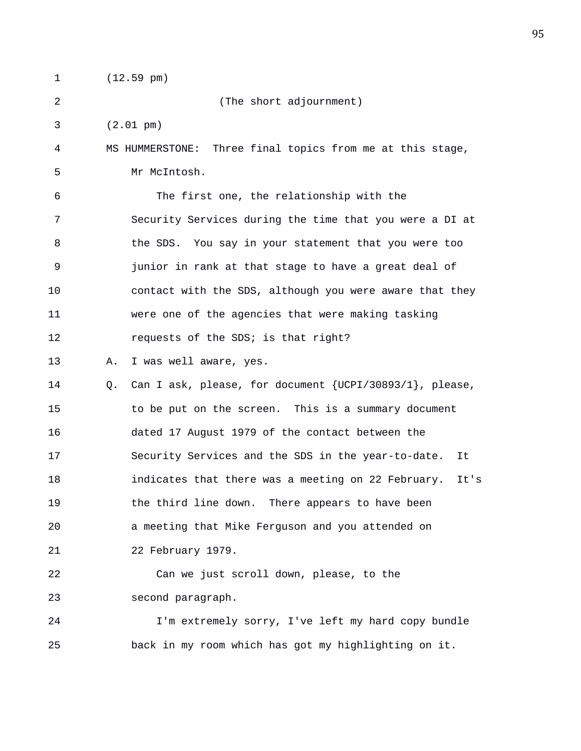1 (12.59 pm)

2 (The short adjournment)

3 (2.01 pm)

4 MS HUMMERSTONE: Three final topics from me at this stage, 5 Mr McIntosh.

6 The first one, the relationship with the 7 Security Services during the time that you were a DI at 8 the SDS. You say in your statement that you were too 9 junior in rank at that stage to have a great deal of 10 contact with the SDS, although you were aware that they 11 were one of the agencies that were making tasking 12 requests of the SDS; is that right?

13 A. I was well aware, yes.

14 Q. Can I ask, please, for document {UCPI/30893/1}, please, 15 to be put on the screen. This is a summary document 16 dated 17 August 1979 of the contact between the 17 Security Services and the SDS in the year-to-date. It 18 indicates that there was a meeting on 22 February. It's 19 the third line down. There appears to have been 20 a meeting that Mike Ferguson and you attended on 21 22 February 1979.

22 Can we just scroll down, please, to the 23 second paragraph.

24 I'm extremely sorry, I've left my hard copy bundle 25 back in my room which has got my highlighting on it.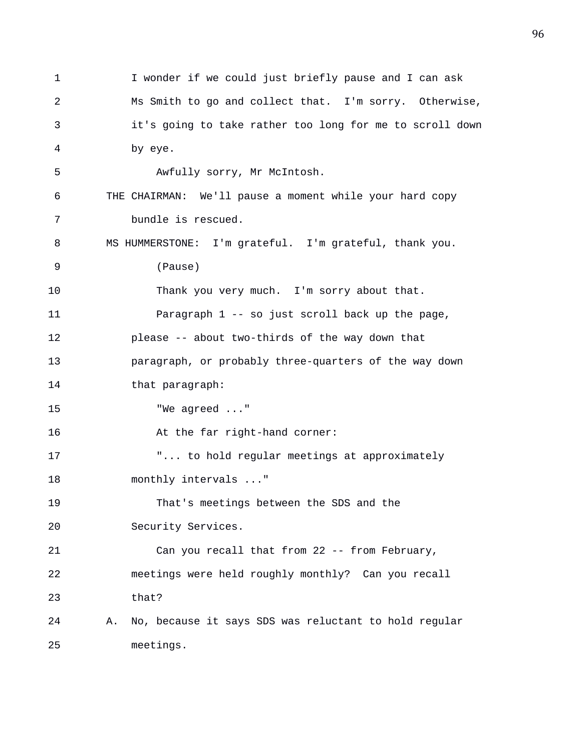1 I wonder if we could just briefly pause and I can ask 2 Ms Smith to go and collect that. I'm sorry. Otherwise, 3 it's going to take rather too long for me to scroll down 4 by eye. 5 Awfully sorry, Mr McIntosh. 6 THE CHAIRMAN: We'll pause a moment while your hard copy 7 bundle is rescued. 8 MS HUMMERSTONE: I'm grateful. I'm grateful, thank you. 9 (Pause) 10 Thank you very much. I'm sorry about that. 11 Paragraph 1 -- so just scroll back up the page, 12 please -- about two-thirds of the way down that 13 paragraph, or probably three-quarters of the way down 14 that paragraph: 15 "We agreed ..." 16 At the far right-hand corner: 17 "... to hold regular meetings at approximately 18 monthly intervals ..." 19 That's meetings between the SDS and the 20 Security Services. 21 Can you recall that from 22 -- from February, 22 meetings were held roughly monthly? Can you recall 23 that? 24 A. No, because it says SDS was reluctant to hold regular 25 meetings.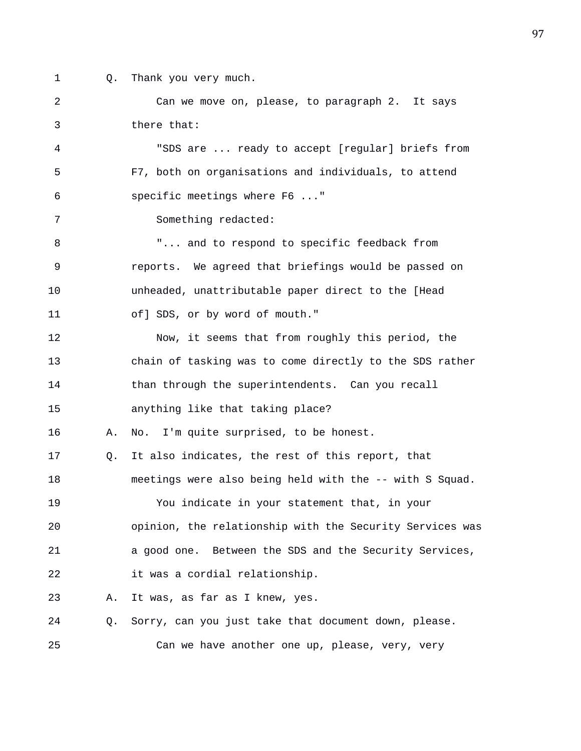- 
- 1 Q. Thank you very much.

2 Can we move on, please, to paragraph 2. It says 3 there that: 4 "SDS are ... ready to accept [regular] briefs from 5 F7, both on organisations and individuals, to attend 6 specific meetings where F6 ..." 7 Something redacted: 8 "... and to respond to specific feedback from 9 reports. We agreed that briefings would be passed on 10 unheaded, unattributable paper direct to the [Head 11 of] SDS, or by word of mouth." 12 Now, it seems that from roughly this period, the 13 chain of tasking was to come directly to the SDS rather 14 than through the superintendents. Can you recall 15 anything like that taking place? 16 A. No. I'm quite surprised, to be honest. 17 Q. It also indicates, the rest of this report, that 18 meetings were also being held with the -- with S Squad. 19 You indicate in your statement that, in your 20 opinion, the relationship with the Security Services was 21 a good one. Between the SDS and the Security Services, 22 it was a cordial relationship. 23 A. It was, as far as I knew, yes. 24 Q. Sorry, can you just take that document down, please. 25 Can we have another one up, please, very, very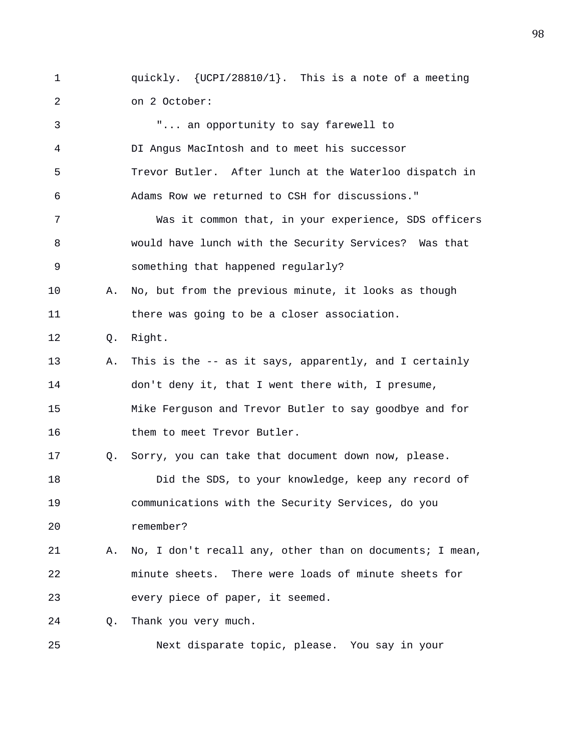1 quickly. {UCPI/28810/1}. This is a note of a meeting 2 on 2 October:

3 "... an opportunity to say farewell to 4 DI Angus MacIntosh and to meet his successor 5 Trevor Butler. After lunch at the Waterloo dispatch in 6 Adams Row we returned to CSH for discussions." 7 Was it common that, in your experience, SDS officers 8 would have lunch with the Security Services? Was that 9 something that happened regularly? 10 A. No, but from the previous minute, it looks as though 11 there was going to be a closer association. 12 Q. Right. 13 A. This is the -- as it says, apparently, and I certainly 14 don't deny it, that I went there with, I presume, 15 Mike Ferguson and Trevor Butler to say goodbye and for 16 them to meet Trevor Butler. 17 Q. Sorry, you can take that document down now, please. 18 Did the SDS, to your knowledge, keep any record of 19 communications with the Security Services, do you 20 remember? 21 A. No, I don't recall any, other than on documents; I mean, 22 minute sheets. There were loads of minute sheets for 23 every piece of paper, it seemed. 24 Q. Thank you very much. 25 Next disparate topic, please. You say in your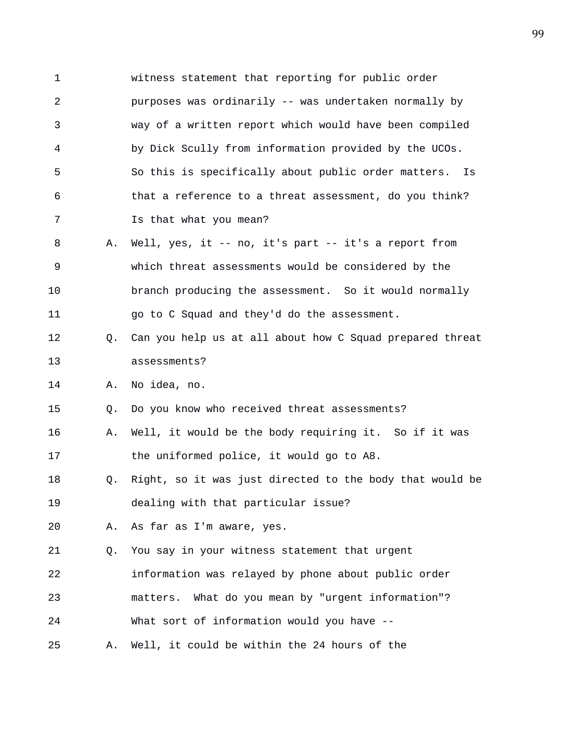1 witness statement that reporting for public order 2 purposes was ordinarily -- was undertaken normally by 3 way of a written report which would have been compiled 4 by Dick Scully from information provided by the UCOs. 5 So this is specifically about public order matters. Is 6 that a reference to a threat assessment, do you think? 7 Is that what you mean? 8 A. Well, yes, it -- no, it's part -- it's a report from 9 which threat assessments would be considered by the 10 branch producing the assessment. So it would normally 11 go to C Squad and they'd do the assessment. 12 Q. Can you help us at all about how C Squad prepared threat 13 assessments? 14 A. No idea, no. 15 Q. Do you know who received threat assessments? 16 A. Well, it would be the body requiring it. So if it was 17 the uniformed police, it would go to A8. 18 Q. Right, so it was just directed to the body that would be 19 dealing with that particular issue? 20 A. As far as I'm aware, yes. 21 Q. You say in your witness statement that urgent 22 information was relayed by phone about public order 23 matters. What do you mean by "urgent information"? 24 What sort of information would you have -- 25 A. Well, it could be within the 24 hours of the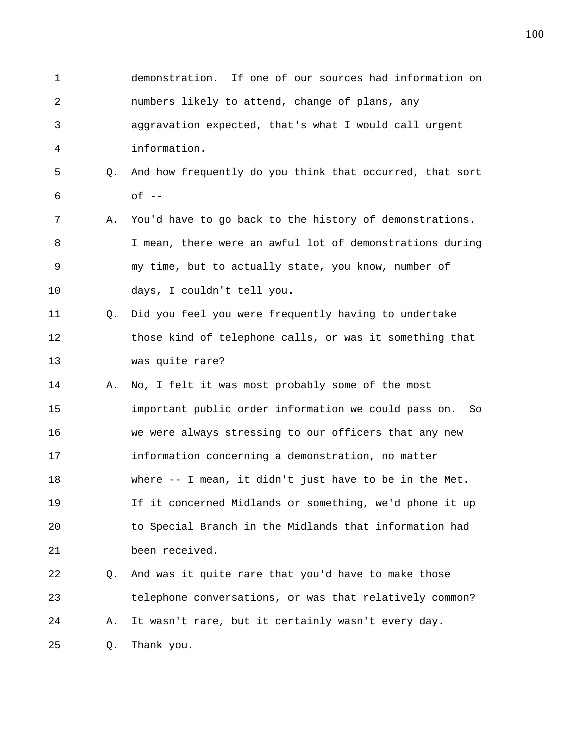1 demonstration. If one of our sources had information on 2 numbers likely to attend, change of plans, any 3 aggravation expected, that's what I would call urgent 4 information. 5 Q. And how frequently do you think that occurred, that sort  $6 \qquad \qquad$  of  $-$ 7 A. You'd have to go back to the history of demonstrations. 8 I mean, there were an awful lot of demonstrations during 9 my time, but to actually state, you know, number of 10 days, I couldn't tell you. 11 Q. Did you feel you were frequently having to undertake 12 those kind of telephone calls, or was it something that 13 was quite rare? 14 A. No, I felt it was most probably some of the most 15 important public order information we could pass on. So 16 we were always stressing to our officers that any new 17 information concerning a demonstration, no matter 18 where -- I mean, it didn't just have to be in the Met. 19 If it concerned Midlands or something, we'd phone it up 20 to Special Branch in the Midlands that information had 21 been received. 22 Q. And was it quite rare that you'd have to make those 23 telephone conversations, or was that relatively common? 24 A. It wasn't rare, but it certainly wasn't every day. 25 Q. Thank you.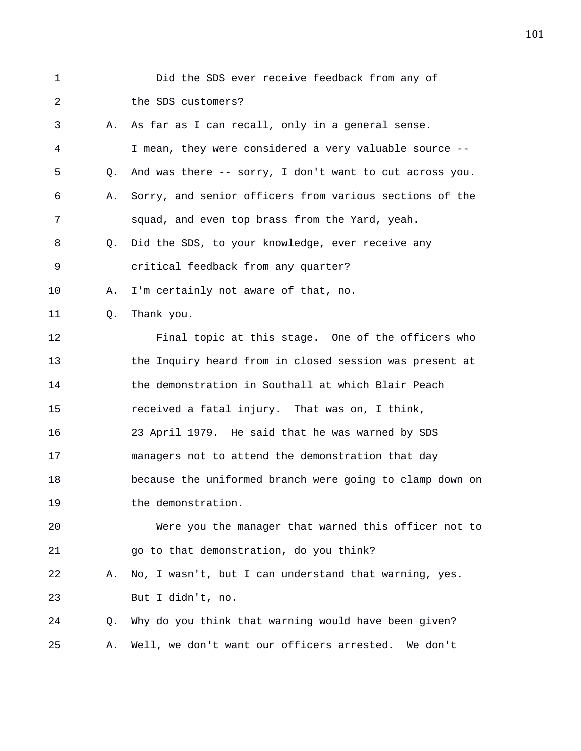| $\mathbf 1$ |    | Did the SDS ever receive feedback from any of            |
|-------------|----|----------------------------------------------------------|
| 2           |    | the SDS customers?                                       |
| 3           | Α. | As far as I can recall, only in a general sense.         |
| 4           |    | I mean, they were considered a very valuable source --   |
| 5           | Q. | And was there -- sorry, I don't want to cut across you.  |
| 6           | Α. | Sorry, and senior officers from various sections of the  |
| 7           |    | squad, and even top brass from the Yard, yeah.           |
| 8           | Q. | Did the SDS, to your knowledge, ever receive any         |
| 9           |    | critical feedback from any quarter?                      |
| 10          | Α. | I'm certainly not aware of that, no.                     |
| 11          | Q. | Thank you.                                               |
| 12          |    | Final topic at this stage. One of the officers who       |
| 13          |    | the Inquiry heard from in closed session was present at  |
| 14          |    | the demonstration in Southall at which Blair Peach       |
| 15          |    | received a fatal injury. That was on, I think,           |
| 16          |    | 23 April 1979. He said that he was warned by SDS         |
| 17          |    | managers not to attend the demonstration that day        |
| 18          |    | because the uniformed branch were going to clamp down on |
| 19          |    | the demonstration.                                       |
| 20          |    | Were you the manager that warned this officer not to     |
| 21          |    | go to that demonstration, do you think?                  |
| 22          | Α. | No, I wasn't, but I can understand that warning, yes.    |
| 23          |    | But I didn't, no.                                        |
| 24          | Q. | Why do you think that warning would have been given?     |
| 25          | Α. | Well, we don't want our officers arrested. We don't      |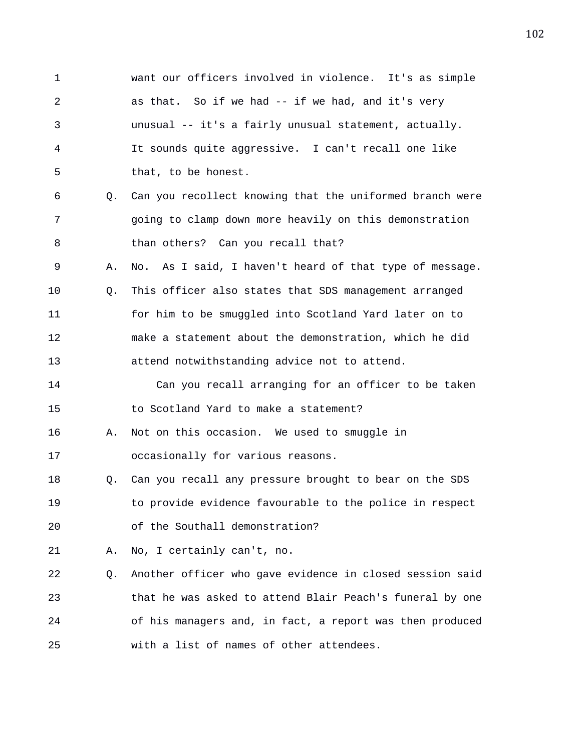1 want our officers involved in violence. It's as simple 2 as that. So if we had -- if we had, and it's very 3 unusual -- it's a fairly unusual statement, actually. 4 It sounds quite aggressive. I can't recall one like 5 that, to be honest. 6 Q. Can you recollect knowing that the uniformed branch were 7 going to clamp down more heavily on this demonstration 8 than others? Can you recall that? 9 A. No. As I said, I haven't heard of that type of message. 10 Q. This officer also states that SDS management arranged 11 for him to be smuggled into Scotland Yard later on to 12 make a statement about the demonstration, which he did 13 attend notwithstanding advice not to attend. 14 Can you recall arranging for an officer to be taken 15 to Scotland Yard to make a statement? 16 A. Not on this occasion. We used to smuggle in 17 occasionally for various reasons. 18 Q. Can you recall any pressure brought to bear on the SDS 19 to provide evidence favourable to the police in respect 20 of the Southall demonstration? 21 A. No, I certainly can't, no. 22 Q. Another officer who gave evidence in closed session said 23 that he was asked to attend Blair Peach's funeral by one 24 of his managers and, in fact, a report was then produced 25 with a list of names of other attendees.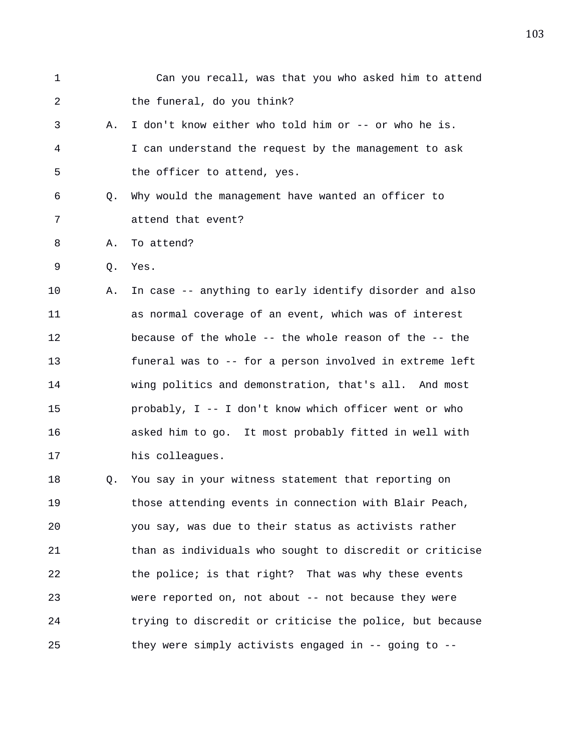| 1  |    | Can you recall, was that you who asked him to attend     |
|----|----|----------------------------------------------------------|
| 2  |    | the funeral, do you think?                               |
| 3  | Α. | I don't know either who told him or -- or who he is.     |
| 4  |    | I can understand the request by the management to ask    |
| 5  |    | the officer to attend, yes.                              |
| 6  | Q. | Why would the management have wanted an officer to       |
| 7  |    | attend that event?                                       |
| 8  | Α. | To attend?                                               |
| 9  | Q. | Yes.                                                     |
| 10 | Α. | In case -- anything to early identify disorder and also  |
| 11 |    | as normal coverage of an event, which was of interest    |
| 12 |    | because of the whole -- the whole reason of the -- the   |
| 13 |    | funeral was to -- for a person involved in extreme left  |
| 14 |    | wing politics and demonstration, that's all. And most    |
| 15 |    | probably, I -- I don't know which officer went or who    |
| 16 |    | asked him to go. It most probably fitted in well with    |
| 17 |    | his colleagues.                                          |
| 18 | Q. | You say in your witness statement that reporting on      |
| 19 |    | those attending events in connection with Blair Peach,   |
| 20 |    | you say, was due to their status as activists rather     |
| 21 |    | than as individuals who sought to discredit or criticise |
| 22 |    | the police; is that right? That was why these events     |
| 23 |    | were reported on, not about -- not because they were     |
| 24 |    | trying to discredit or criticise the police, but because |
| 25 |    | they were simply activists engaged in -- going to --     |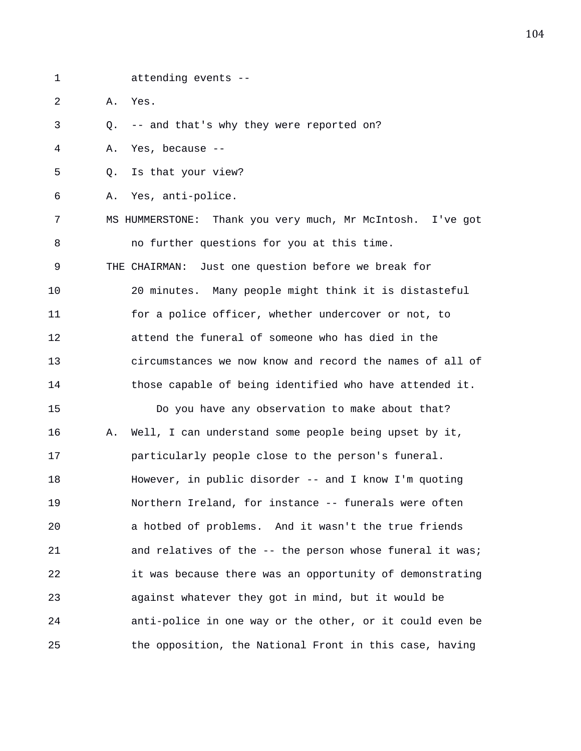- 
- 1 attending events --
- 2 A. Yes.

3 Q. -- and that's why they were reported on?

4 A. Yes, because --

5 Q. Is that your view?

6 A. Yes, anti-police.

7 MS HUMMERSTONE: Thank you very much, Mr McIntosh. I've got 8 no further questions for you at this time. 9 THE CHAIRMAN: Just one question before we break for 10 20 minutes. Many people might think it is distasteful 11 for a police officer, whether undercover or not, to 12 attend the funeral of someone who has died in the 13 circumstances we now know and record the names of all of 14 those capable of being identified who have attended it. 15 Do you have any observation to make about that? 16 A. Well, I can understand some people being upset by it, 17 particularly people close to the person's funeral. 18 However, in public disorder -- and I know I'm quoting 19 Northern Ireland, for instance -- funerals were often

20 a hotbed of problems. And it wasn't the true friends 21 and relatives of the -- the person whose funeral it was; 22 it was because there was an opportunity of demonstrating 23 against whatever they got in mind, but it would be 24 anti-police in one way or the other, or it could even be 25 the opposition, the National Front in this case, having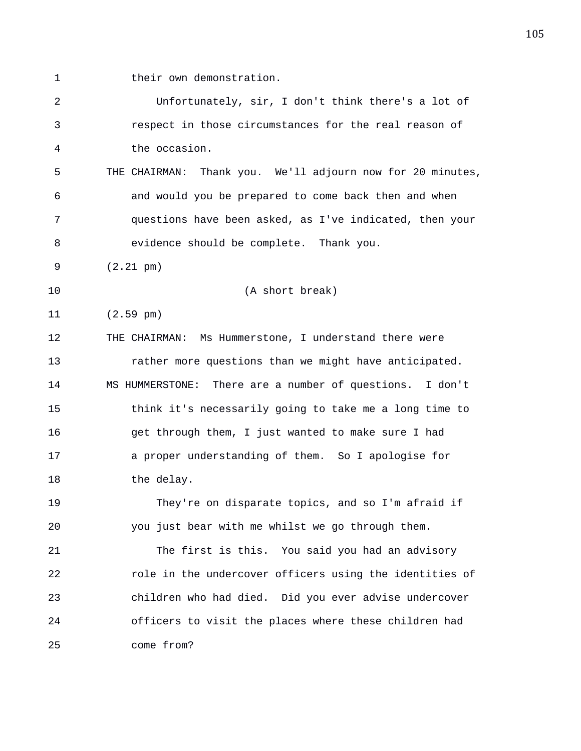1 their own demonstration.

2 Unfortunately, sir, I don't think there's a lot of 3 respect in those circumstances for the real reason of 4 the occasion. 5 THE CHAIRMAN: Thank you. We'll adjourn now for 20 minutes, 6 and would you be prepared to come back then and when 7 questions have been asked, as I've indicated, then your 8 evidence should be complete. Thank you. 9 (2.21 pm) 10 (A short break) 11 (2.59 pm) 12 THE CHAIRMAN: Ms Hummerstone, I understand there were 13 rather more questions than we might have anticipated. 14 MS HUMMERSTONE: There are a number of questions. I don't 15 think it's necessarily going to take me a long time to 16 get through them, I just wanted to make sure I had 17 a proper understanding of them. So I apologise for 18 the delay. 19 They're on disparate topics, and so I'm afraid if 20 you just bear with me whilst we go through them. 21 The first is this. You said you had an advisory 22 role in the undercover officers using the identities of 23 children who had died. Did you ever advise undercover 24 officers to visit the places where these children had 25 come from?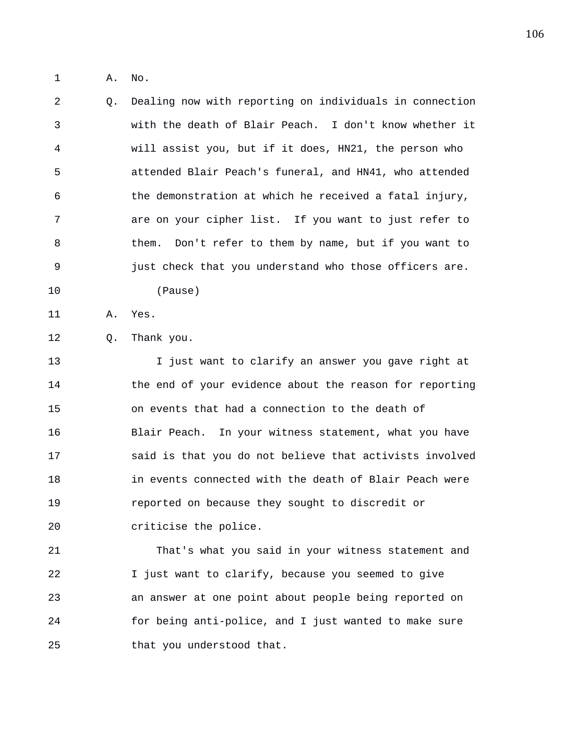1 A. No.

2 Q. Dealing now with reporting on individuals in connection 3 with the death of Blair Peach. I don't know whether it 4 will assist you, but if it does, HN21, the person who 5 attended Blair Peach's funeral, and HN41, who attended 6 the demonstration at which he received a fatal injury, 7 are on your cipher list. If you want to just refer to 8 them. Don't refer to them by name, but if you want to 9 just check that you understand who those officers are. 10 (Pause)

11 A. Yes.

12 Q. Thank you.

13 I just want to clarify an answer you gave right at 14 the end of your evidence about the reason for reporting 15 on events that had a connection to the death of 16 Blair Peach. In your witness statement, what you have 17 said is that you do not believe that activists involved 18 in events connected with the death of Blair Peach were 19 reported on because they sought to discredit or 20 criticise the police.

21 That's what you said in your witness statement and 22 I just want to clarify, because you seemed to give 23 an answer at one point about people being reported on 24 for being anti-police, and I just wanted to make sure 25 that you understood that.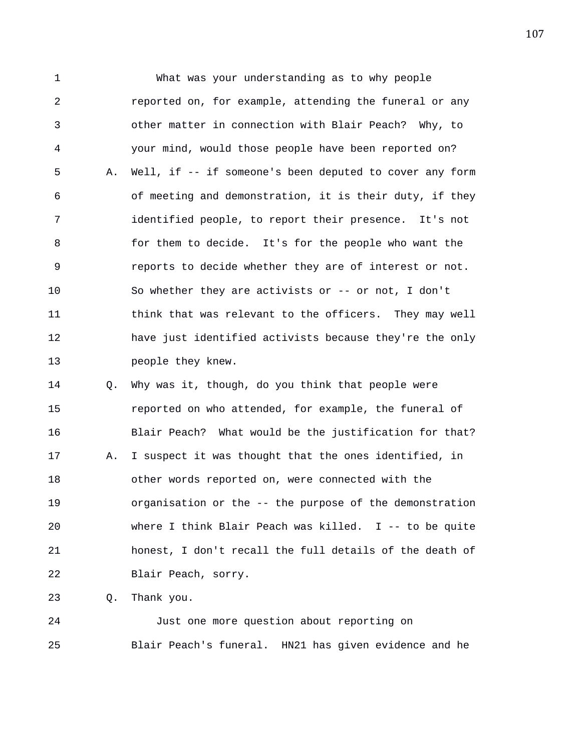1 What was your understanding as to why people 2 reported on, for example, attending the funeral or any 3 other matter in connection with Blair Peach? Why, to 4 your mind, would those people have been reported on? 5 A. Well, if -- if someone's been deputed to cover any form 6 of meeting and demonstration, it is their duty, if they 7 identified people, to report their presence. It's not 8 for them to decide. It's for the people who want the 9 reports to decide whether they are of interest or not. 10 So whether they are activists or -- or not, I don't 11 think that was relevant to the officers. They may well 12 have just identified activists because they're the only 13 people they knew.

14 Q. Why was it, though, do you think that people were 15 reported on who attended, for example, the funeral of 16 Blair Peach? What would be the justification for that? 17 A. I suspect it was thought that the ones identified, in 18 other words reported on, were connected with the 19 organisation or the -- the purpose of the demonstration 20 where I think Blair Peach was killed. I -- to be quite 21 honest, I don't recall the full details of the death of 22 Blair Peach, sorry.

23 Q. Thank you.

24 Just one more question about reporting on 25 Blair Peach's funeral. HN21 has given evidence and he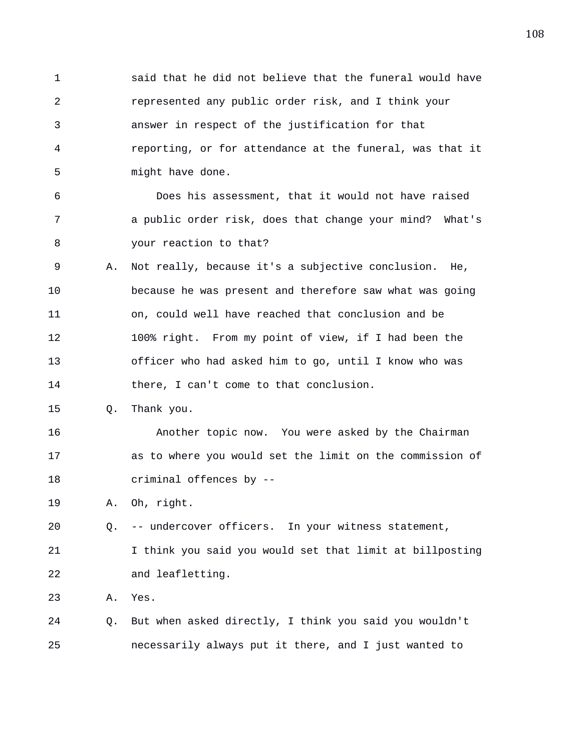1 said that he did not believe that the funeral would have 2 represented any public order risk, and I think your 3 answer in respect of the justification for that 4 reporting, or for attendance at the funeral, was that it 5 might have done. 6 Does his assessment, that it would not have raised 7 a public order risk, does that change your mind? What's 8 your reaction to that? 9 A. Not really, because it's a subjective conclusion. He, 10 because he was present and therefore saw what was going 11 on, could well have reached that conclusion and be 12 100% right. From my point of view, if I had been the 13 officer who had asked him to go, until I know who was 14 there, I can't come to that conclusion. 15 Q. Thank you. 16 Another topic now. You were asked by the Chairman 17 as to where you would set the limit on the commission of 18 criminal offences by -- 19 A. Oh, right. 20 Q. -- undercover officers. In your witness statement, 21 I think you said you would set that limit at billposting 22 and leafletting. 23 A. Yes. 24 Q. But when asked directly, I think you said you wouldn't 25 necessarily always put it there, and I just wanted to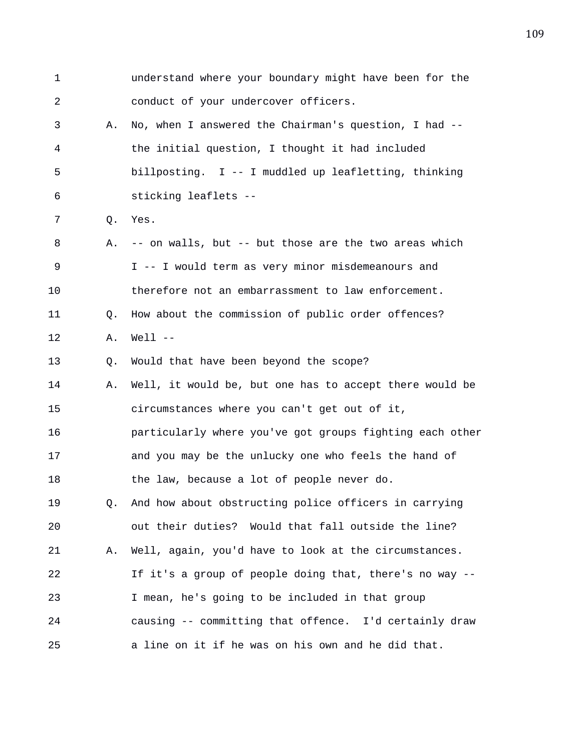1 understand where your boundary might have been for the 2 conduct of your undercover officers. 3 A. No, when I answered the Chairman's question, I had -- 4 the initial question, I thought it had included 5 billposting. I -- I muddled up leafletting, thinking 6 sticking leaflets -- 7 Q. Yes. 8 A. -- on walls, but -- but those are the two areas which 9 I -- I would term as very minor misdemeanours and 10 therefore not an embarrassment to law enforcement. 11 Q. How about the commission of public order offences? 12 A. Well -- 13 Q. Would that have been beyond the scope? 14 A. Well, it would be, but one has to accept there would be 15 circumstances where you can't get out of it, 16 particularly where you've got groups fighting each other 17 and you may be the unlucky one who feels the hand of 18 the law, because a lot of people never do. 19 Q. And how about obstructing police officers in carrying 20 out their duties? Would that fall outside the line? 21 A. Well, again, you'd have to look at the circumstances. 22 If it's a group of people doing that, there's no way -- 23 I mean, he's going to be included in that group 24 causing -- committing that offence. I'd certainly draw 25 a line on it if he was on his own and he did that.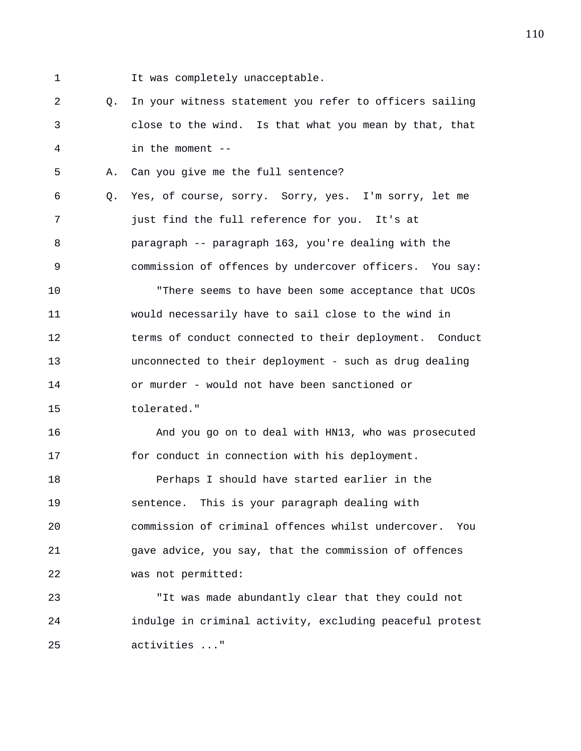- 
- 1 It was completely unacceptable.

2 Q. In your witness statement you refer to officers sailing 3 close to the wind. Is that what you mean by that, that 4 in the moment --

5 A. Can you give me the full sentence?

6 Q. Yes, of course, sorry. Sorry, yes. I'm sorry, let me 7 just find the full reference for you. It's at 8 paragraph -- paragraph 163, you're dealing with the 9 commission of offences by undercover officers. You say:

10 "There seems to have been some acceptance that UCOs 11 would necessarily have to sail close to the wind in 12 terms of conduct connected to their deployment. Conduct 13 unconnected to their deployment - such as drug dealing 14 or murder - would not have been sanctioned or 15 tolerated."

16 And you go on to deal with HN13, who was prosecuted 17 for conduct in connection with his deployment.

18 Perhaps I should have started earlier in the 19 sentence. This is your paragraph dealing with 20 commission of criminal offences whilst undercover. You 21 gave advice, you say, that the commission of offences 22 was not permitted:

23 "It was made abundantly clear that they could not 24 indulge in criminal activity, excluding peaceful protest 25 activities ..."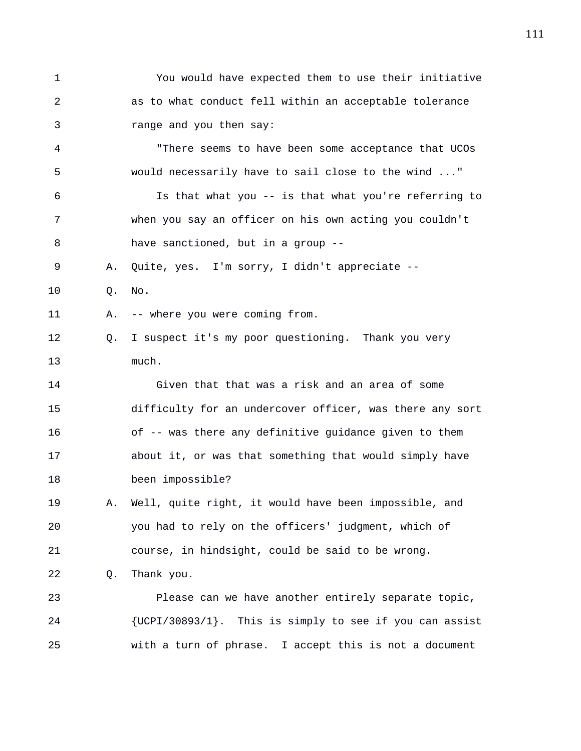1 You would have expected them to use their initiative 2 as to what conduct fell within an acceptable tolerance 3 range and you then say: 4 "There seems to have been some acceptance that UCOs 5 would necessarily have to sail close to the wind ..." 6 Is that what you -- is that what you're referring to 7 when you say an officer on his own acting you couldn't 8 have sanctioned, but in a group -- 9 A. Quite, yes. I'm sorry, I didn't appreciate -- 10 Q. No. 11 A. -- where you were coming from. 12 Q. I suspect it's my poor questioning. Thank you very 13 much. 14 Given that that was a risk and an area of some 15 difficulty for an undercover officer, was there any sort 16 of -- was there any definitive guidance given to them 17 about it, or was that something that would simply have 18 been impossible? 19 A. Well, quite right, it would have been impossible, and 20 you had to rely on the officers' judgment, which of 21 course, in hindsight, could be said to be wrong. 22 Q. Thank you. 23 Please can we have another entirely separate topic, 24 {UCPI/30893/1}. This is simply to see if you can assist 25 with a turn of phrase. I accept this is not a document

111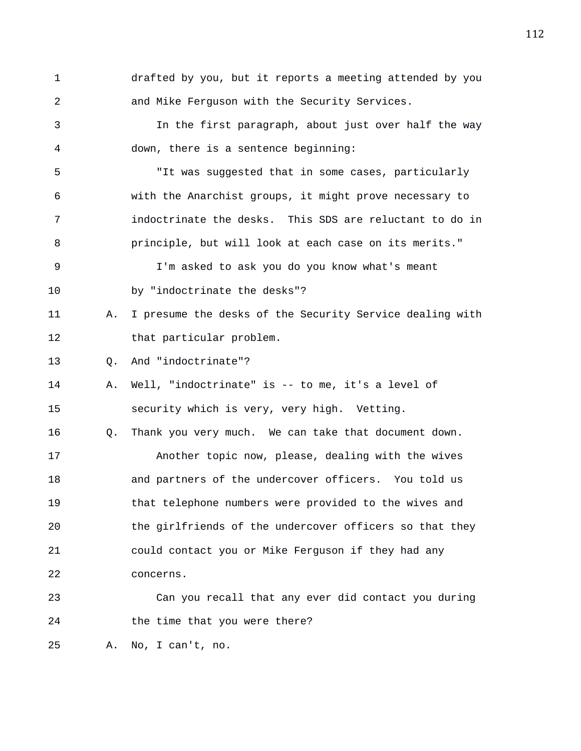1 drafted by you, but it reports a meeting attended by you 2 and Mike Ferguson with the Security Services. 3 In the first paragraph, about just over half the way 4 down, there is a sentence beginning: 5 "It was suggested that in some cases, particularly 6 with the Anarchist groups, it might prove necessary to 7 indoctrinate the desks. This SDS are reluctant to do in 8 principle, but will look at each case on its merits." 9 I'm asked to ask you do you know what's meant 10 by "indoctrinate the desks"? 11 A. I presume the desks of the Security Service dealing with 12 that particular problem. 13 Q. And "indoctrinate"? 14 A. Well, "indoctrinate" is -- to me, it's a level of 15 security which is very, very high. Vetting. 16 Q. Thank you very much. We can take that document down. 17 Another topic now, please, dealing with the wives

18 and partners of the undercover officers. You told us 19 that telephone numbers were provided to the wives and 20 the girlfriends of the undercover officers so that they 21 could contact you or Mike Ferguson if they had any 22 concerns.

23 Can you recall that any ever did contact you during 24 the time that you were there?

25 A. No, I can't, no.

112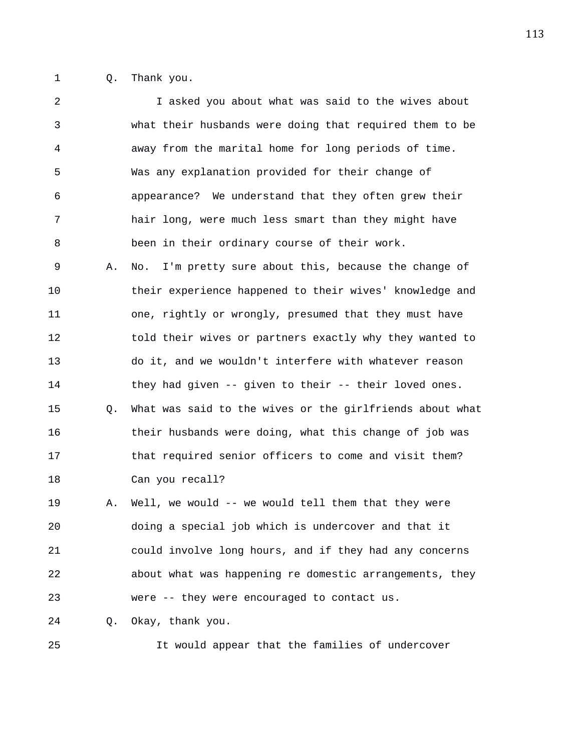1 Q. Thank you.

2 I asked you about what was said to the wives about 3 what their husbands were doing that required them to be 4 away from the marital home for long periods of time. 5 Was any explanation provided for their change of 6 appearance? We understand that they often grew their 7 hair long, were much less smart than they might have 8 been in their ordinary course of their work. 9 A. No. I'm pretty sure about this, because the change of 10 their experience happened to their wives' knowledge and 11 one, rightly or wrongly, presumed that they must have 12 told their wives or partners exactly why they wanted to 13 do it, and we wouldn't interfere with whatever reason 14 they had given -- given to their -- their loved ones. 15 Q. What was said to the wives or the girlfriends about what 16 their husbands were doing, what this change of job was 17 that required senior officers to come and visit them? 18 Can you recall? 19 A. Well, we would -- we would tell them that they were 20 doing a special job which is undercover and that it 21 could involve long hours, and if they had any concerns 22 about what was happening re domestic arrangements, they 23 were -- they were encouraged to contact us. 24 Q. Okay, thank you.

25 It would appear that the families of undercover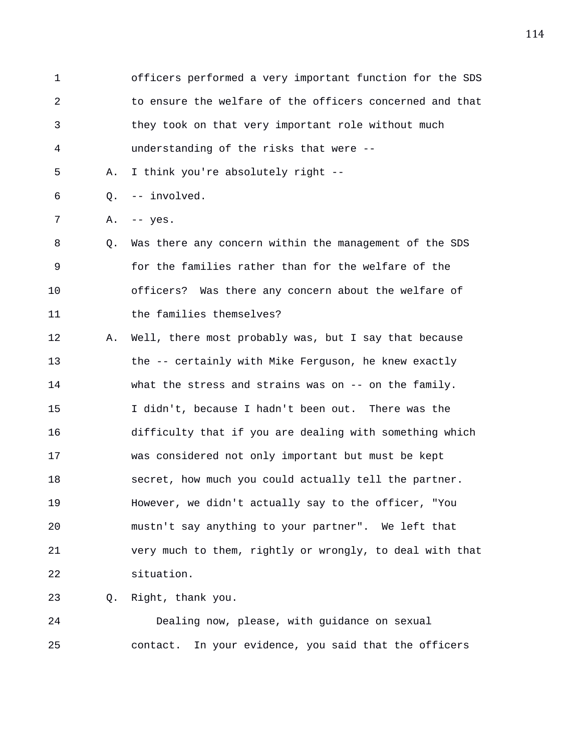1 officers performed a very important function for the SDS 2 to ensure the welfare of the officers concerned and that 3 they took on that very important role without much 4 understanding of the risks that were --

5 A. I think you're absolutely right --

6 Q. -- involved.

7 A. -- yes.

8 Q. Was there any concern within the management of the SDS 9 for the families rather than for the welfare of the 10 officers? Was there any concern about the welfare of 11 the families themselves?

12 A. Well, there most probably was, but I say that because 13 the -- certainly with Mike Ferguson, he knew exactly 14 what the stress and strains was on -- on the family. 15 I didn't, because I hadn't been out. There was the 16 difficulty that if you are dealing with something which 17 was considered not only important but must be kept 18 secret, how much you could actually tell the partner. 19 However, we didn't actually say to the officer, "You 20 mustn't say anything to your partner". We left that 21 very much to them, rightly or wrongly, to deal with that 22 situation.

23 Q. Right, thank you.

24 Dealing now, please, with guidance on sexual 25 contact. In your evidence, you said that the officers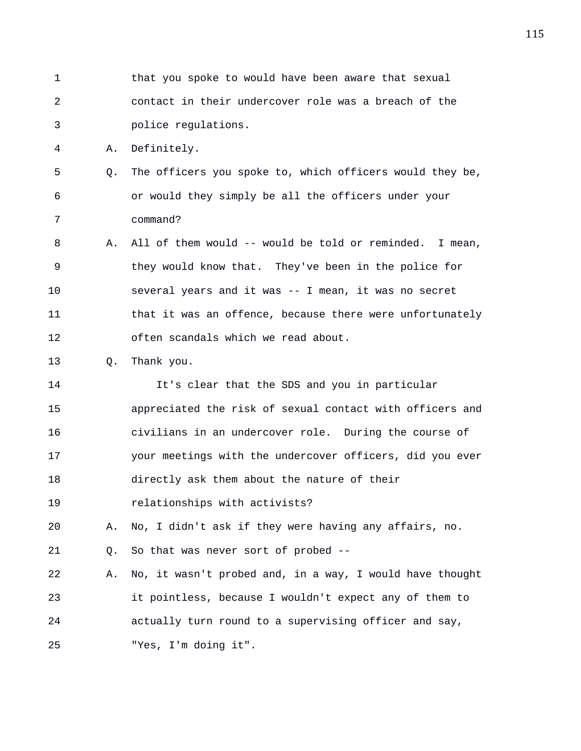1 that you spoke to would have been aware that sexual 2 contact in their undercover role was a breach of the 3 police regulations. 4 A. Definitely. 5 Q. The officers you spoke to, which officers would they be, 6 or would they simply be all the officers under your 7 command? 8 A. All of them would -- would be told or reminded. I mean, 9 they would know that. They've been in the police for 10 several years and it was -- I mean, it was no secret 11 that it was an offence, because there were unfortunately 12 often scandals which we read about. 13 Q. Thank you. 14 It's clear that the SDS and you in particular 15 appreciated the risk of sexual contact with officers and 16 civilians in an undercover role. During the course of 17 your meetings with the undercover officers, did you ever 18 directly ask them about the nature of their 19 relationships with activists? 20 A. No, I didn't ask if they were having any affairs, no. 21 Q. So that was never sort of probed -- 22 A. No, it wasn't probed and, in a way, I would have thought 23 it pointless, because I wouldn't expect any of them to 24 actually turn round to a supervising officer and say, 25 "Yes, I'm doing it".

115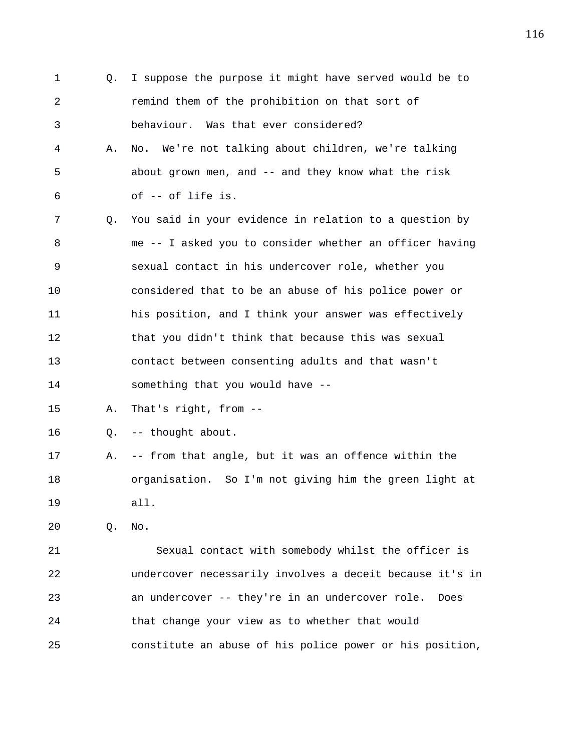1 Q. I suppose the purpose it might have served would be to 2 remind them of the prohibition on that sort of 3 behaviour. Was that ever considered? 4 A. No. We're not talking about children, we're talking 5 about grown men, and -- and they know what the risk 6 of -- of life is. 7 Q. You said in your evidence in relation to a question by 8 me -- I asked you to consider whether an officer having 9 sexual contact in his undercover role, whether you 10 considered that to be an abuse of his police power or 11 his position, and I think your answer was effectively 12 that you didn't think that because this was sexual 13 contact between consenting adults and that wasn't 14 something that you would have -- 15 A. That's right, from -- 16 Q. -- thought about. 17 A. -- from that angle, but it was an offence within the 18 organisation. So I'm not giving him the green light at 19 all. 20 Q. No.

21 Sexual contact with somebody whilst the officer is 22 undercover necessarily involves a deceit because it's in 23 an undercover -- they're in an undercover role. Does 24 that change your view as to whether that would 25 constitute an abuse of his police power or his position,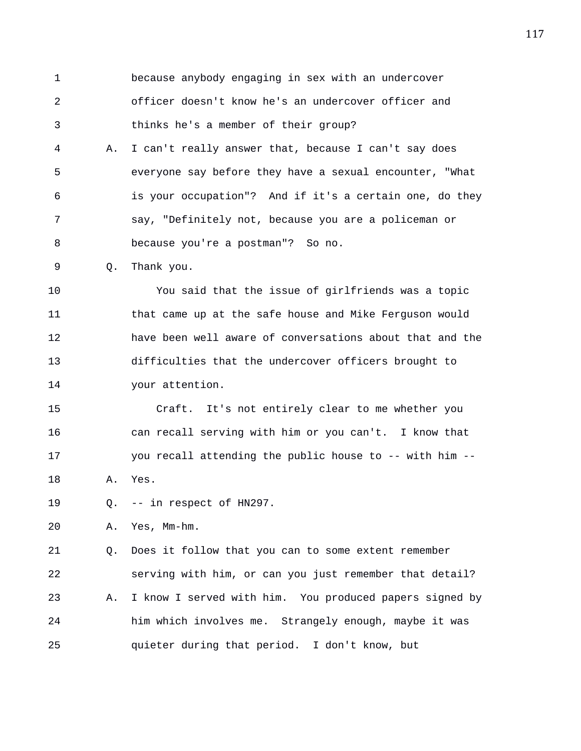1 because anybody engaging in sex with an undercover 2 officer doesn't know he's an undercover officer and 3 thinks he's a member of their group? 4 A. I can't really answer that, because I can't say does 5 everyone say before they have a sexual encounter, "What 6 is your occupation"? And if it's a certain one, do they 7 say, "Definitely not, because you are a policeman or

8 because you're a postman"? So no.

9 Q. Thank you.

10 You said that the issue of girlfriends was a topic 11 that came up at the safe house and Mike Ferguson would 12 have been well aware of conversations about that and the 13 difficulties that the undercover officers brought to 14 your attention.

15 Craft. It's not entirely clear to me whether you 16 can recall serving with him or you can't. I know that 17 you recall attending the public house to -- with him -- 18 A. Yes.

19 Q. -- in respect of HN297.

20 A. Yes, Mm-hm.

21 Q. Does it follow that you can to some extent remember 22 serving with him, or can you just remember that detail? 23 A. I know I served with him. You produced papers signed by 24 him which involves me. Strangely enough, maybe it was 25 quieter during that period. I don't know, but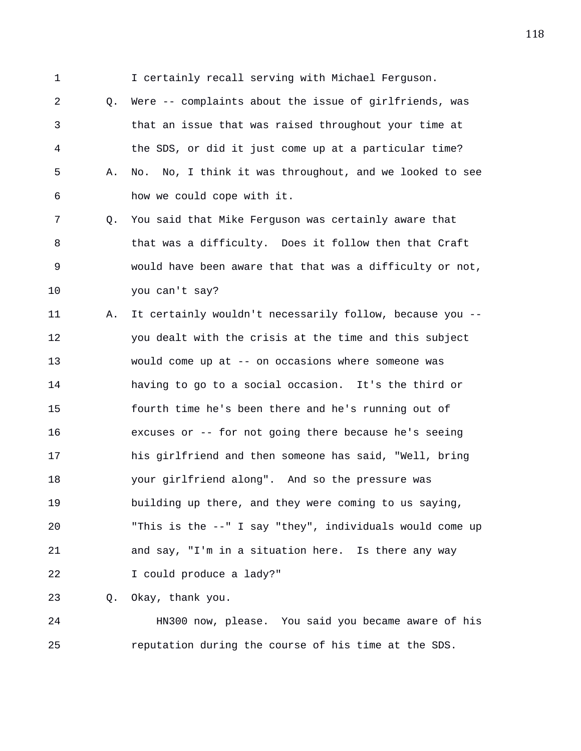1 I certainly recall serving with Michael Ferguson.

2 Q. Were -- complaints about the issue of girlfriends, was 3 that an issue that was raised throughout your time at 4 the SDS, or did it just come up at a particular time? 5 A. No. No, I think it was throughout, and we looked to see 6 how we could cope with it.

7 Q. You said that Mike Ferguson was certainly aware that 8 that was a difficulty. Does it follow then that Craft 9 would have been aware that that was a difficulty or not, 10 you can't say?

11 A. It certainly wouldn't necessarily follow, because you -- 12 you dealt with the crisis at the time and this subject 13 would come up at -- on occasions where someone was 14 having to go to a social occasion. It's the third or 15 fourth time he's been there and he's running out of 16 excuses or -- for not going there because he's seeing 17 his girlfriend and then someone has said, "Well, bring 18 your girlfriend along". And so the pressure was 19 building up there, and they were coming to us saying, 20 "This is the --" I say "they", individuals would come up 21 and say, "I'm in a situation here. Is there any way 22 I could produce a lady?"

23 Q. Okay, thank you.

24 HN300 now, please. You said you became aware of his 25 reputation during the course of his time at the SDS.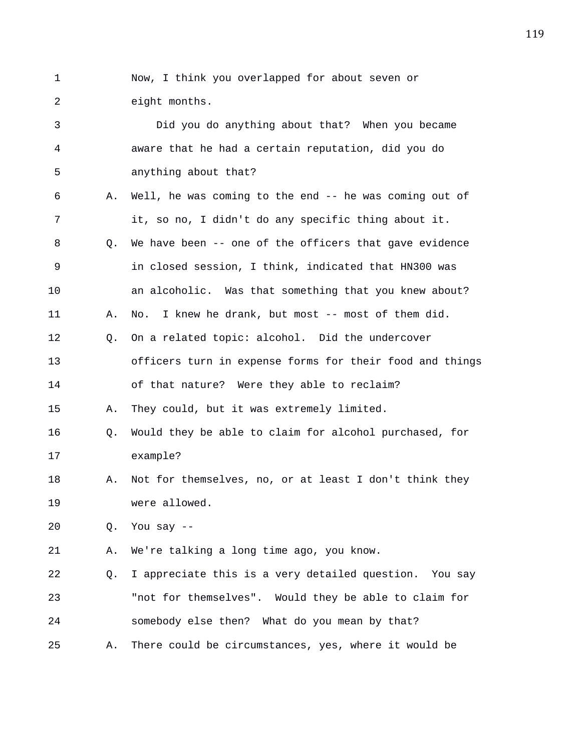1 Now, I think you overlapped for about seven or 2 eight months.

3 Did you do anything about that? When you became 4 aware that he had a certain reputation, did you do 5 anything about that? 6 A. Well, he was coming to the end -- he was coming out of 7 it, so no, I didn't do any specific thing about it. 8 Q. We have been -- one of the officers that gave evidence 9 in closed session, I think, indicated that HN300 was 10 an alcoholic. Was that something that you knew about? 11 A. No. I knew he drank, but most -- most of them did. 12 Q. On a related topic: alcohol. Did the undercover 13 officers turn in expense forms for their food and things 14 of that nature? Were they able to reclaim? 15 A. They could, but it was extremely limited. 16 Q. Would they be able to claim for alcohol purchased, for 17 example? 18 A. Not for themselves, no, or at least I don't think they 19 were allowed. 20 Q. You say -- 21 A. We're talking a long time ago, you know. 22 Q. I appreciate this is a very detailed question. You say 23 "not for themselves". Would they be able to claim for 24 somebody else then? What do you mean by that? 25 A. There could be circumstances, yes, where it would be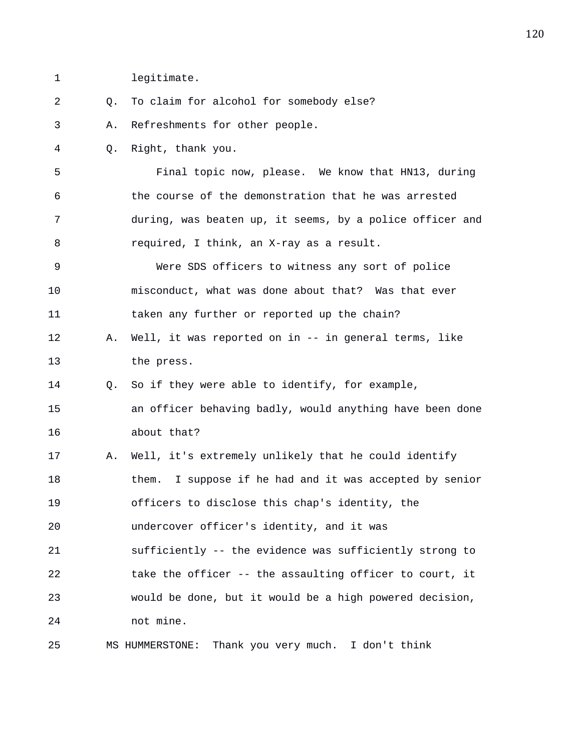1 legitimate.

| 2  | О. | To claim for alcohol for somebody else?                  |
|----|----|----------------------------------------------------------|
| 3  | Α. | Refreshments for other people.                           |
| 4  | Q. | Right, thank you.                                        |
| 5  |    | Final topic now, please. We know that HN13, during       |
| 6  |    | the course of the demonstration that he was arrested     |
| 7  |    | during, was beaten up, it seems, by a police officer and |
| 8  |    | required, I think, an X-ray as a result.                 |
| 9  |    | Were SDS officers to witness any sort of police          |
| 10 |    | misconduct, what was done about that? Was that ever      |
| 11 |    | taken any further or reported up the chain?              |
| 12 | Α. | Well, it was reported on in -- in general terms, like    |
| 13 |    | the press.                                               |
| 14 | O. | So if they were able to identify, for example,           |
| 15 |    | an officer behaving badly, would anything have been done |
| 16 |    | about that?                                              |
| 17 | Α. | Well, it's extremely unlikely that he could identify     |
| 18 |    | them. I suppose if he had and it was accepted by senior  |
| 19 |    | officers to disclose this chap's identity, the           |
| 20 |    | undercover officer's identity, and it was                |
| 21 |    | sufficiently -- the evidence was sufficiently strong to  |
| 22 |    | take the officer -- the assaulting officer to court, it  |
| 23 |    | would be done, but it would be a high powered decision,  |
| 24 |    | not mine.                                                |
| 25 |    | Thank you very much.<br>I don't think<br>MS HUMMERSTONE: |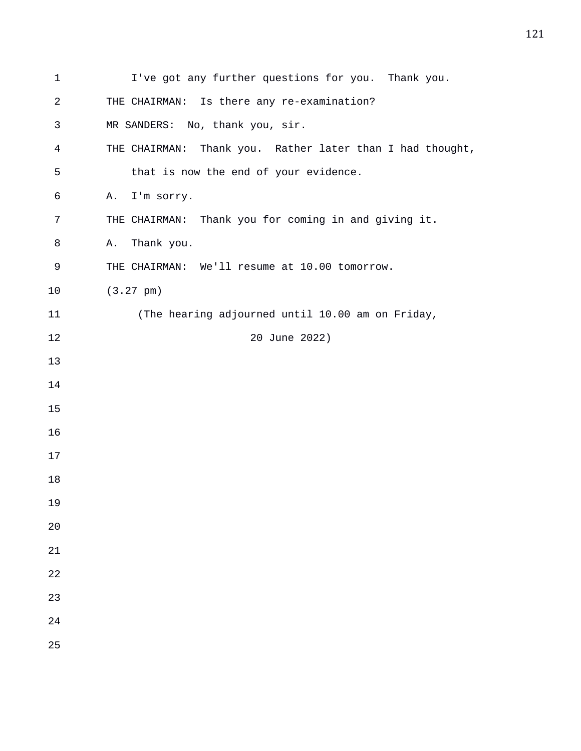| $\mathbf 1$ | I've got any further questions for you. Thank you.           |
|-------------|--------------------------------------------------------------|
| 2           | THE CHAIRMAN: Is there any re-examination?                   |
| 3           | MR SANDERS: No, thank you, sir.                              |
| 4           | Thank you. Rather later than I had thought,<br>THE CHAIRMAN: |
| 5           | that is now the end of your evidence.                        |
| 6           | I'm sorry.<br>Α.                                             |
| 7           | THE CHAIRMAN: Thank you for coming in and giving it.         |
| 8           | Thank you.<br>Α.                                             |
| 9           | THE CHAIRMAN: We'll resume at 10.00 tomorrow.                |
| 10          | $(3.27 \text{ pm})$                                          |
| 11          | (The hearing adjourned until 10.00 am on Friday,             |
| 12          | 20 June 2022)                                                |
| 13          |                                                              |
| 14          |                                                              |
| 15          |                                                              |
| 16          |                                                              |
| 17          |                                                              |
| 18          |                                                              |
| 19          |                                                              |
| 20          |                                                              |
| 21          |                                                              |
| 22          |                                                              |
| 23          |                                                              |
| 24          |                                                              |
| 25          |                                                              |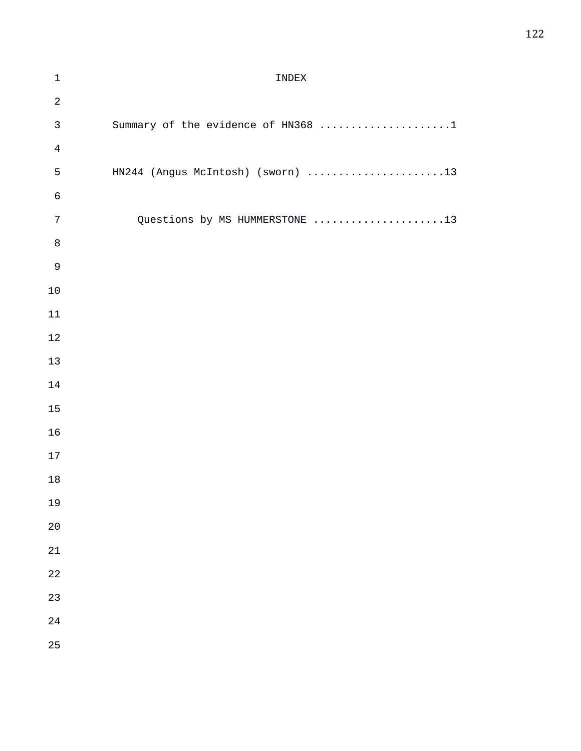## 1 INDEX 3 Summary of the evidence of HN368 ......................1 5 HN244 (Angus McIntosh) (sworn) ......................13 7 Questions by MS HUMMERSTONE .....................13